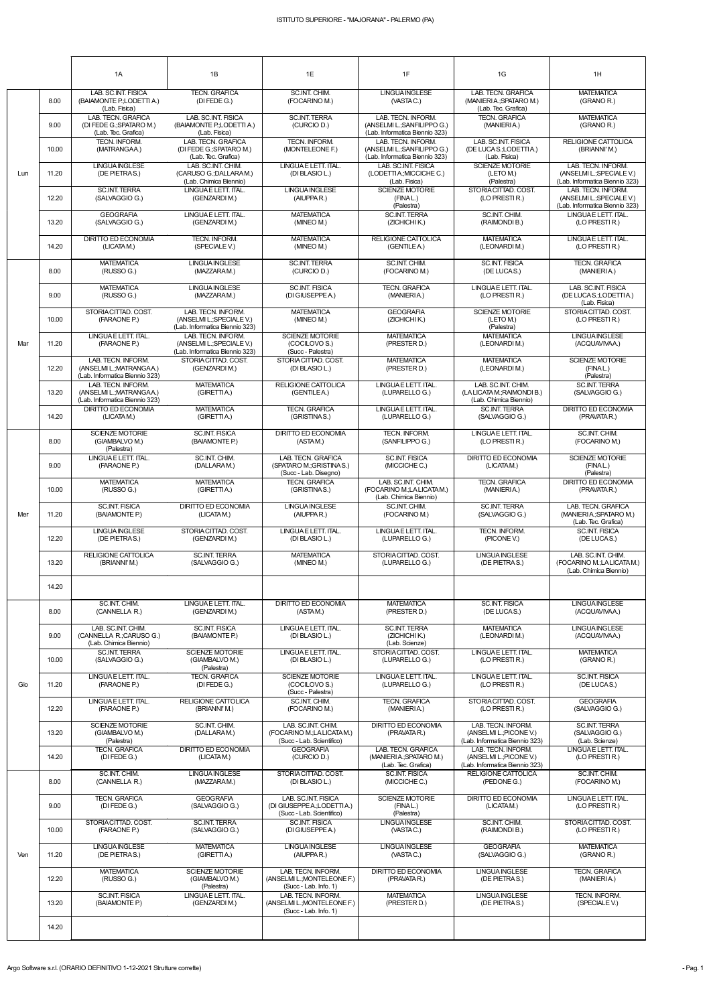|     |       | 1A                                                                               | 1B                                                                                | 1E                                                                          | 1F                                                                                  | 1G                                                                              | 1H                                                                                |
|-----|-------|----------------------------------------------------------------------------------|-----------------------------------------------------------------------------------|-----------------------------------------------------------------------------|-------------------------------------------------------------------------------------|---------------------------------------------------------------------------------|-----------------------------------------------------------------------------------|
|     |       |                                                                                  |                                                                                   |                                                                             |                                                                                     |                                                                                 |                                                                                   |
|     | 8.00  | LAB. SC.INT. FISICA<br>(BAIAMONTE P.;LODETTI A.)<br>(Lab. Fisica)                | <b>TECN. GRAFICA</b><br>(DI FEDE G.)                                              | SC.INT. CHIM.<br>(FOCARINO M.)                                              | <b>LINGUA INGLESE</b><br>(VASTAC.)                                                  | LAB. TECN. GRAFICA<br>(MANIERI A.; SPATARO M.)<br>(Lab. Tec. Grafica)           | <b>MATEMATICA</b><br>(GRANO R.)                                                   |
|     | 9.00  | LAB. TECN. GRAFICA<br>(DI FEDE G.; SPATARO M.)<br>(Lab. Tec. Grafica)            | LAB. SC.INT. FISICA<br>(BAIAMONTE P.; LODETTI A.)<br>(Lab. Fisica)                | <b>SC.INT. TERRA</b><br>(CURCIO D.)                                         | LAB. TECN. INFORM.<br>(ANSELMI L.; SANFILIPPO G.)<br>(Lab. Informatica Biennio 323) | <b>TECN. GRAFICA</b><br>(MANIERIA.)                                             | <b>MATEMATICA</b><br>(GRANO R.)                                                   |
|     | 10.00 | <b>TECN. INFORM.</b><br>(MATRANGAA.)                                             | LAB. TECN. GRAFICA<br>(DI FEDE G.; SPATARO M.)<br>(Lab. Tec. Grafica)             | TECN. INFORM.<br>(MONTELEONE F.)                                            | LAB. TECN. INFORM.<br>(ANSELMI L.; SANFILIPPO G.)<br>(Lab. Informatica Biennio 323) | LAB. SC.INT. FISICA<br>(DE LUCAS.;LODETTIA.)<br>(Lab. Fisica)                   | RELIGIONE CATTOLICA<br>(BRIANNI'M.)                                               |
| Lun | 11.20 | <b>LINGUA INGLESE</b><br>(DE PIETRAS.)                                           | LAB. SC.INT. CHIM.<br>(CARUSO G.; DALLARAM.)<br>(Lab. Chimica Biennio)            | LINGUA E LETT. ITAL.<br>(DI BLASIO L.)                                      | LAB. SC.INT. FISICA<br>(LODETTIA: MICCICHE C.)<br>(Lab. Fisica)                     | <b>SCIENZE MOTORIE</b><br>(LETO M.)<br>(Palestra)                               | LAB. TECN. INFORM.<br>(ANSELMI L.; SPECIALE V.)<br>(Lab. Informatica Biennio 323) |
|     | 12.20 | <b>SC.INT. TERRA</b><br>(SALVAGGIO G.)                                           | LINGUAE LETT. ITAL.<br>(GENZARDIM.)                                               | <b>LINGUA INGLESE</b><br>(AIUPPAR.)                                         | SCIENZE MOTORIE<br>(FINAL.)<br>(Palestra)                                           | STORIA CITTAD. COST.<br>(LO PRESTIR.)                                           | LAB. TECN. INFORM.<br>(ANSELMIL: SPECIALE V.)<br>(Lab. Informatica Biennio 323)   |
|     | 13.20 | <b>GEOGRAFIA</b><br>(SALVAGGIO G.)                                               | LINGUAE LETT. ITAL.<br>(GENZARDIM.)                                               | <b>MATEMATICA</b><br>(MINEO M.)                                             | <b>SC.INT. TERRA</b><br>(ZICHICHI K.)                                               | SC.INT. CHIM.<br>(RAIMONDI B.)                                                  | LINGUA E LETT. ITAL.<br>(LO PRESTIR.)                                             |
|     | 14.20 | <b>DIRITTO ED ECONOMIA</b><br>(LICATAM.)                                         | TECN. INFORM.<br>(SPECIALE V.)                                                    | <b>MATEMATICA</b><br>(MINEO M.)                                             | RELIGIONE CATTOLICA<br>(GENTILE A.)                                                 | <b>MATEMATICA</b><br>(LEONARDIM.)                                               | LINGUAE LETT. ITAL.<br>(LO PRESTIR.)                                              |
|     | 8.00  | <b>MATEMATICA</b><br>(RUSSO G.)                                                  | <b>LINGUAINGLESE</b><br>(MAZZARAM.)                                               | <b>SC.INT. TERRA</b><br>(CURCIO D.)                                         | SC.INT. CHIM.<br>(FOCARINO M.)                                                      | <b>SC.INT. FISICA</b><br>(DE LUCAS.)                                            | <b>TECN. GRAFICA</b><br>(MANIERIA.)                                               |
|     | 9.00  | <b>MATEMATICA</b><br>(RUSSO G.)                                                  | <b>LINGUA INGLESE</b><br>(MAZZARAM.)                                              | <b>SC.INT. FISICA</b><br>(DI GIUSEPPEA.)                                    | <b>TECN. GRAFICA</b><br>(MANIERIA.)                                                 | LINGUAE LETT. ITAL.<br>(LO PRESTIR.)                                            | LAB. SC.INT. FISICA<br>(DE LUCAS.:LODETTIA.)<br>(Lab. Fisica)                     |
|     | 10.00 | STORIA CITTAD, COST.<br>(FARAONE P.)                                             | LAB. TECN. INFORM.<br>(ANSELMI L.; SPECIALE V.)<br>(Lab. Informatica Biennio 323) | <b>MATEMATICA</b><br>(MINEO M.)                                             | <b>GEOGRAFIA</b><br>(ZICHICHIK.)                                                    | <b>SCIENZE MOTORIE</b><br>(LETO M.)<br>(Palestra)                               | STORIACITTAD, COST.<br>(LO PRESTIR.)                                              |
| Mar | 11.20 | LINGUAE LETT. ITAL.<br>(FARAONE P.)                                              | LAB. TECN. INFORM.<br>(ANSELMI L.; SPECIALE V.)<br>(Lab. Informatica Biennio 323) | <b>SCIENZE MOTORIE</b><br>(COCILOVO S.)<br>(Succ - Palestra)                | <b>MATEMATICA</b><br>(PRESTER D.)                                                   | <b>MATEMATICA</b><br>(LEONARDIM.)                                               | <b>LINGUAINGLESE</b><br>(ACQUAVIVAA.)                                             |
|     | 12.20 | LAB. TECN. INFORM.<br>(ANSELMI L.; MATRANGAA.)<br>(Lab. Informatica Biennio 323) | STORIA CITTAD, COST.<br>(GENZARDIM.)                                              | STORIA CITTAD, COST.<br>(DI BLASIO L.)                                      | <b>MATEMATICA</b><br>(PRESTER D.)                                                   | <b>MATEMATICA</b><br>(LEONARDIM.)                                               | <b>SCIENZE MOTORIE</b><br>(FINAL.)<br>(Palestra)                                  |
|     | 13.20 | LAB. TECN. INFORM.<br>(ANSELMI L.; MATRANGAA.)<br>(Lab. Informatica Biennio 323) | <b>MATEMATICA</b><br>(GIRETTIA.)                                                  | <b>RELIGIONE CATTOLICA</b><br>(GENTILE A.)                                  | LINGUAE LETT. ITAL.<br>(LUPARELLO G.)                                               | LAB. SC.INT. CHIM.<br>(LALICATAM.; RAIMONDI B.)<br>(Lab. Chimica Biennio)       | <b>SC.INT. TERRA</b><br>(SALVAGGIO G.)                                            |
|     | 14.20 | DIRITTO ED ECONOMIA<br>(LICATAM.)                                                | <b>MATEMATICA</b><br>(GIRETTIA.)                                                  | <b>TECN. GRAFICA</b><br>(GRISTINAS.)                                        | LINGUA E LETT. ITAL.<br>(LUPARELLO G.)                                              | <b>SC.INT. TERRA</b><br>(SALVAGGIO G.)                                          | <b>DIRITTO ED ECONOMIA</b><br>(PRAVATAR.)                                         |
|     | 8.00  | <b>SCIENZE MOTORIE</b><br>(GIAMBALVO M.)<br>(Palestra)                           | <b>SC.INT. FISICA</b><br>(BAIAMONTE P.)                                           | DIRITTO ED ECONOMIA<br>(ASTAM.)                                             | TECN. INFORM.<br>(SANFILIPPO G.)                                                    | LINGUAE LETT. ITAL.<br>(LO PRESTIR.)                                            | SC.INT. CHIM.<br>(FOCARINO M.)                                                    |
|     | 9.00  | LINGUAE LETT. ITAL.<br>(FARAONE P.)                                              | SC.INT. CHIM.<br>(DALLARAM.)                                                      | LAB. TECN. GRAFICA<br>(SPATARO M.; GRISTINAS.)<br>(Succ-Lab. Disegno)       | <b>SC.INT. FISICA</b><br>(MICCICHE C.)                                              | DIRITTO ED ECONOMIA<br>(LICATAM.)                                               | <b>SCIENZE MOTORIE</b><br>(FINAL.)<br>(Palestra)                                  |
|     | 10.00 | <b>MATEMATICA</b><br>(RUSSO G.)                                                  | <b>MATEMATICA</b><br>(GIRETTIA.)                                                  | <b>TECN. GRAFICA</b><br>(GRISTINAS.)                                        | LAB. SC.INT. CHIM.<br>(FOCARINO M.;LALICATAM.)<br>(Lab. Chimica Biennio)            | <b>TECN. GRAFICA</b><br>(MANIERIA.)                                             | <b>DIRITTO ED ECONOMIA</b><br>(PRAVATA R.)                                        |
| Mer | 11.20 | <b>SC.INT. FISICA</b><br>(BAIAMONTE P.)                                          | <b>DIRITTO ED ECONOMIA</b><br>(LICATAM.)                                          | <b>LINGUA INGLESE</b><br>(AIUPPAR.)                                         | SC.INT. CHIM.<br>(FOCARINO M.)                                                      | <b>SC.INT. TERRA</b><br>(SALVAGGIO G.)                                          | LAB. TECN. GRAFICA<br>(MANIERIA: SPATARO M.)<br>(Lab. Tec. Grafica)               |
|     | 12.20 | <b>LINGUAINGLESE</b><br>(DE PIETRAS.)                                            | STORIA CITTAD. COST.<br>(GENZARDIM.)                                              | LINGUA E LETT. ITAL.<br>(DI BLASIO L.)                                      | LINGUAE LETT. ITAL.<br>(LUPARELLO G.)                                               | TECN. INFORM.<br>(PICONE V.)                                                    | <b>SC.INT. FISICA</b><br>(DE LUCAS.)                                              |
|     | 13.20 | RELIGIONE CATTOLICA<br>(BRIANNI'M.)                                              | <b>SC.INT. TERRA</b><br>(SALVAGGIO G.)                                            | <b>MATEMATICA</b><br>(MINEO M.)                                             | STORIA CITTAD. COST.<br>(LUPARELLO G.)                                              | LINGUA INGLESE<br>(DE PIETRAS.)                                                 | LAB. SC.INT. CHIM.<br>(FOCARINO M.;LALICATAM.)<br>(Lab. Chimica Biennio)          |
|     | 14.20 |                                                                                  |                                                                                   |                                                                             |                                                                                     |                                                                                 |                                                                                   |
|     | 8.00  | SC.INT. CHIM.<br>(CANNELLA R.)                                                   | LINGUAE LETT. ITAL.<br>(GENZARDIM.)                                               | <b>DIRITTO ED ECONOMIA</b><br>(ASTAM.)                                      | <b>MATEMATICA</b><br>(PRESTER D.)                                                   | <b>SC.INT. FISICA</b><br>(DE LUCAS.)                                            | <b>LINGUAINGLESE</b><br>(ACQUAVIVAA.)                                             |
|     | 9.00  | LAB. SC.INT. CHIM.<br>(CANNELLA R.; CARUSO G.)<br>(Lab. Chimica Biennio)         | <b>SC.INT. FISICA</b><br>(BAIAMONTE P.)                                           | LINGUA E LETT. ITAL.<br>(DI BLASIO L.)                                      | <b>SC.INT. TERRA</b><br>(ZICHICHI K.)<br>(Lab. Scienze)                             | <b>MATEMATICA</b><br>(LEONARDI M.)                                              | <b>LINGUAINGLESE</b><br>(ACQUAVIVAA.)                                             |
|     | 10.00 | <b>SC.INT. TERRA</b><br>(SALVAGGIO G.)                                           | <b>SCIENZE MOTORIE</b><br>(GIAMBALVO M.)<br>(Palestra)                            | LINGUA E LETT. ITAL.<br>(DI BLASIO L.)                                      | STORIA CITTAD. COST.<br>(LUPARELLO G.)                                              | LINGUA E LETT. ITAL.<br>(LO PRESTI R.)                                          | <b>MATEMATICA</b><br>(GRANO R.)                                                   |
| Gio | 11.20 | LINGUAE LETT. ITAL.<br>(FARAONE P.)                                              | <b>TECN. GRAFICA</b><br>(DI FEDE G.)                                              | <b>SCIENZE MOTORIE</b><br>(COCILOVO S.)<br>(Succ - Palestra)                | LINGUA E LETT. ITAL.<br>(LUPARELLO G.)                                              | LINGUAE LETT. ITAL.<br>(LO PRESTIR.)                                            | <b>SC.INT. FISICA</b><br>(DE LUCAS.)                                              |
|     | 12.20 | LINGUAE LETT. ITAL.<br>(FARAONE P.)                                              | RELIGIONE CATTOLICA<br>(BRIANNI'M.)                                               | SC.INT. CHIM.<br>(FOCARINO M.)                                              | <b>TECN. GRAFICA</b><br>(MANIERIA.)                                                 | STORIA CITTAD, COST.<br>(LO PRESTIR.)                                           | <b>GEOGRAFIA</b><br>(SALVAGGIO G.)                                                |
|     | 13.20 | <b>SCIENZE MOTORIE</b><br>(GIAMBALVO M.)<br>(Palestra)                           | SC.INT. CHIM.<br>(DALLARAM.)                                                      | LAB. SC.INT. CHIM.<br>(FOCARINO M.;LALICATAM.)<br>(Succ - Lab. Scientifico) | <b>DIRITTO ED ECONOMIA</b><br>(PRAVATAR.)                                           | LAB. TECN. INFORM.<br>(ANSELMI L.; PICONE V.)<br>(Lab. Informatica Biennio 323) | <b>SC.INT. TERRA</b><br>(SALVAGGIO G.)<br>(Lab. Scienze)                          |
|     | 14.20 | <b>TECN. GRAFICA</b><br>(DI FEDE G.)                                             | DIRITTO ED ECONOMIA<br>(LICATAM.)                                                 | <b>GEOGRAFIA</b><br>(CURCIO D.)                                             | LAB. TECN. GRAFICA<br>(MANIERIA: SPATARO M.)                                        | LAB. TECN. INFORM.<br>(ANSELMI L.; PICONE V.)                                   | LINGUA E LETT. ITAL.<br>(LO PRESTIR.)                                             |

|     | 14.20 | (DI FEDE G.)                            | (LICATA M.)                                            | (CURCIO D.)                                                                     | (MANIERIA:;SPATARO M.)<br>(Lab. Tec. Grafica)    | (ANSELMI L.; PICONE V.)<br>(Lab. Informatica Biennio 323) | (LO PRESTIR.)                         |
|-----|-------|-----------------------------------------|--------------------------------------------------------|---------------------------------------------------------------------------------|--------------------------------------------------|-----------------------------------------------------------|---------------------------------------|
|     | 8.00  | SC.INT. CHIM.<br>(CANNELLA R.)          | LINGUA INGLESE<br>(MAZZARAM.)                          | STORIA CITTAD, COST.<br>(DI BLASIO L.)                                          | <b>SC.INT. FISICA</b><br>(MICCICHE C.)           | RELIGIONE CATTOLICA<br>(PEDONE G.)                        | SC.INT. CHIM.<br>(FOCARINO M.)        |
|     | 9.00  | <b>TECN. GRAFICA</b><br>(DI FEDE G.)    | <b>GEOGRAFIA</b><br>(SALVAGGIO G.)                     | LAB. SC.INT. FISICA<br>(DI GIUSEPPE A.;LODETTI A.)<br>(Succ - Lab. Scientifico) | <b>SCIENZE MOTORIE</b><br>(FINAL.)<br>(Palestra) | DIRITTO ED ECONOMIA<br>(LICATAM.)                         | LINGUA E LETT. ITAL.<br>(LO PRESTIR.) |
| Ven | 10.00 | STORIACITTAD, COST.<br>(FARAONE P.)     | <b>SC.INT. TERRA</b><br>(SALVAGGIO G.)                 | <b>SC.INT. FISICA</b><br>(DI GIUSEPPEA.)                                        | <b>LINGUAINGLESE</b><br>(VASTAC.)                | SC.INT. CHIM.<br>(RAIMONDI B.)                            | STORIACITTAD, COST.<br>(LO PRESTIR.)  |
|     | 11.20 | <b>LINGUA INGLESE</b><br>(DE PIETRAS.)  | <b>MATEMATICA</b><br>(GIRETTIA.)                       | LINGUA INGLESE<br>(AIUPPAR.)                                                    | <b>LINGUAINGLESE</b><br>(VASTAC.)                | <b>GEOGRAFIA</b><br>(SALVAGGIO G.)                        | <b>MATEMATICA</b><br>(GRANO R.)       |
|     | 12.20 | <b>MATEMATICA</b><br>(RUSSO G.)         | <b>SCIENZE MOTORIE</b><br>(GIAMBALVO M.)<br>(Palestra) | LAB. TECN. INFORM.<br>(ANSELMI L.; MONTELEONE F.)<br>$(Succ - Lab. Info. 1)$    | DIRITTO ED ECONOMIA<br>(PRAVATA R.)              | <b>LINGUAINGLESE</b><br>(DE PIETRAS.)                     | <b>TECN. GRAFICA</b><br>(MANIERIA.)   |
|     | 13.20 | <b>SC.INT. FISICA</b><br>(BAIAMONTE P.) | LINGUA E LETT. ITAL.<br>(GENZARDI M.)                  | LAB. TECN. INFORM.<br>(ANSELMI L.; MONTELEONE F.)<br>$(Succ - Lab. Info. 1)$    | <b>MATEMATICA</b><br>(PRESTER D.)                | <b>LINGUAINGLESE</b><br>(DE PIETRAS.)                     | <b>TECN. INFORM.</b><br>(SPECIALE V.) |
|     | 14.20 |                                         |                                                        |                                                                                 |                                                  |                                                           |                                       |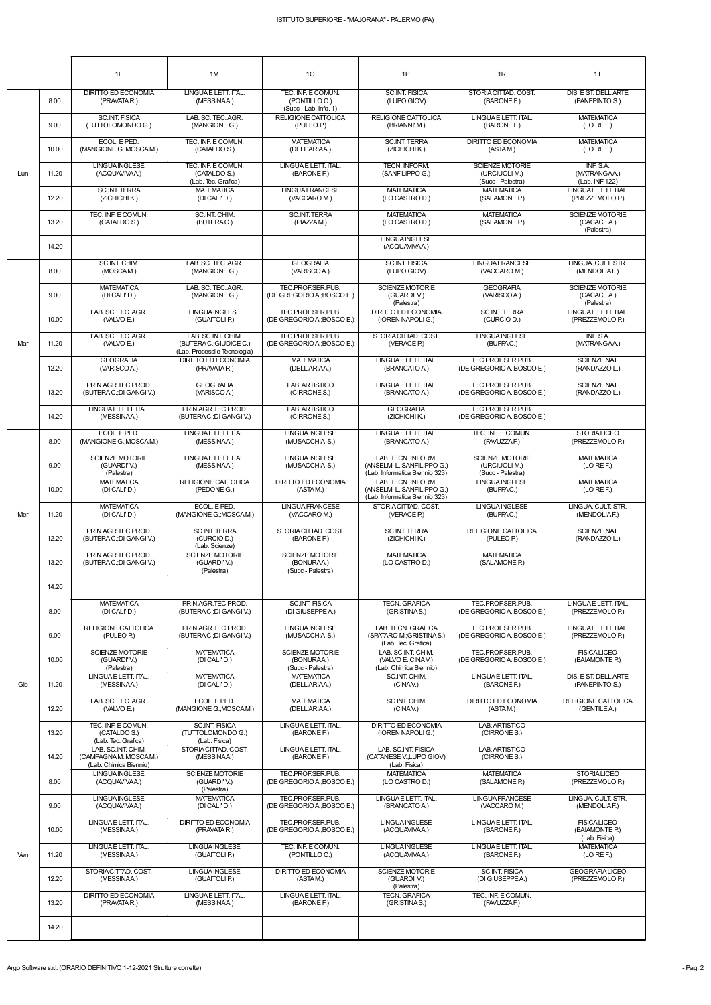| ISTITUTO SUPERIORE - "MAJORANA" - PALERMO (PA) |  |
|------------------------------------------------|--|
|                                                |  |

|     |       | 1L                                                                    | 1M                                                                           | 10                                                           | 1P                                                                                  | 1R                                                           | 1T                                                    |
|-----|-------|-----------------------------------------------------------------------|------------------------------------------------------------------------------|--------------------------------------------------------------|-------------------------------------------------------------------------------------|--------------------------------------------------------------|-------------------------------------------------------|
|     | 8.00  | <b>DIRITTO ED ECONOMIA</b><br>(PRAVATAR.)                             | LINGUAE LETT. ITAL.<br>(MESSINAA.)                                           | TEC. INF. E COMUN.<br>(PONTILLO C.)<br>(Succ - Lab. Info. 1) | <b>SC.INT. FISICA</b><br>(LUPO GIOV)                                                | STORIA CITTAD. COST.<br>(BARONE F.)                          | DIS. E ST. DELL'ARTE<br>(PANEPINTO S.)                |
|     | 9.00  | <b>SC.INT. FISICA</b><br>(TUTTOLOMONDO G.)                            | LAB. SC. TEC. AGR.<br>(MANGIONE G.)                                          | RELIGIONE CATTOLICA<br>(PULEO P.)                            | <b>RELIGIONE CATTOLICA</b><br>(BRIANNI'M.)                                          | LINGUAE LETT. ITAL.<br>(BARONE F.)                           | <b>MATEMATICA</b><br>(LO REF.)                        |
|     | 10.00 | ECOL. E PED.<br>(MANGIONE G.; MOSCAM.)                                | TEC. INF. E COMUN.<br>(CATALDO S.)                                           | <b>MATEMATICA</b><br>(DELL'ARIAA.)                           | <b>SC.INT. TERRA</b><br>(ZICHICHIK.)                                                | <b>DIRITTO ED ECONOMIA</b><br>(ASTAM.)                       | <b>MATEMATICA</b><br>(LO REF.)                        |
| Lun | 11.20 | <b>LINGUA INGLESE</b><br>(ACQUAVIVAA.)                                | TEC. INF. E COMUN.<br>(CATALDO S.)<br>(Lab. Tec. Grafica)                    | LINGUA E LETT. ITAL.<br>(BARONE F.)                          | TECN. INFORM.<br>(SANFILIPPO G.)                                                    | <b>SCIENZE MOTORIE</b><br>(URCIUOLI M.)<br>(Succ - Palestra) | INF. S.A.<br>(MATRANGAA.)<br>(Lab. INF 122)           |
|     | 12.20 | <b>SC.INT. TERRA</b><br>(ZICHICHI K.)                                 | <b>MATEMATICA</b><br>(DI CALI'D.)                                            | <b>LINGUA FRANCESE</b><br>(VACCARO M.)                       | <b>MATEMATICA</b><br>(LO CASTRO D.)                                                 | <b>MATEMATICA</b><br>(SALAMONE P.)                           | LINGUAE LETT. ITAL.<br>(PREZZEMOLO P.)                |
|     | 13.20 | TEC. INF. E COMUN.<br>(CATALDO S.)                                    | SC.INT. CHIM.<br>(BUTERAC.)                                                  | <b>SC.INT. TERRA</b><br>(PIAZZAM.)                           | <b>MATEMATICA</b><br>(LO CASTRO D.)                                                 | <b>MATEMATICA</b><br>(SALAMONE P.)                           | SCIENZE MOTORIE<br>(CACACEA.)<br>(Palestra)           |
|     | 14.20 |                                                                       |                                                                              |                                                              | <b>LINGUA INGLESE</b><br>(ACQUAVIVAA.)                                              |                                                              |                                                       |
|     | 8.00  | SC.INT. CHIM.<br>(MOSCAM.)                                            | LAB. SC. TEC. AGR.<br>(MANGIONE G.)                                          | <b>GEOGRAFIA</b><br>(VARISCO A.)                             | <b>SC.INT. FISICA</b><br>(LUPO GIOV)                                                | <b>LINGUA FRANCESE</b><br>(VACCARO M.)                       | LINGUA. CULT. STR.<br>(MENDOLIAF.)                    |
|     | 9.00  | <b>MATEMATICA</b><br>(DI CALI'D.)                                     | LAB. SC. TEC. AGR.<br>(MANGIONE G.)                                          | TEC.PROF.SER.PUB.<br>(DE GREGORIO A.; BOSCO E.)              | <b>SCIENZE MOTORIE</b><br>(GUARDI'V.)<br>(Palestra)                                 | <b>GEOGRAFIA</b><br>(VARISCOA.)                              | <b>SCIENZE MOTORIE</b><br>(CACACEA.)<br>(Palestra)    |
|     | 10.00 | LAB. SC. TEC. AGR.<br>(VALVO E.)                                      | <b>LINGUA INGLESE</b><br>(GUAITOLI P.)                                       | TEC.PROF.SER.PUB.<br>(DE GREGORIO A.; BOSCO E.)              | DIRITTO ED ECONOMIA<br>(IOREN NAPOLI G.)                                            | <b>SC.INT. TERRA</b><br>(CURCIO D.)                          | LINGUAE LETT. ITAL.<br>(PREZZEMOLO P.)                |
| Mar | 11.20 | LAB. SC. TEC. AGR.<br>(VALVO E.)                                      | LAB. SC.INT. CHIM.<br>(BUTERAC.; GIUDICE C.)<br>(Lab. Processi e Tecnologia) | TEC.PROF.SER.PUB.<br>(DE GREGORIO A.; BOSCO E.)              | STORIACITTAD. COST.<br>(VERACE P.)                                                  | <b>LINGUA INGLESE</b><br>(BUFFAC.)                           | INF. S.A.<br>(MATRANGAA.)                             |
|     | 12.20 | <b>GEOGRAFIA</b><br>(VARISCOA.)                                       | DIRITTO ED ECONOMIA<br>(PRAVATAR.)                                           | <b>MATEMATICA</b><br>(DELL'ARIAA.)                           | LINGUAE LETT. ITAL.<br>(BRANCATO A.)                                                | TEC.PROF.SER.PUB.<br>(DE GREGORIO A.; BOSCO E.)              | SCIENZE NAT.<br>(RANDAZZO L.)                         |
|     | 13.20 | PRIN.AGR.TEC.PROD.<br>(BUTERAC.;DI GANGI V.)                          | <b>GEOGRAFIA</b><br>(VARISCO A.)                                             | LAB. ARTISTICO<br>(CIRRONE S.)                               | LINGUAE LETT. ITAL.<br>(BRANCATO A.)                                                | TEC.PROF.SER.PUB.<br>(DE GREGORIO A.; BOSCO E.)              | SCIENZE NAT.<br>(RANDAZZO L.)                         |
|     | 14.20 | LINGUAE LETT. ITAL.<br>(MESSINAA.)                                    | PRIN AGR TEC PROD.<br>(BUTERAC.; DI GANGI V.)                                | LAB. ARTISTICO<br>(CIRRONE S.)                               | <b>GEOGRAFIA</b><br>(ZICHICHIK.)                                                    | TEC.PROF.SER.PUB.<br>(DE GREGORIO A.; BOSCO E.)              |                                                       |
|     | 8.00  | ECOL. E PED.<br>(MANGIONE G.; MOSCAM.)                                | LINGUAE LETT. ITAL.<br>(MESSINAA.)                                           | <b>LINGUA INGLESE</b><br>(MUSACCHIA S.)                      | LINGUAE LETT. ITAL<br>(BRANCATO A.)                                                 | TEC. INF. E COMUN.<br>(FAVUZZA F.)                           | <b>STORIALICEO</b><br>(PREZZEMOLO P.)                 |
|     | 9.00  | <b>SCIENZE MOTORIE</b><br>(GUARDI'V.)<br>(Palestra)                   | LINGUA E LETT. ITAL.<br>(MESSINAA.)                                          | <b>LINGUA INGLESE</b><br>(MUSACCHIA S.)                      | LAB. TECN. INFORM.<br>(ANSELMI L.; SANFILIPPO G.)<br>(Lab. Informatica Biennio 323) | <b>SCIENZE MOTORIE</b><br>(URCIUOLI M.)<br>(Succ - Palestra) | <b>MATEMATICA</b><br>(LO REF.)                        |
|     | 10.00 | <b>MATEMATICA</b><br>(DI CALI'D.)                                     | <b>RELIGIONE CATTOLICA</b><br>(PEDONE G.)                                    | DIRITTO ED ECONOMIA<br>(ASTAM.)                              | LAB. TECN. INFORM.<br>(ANSELMI L.; SANFILIPPO G.)<br>(Lab. Informatica Biennio 323) | <b>LINGUA INGLESE</b><br>(BUFFAC.)                           | <b>MATEMATICA</b><br>(LO REF.)                        |
| Mer | 11.20 | <b>MATEMATICA</b><br>(DI CALI'D.)                                     | ECOL. E PED.<br>(MANGIONE G.; MOSCAM.)                                       | <b>LINGUA FRANCESE</b><br>(VACCARO M.)                       | STORIACITTAD. COST.<br>(VERACE P.)                                                  | LINGUA INGLESE<br>(BUFFAC.)                                  | LINGUA. CULT. STR.<br>(MENDOLIAF.)                    |
|     | 12.20 | PRIN.AGR.TEC.PROD.<br>(BUTERAC.; DI GANGI V.)                         | <b>SC.INT. TERRA</b><br>(CURCIO D.)<br>(Lab. Scienze)                        | STORIA CITTAD, COST.<br>(BARONE F.)                          | <b>SC.INT. TERRA</b><br>(ZICHICHIK.)                                                | <b>RELIGIONE CATTOLICA</b><br>(PULEO P.)                     | <b>SCIENZE NAT.</b><br>(RANDAZZO L.)                  |
|     | 13.20 | PRIN.AGR.TEC.PROD.<br>(BUTERAC.; DI GANGI V.)                         | <b>SCIENZE MOTORIE</b><br>(GUARDI'V.)<br>(Palestra)                          | <b>SCIENZE MOTORIE</b><br>(BONURAA.)<br>(Succ - Palestra)    | <b>MATEMATICA</b><br>(LO CASTRO D.)                                                 | <b>MATEMATICA</b><br>(SALAMONE P.)                           |                                                       |
|     | 14.20 |                                                                       |                                                                              |                                                              |                                                                                     |                                                              |                                                       |
|     | 8.00  | <b>MATEMATICA</b><br>(DI CALI'D.)                                     | PRIN.AGR.TEC.PROD.<br>(BUTERAC.; DI GANGI V.)                                | <b>SC.INT. FISICA</b><br>(DI GIUSEPPEA.)                     | <b>TECN. GRAFICA</b><br>(GRISTINAS.)                                                | TEC.PROF.SER.PUB.<br>(DE GREGORIO A.; BOSCO E.)              | LINGUA E LETT. ITAL.<br>(PREZZEMOLO P.)               |
|     | 9.00  | <b>RELIGIONE CATTOLICA</b><br>(PULEO P.)                              | PRIN.AGR.TEC.PROD.<br>(BUTERAC: DI GANGIV.)                                  | <b>LINGUA INGLESE</b><br>(MUSACCHIA S.)                      | LAB. TECN. GRAFICA<br>(SPATARO M.; GRISTINA S.)<br>(Lab. Tec. Grafica)              | TEC.PROF.SER.PUB.<br>(DE GREGORIO A: BOSCO E.)               | LINGUAE LETT. ITAL.<br>(PREZZEMOLO P.)                |
|     | 10.00 | <b>SCIENZE MOTORIE</b><br>(GUARDI'V.)<br>(Palestra)                   | <b>MATEMATICA</b><br>(DI CALI'D.)                                            | <b>SCIENZE MOTORIE</b><br>(BONURAA.)<br>(Succ - Palestra)    | LAB. SC.INT. CHIM.<br>(VALVO E.;CINAV.)<br>(Lab. Chimica Biennio)                   | TEC.PROF.SER.PUB.<br>(DE GREGORIO A.; BOSCO E.)              | <b>FISICALICEO</b><br>(BAIAMONTE P.)                  |
| Gio | 11.20 | LINGUAE LETT. ITAL.<br>(MESSINAA.)                                    | <b>MATEMATICA</b><br>(DI CALI'D.)                                            | <b>MATEMATICA</b><br>(DELL'ARIAA.)                           | SC.INT. CHIM.<br>(CINAV.)                                                           | LINGUAE LETT. ITAL.<br>(BARONE F.)                           | DIS. E ST. DELL'ARTE<br>(PANEPINTO S.)                |
|     | 12.20 | LAB. SC. TEC. AGR.<br>(VALVO E.)                                      | ECOL. E PED.<br>(MANGIONE G.; MOSCAM.)                                       | <b>MATEMATICA</b><br>(DELL'ARIAA.)                           | SC.INT. CHIM.<br>(CINAV.)                                                           | DIRITTO ED ECONOMIA<br>(ASTAM.)                              | RELIGIONE CATTOLICA<br>(GENTILE A.)                   |
|     | 13.20 | TEC. INF. E COMUN.<br>(CATALDO S.)<br>(Lab. Tec. Grafica)             | <b>SC.INT. FISICA</b><br>(TUTTOLOMONDO G.)<br>(Lab. Fisica)                  | LINGUA E LETT. ITAL.<br>(BARONE F.)                          | DIRITTO ED ECONOMIA<br>(IOREN NAPOLI G.)                                            | LAB. ARTISTICO<br>(CIRRONE S.)                               |                                                       |
|     | 14.20 | LAB. SC.INT. CHIM.<br>(CAMPAGNAM.; MOSCAM.)<br>(Lab. Chimica Biennio) | STORIACITTAD. COST.<br>(MESSINAA.)                                           | LINGUA E LETT. ITAL.<br>(BARONE F.)                          | LAB. SC.INT. FISICA<br>(CATANESE V.;LUPO GIOV)<br>(Lab. Fisica)                     | LAB. ARTISTICO<br>(CIRRONE S.)                               |                                                       |
|     | 8.00  | <b>LINGUAINGLESE</b><br>(ACQUAVIVAA.)                                 | <b>SCIENZE MOTORIE</b><br>(GUARDI'V.)<br>(Palestra)                          | TEC.PROF.SER.PUB.<br>(DE GREGORIO A.; BOSCO E.)              | <b>MATEMATICA</b><br>(LO CASTRO D.)                                                 | <b>MATEMATICA</b><br>(SALAMONE P.)                           | <b>STORIALICEO</b><br>(PREZZEMOLO P.)                 |
|     | 9.00  | <b>LINGUA INGLESE</b><br>(ACQUAVIVAA.)                                | <b>MATEMATICA</b><br>(DI CALI'D.)                                            | TEC.PROF.SER.PUB.<br>(DE GREGORIO A.; BOSCO E.)              | LINGUAE LETT. ITAL.<br>(BRANCATO A.)                                                | <b>LINGUA FRANCESE</b><br>(VACCARO M.)                       | LINGUA, CULT, STR.<br>(MENDOLIAF.)                    |
|     | 10.00 | LINGUAE LETT. ITAL.<br>(MESSINAA.)                                    | DIRITTO ED ECONOMIA<br>(PRAVATAR.)                                           | TEC.PROF.SER.PUB.<br>(DE GREGORIO A.; BOSCO E.)              | <b>LINGUA INGLESE</b><br>(ACQUAVIVAA.)                                              | LINGUA E LETT. ITAL.<br>(BARONE F.)                          | <b>FISICALICEO</b><br>(BAIAMONTE P.)<br>(Lab. Fisica) |
| Ven | 11.20 | LINGUAE LETT. ITAL.<br>(MESSINAA.)                                    | <b>LINGUAINGLESE</b><br>(GUAITOLI P.)                                        | TEC. INF. E COMUN.<br>(PONTILLO C.)                          | LINGUA INGLESE<br>(ACQUAVIVAA.)                                                     | LINGUA E LETT. ITAL.<br>(BARONE F.)                          | <b>MATEMATICA</b><br>(LO REF.)                        |
|     | 12.20 | STORIACITTAD. COST.<br>(MESSINAA.)                                    | <b>LINGUAINGLESE</b><br>(GUAITOLI P.)                                        | DIRITTO ED ECONOMIA<br>(ASTAM.)                              | <b>SCIENZE MOTORIE</b><br>(GUARDI'V.)<br>(Palestra)                                 | <b>SC.INT. FISICA</b><br>(DI GIUSEPPE A.)                    | <b>GEOGRAFIALICEO</b><br>(PREZZEMOLO P.)              |
|     | 13.20 | <b>DIRITTO ED ECONOMIA</b><br>(PRAVATAR.)                             | LINGUAE LETT. ITAL.<br>(MESSINAA.)                                           | LINGUA E LETT. ITAL.<br>(BARONE F.)                          | <b>TECN. GRAFICA</b><br>(GRISTINAS.)                                                | TEC. INF. E COMUN.<br>(FAVUZZAF.)                            |                                                       |
|     | 14.20 |                                                                       |                                                                              |                                                              |                                                                                     |                                                              |                                                       |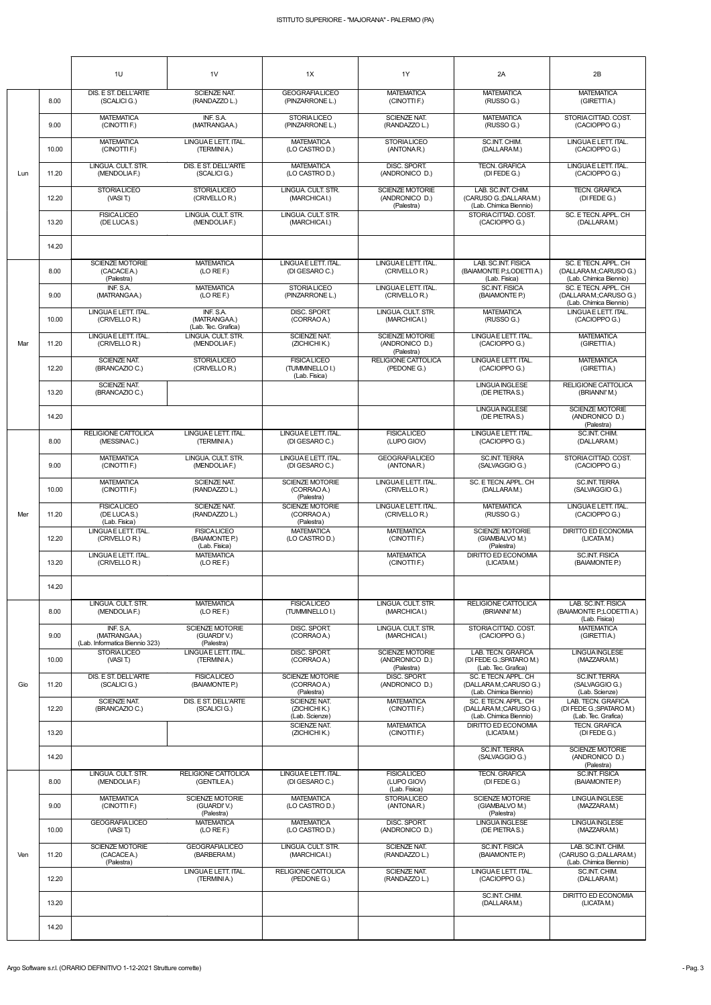|     |       | 1U                                                          | 1 <sub>V</sub>                                        | 1X                                                     | 1Y                                                     | 2A                                                                      | 2B                                                                        |
|-----|-------|-------------------------------------------------------------|-------------------------------------------------------|--------------------------------------------------------|--------------------------------------------------------|-------------------------------------------------------------------------|---------------------------------------------------------------------------|
|     | 8.00  | DIS. E ST. DELL'ARTE<br>(SCALICI G.)                        | <b>SCIENZE NAT.</b><br>(RANDAZZO L.)                  | <b>GEOGRAFIALICEO</b><br>(PINZARRONE L.)               | <b>MATEMATICA</b><br>(CINOTTI F.)                      | <b>MATEMATICA</b><br>(RUSSO G.)                                         | <b>MATEMATICA</b><br>(GIRETTIA.)                                          |
|     | 9.00  | <b>MATEMATICA</b><br>(CINOTTI F.)                           | INF. S.A.<br>(MATRANGAA.)                             | <b>STORIALICEO</b><br>(PINZARRONE L.)                  | <b>SCIENZE NAT.</b><br>(RANDAZZO L.)                   | <b>MATEMATICA</b><br>(RUSSO G.)                                         | STORIACITTAD. COST.<br>(CACIOPPO G.)                                      |
|     | 10.00 | <b>MATEMATICA</b><br>(CINOTTI F.)                           | LINGUAE LETT. ITAL.<br>(TERMINIA.)                    | <b>MATEMATICA</b><br>(LO CASTRO D.)                    | <b>STORIALICEO</b><br>(ANTONAR.)                       | SC.INT. CHIM.<br>(DALLARAM.)                                            | LINGUAE LETT. ITAL.<br>(CACIOPPO G.)                                      |
| Lun | 11.20 | LINGUA, CULT, STR.<br>(MENDOLIAF.)                          | DIS. E ST. DELL'ARTE<br>(SCALICI G.)                  | <b>MATEMATICA</b><br>(LO CASTRO D.)                    | DISC. SPORT.<br>(ANDRONICO D.)                         | <b>TECN. GRAFICA</b><br>(DIFEDE $G$ .)                                  | LINGUAE LETT. ITAL.<br>(CACIOPPO G.)                                      |
|     | 12.20 | <b>STORIALICEO</b><br>(VASI T.)                             | <b>STORIALICEO</b><br>(CRIVELLOR.)                    | LINGUA. CULT. STR.<br>(MARCHICAI.)                     | <b>SCIENZE MOTORIE</b><br>(ANDRONICO D.)<br>(Palestra) | LAB. SC.INT. CHIM.<br>(CARUSO G.; DALLARAM.)<br>(Lab. Chimica Biennio)  | <b>TECN. GRAFICA</b><br>(DI FEDE G.)                                      |
|     | 13.20 | <b>FISICALICEO</b><br>(DE LUCAS.)                           | LINGUA, CULT, STR.<br>(MENDOLIAF.)                    | LINGUA, CULT, STR.<br>(MARCHICAI.)                     |                                                        | STORIA CITTAD, COST.<br>(CACIOPPO G.)                                   | SC. E TECN. APPL. CH<br>(DALLARAM.)                                       |
|     | 14.20 |                                                             |                                                       |                                                        |                                                        |                                                                         |                                                                           |
|     | 8.00  | <b>SCIENZE MOTORIE</b><br>(CACACE A.)<br>(Palestra)         | <b>MATEMATICA</b><br>(LO REF.)                        | LINGUA E LETT. ITAL.<br>(DI GESARO C.)                 | LINGUAE LETT. ITAL.<br>(CRIVELLO R.)                   | LAB. SC.INT. FISICA<br>(BAIAMONTE P.; LODETTI A.)<br>(Lab. Fisica)      | SC. E TECN. APPL. CH<br>(DALLARA M.;CARUSO G.)<br>(Lab. Chimica Biennio)  |
|     | 9.00  | INF. S.A.<br>(MATRANGAA.)                                   | <b>MATEMATICA</b><br>(LO REF.)                        | <b>STORIALICEO</b><br>(PINZARRONE L.)                  | LINGUAE LETT. ITAL.<br>(CRIVELLOR.)                    | <b>SC.INT. FISICA</b><br>(BAIAMONTE P.)                                 | SC. E TECN. APPL. CH<br>(DALLARA M.; CARUSO G.)<br>(Lab. Chimica Biennio) |
|     | 10.00 | LINGUAE LETT. ITAL.<br>(CRIVELLO R.)                        | INF. S.A.<br>(MATRANGAA.)<br>(Lab. Tec. Grafica)      | DISC. SPORT.<br>(CORRAO A.)                            | LINGUA, CULT, STR.<br>(MARCHICAI.)                     | <b>MATEMATICA</b><br>(RUSSO G.)                                         | LINGUAE LETT. ITAL.<br>(CACIOPPO G.)                                      |
| Mar | 11.20 | LINGUAE LETT. ITAL.<br>(CRIVELLO R.)                        | LINGUA. CULT. STR.<br>(MENDOLIAF.)                    | <b>SCIENZE NAT.</b><br>(ZICHICHIK.)                    | <b>SCIENZE MOTORIE</b><br>(ANDRONICO D.)<br>(Palestra) | LINGUAE LETT. ITAL.<br>(CACIOPPO G.)                                    | <b>MATEMATICA</b><br>(GIRETTIA.)                                          |
|     | 12.20 | <b>SCIENZE NAT.</b><br>(BRANCAZIO C.)                       | <b>STORIALICEO</b><br>(CRIVELLOR.)                    | <b>FISICALICEO</b><br>(TUMMINELLO I.)<br>(Lab. Fisica) | <b>RELIGIONE CATTOLICA</b><br>(PEDONE G.)              | LINGUAE LETT. ITAL.<br>(CACIOPPO G.)                                    | <b>MATEMATICA</b><br>(GIRETTIA.)                                          |
|     | 13.20 | <b>SCIENZE NAT.</b><br>(BRANCAZIO C.)                       |                                                       |                                                        |                                                        | <b>LINGUA INGLESE</b><br>(DE PIETRAS.)                                  | <b>RELIGIONE CATTOLICA</b><br>(BRIANNI'M.)                                |
|     | 14.20 |                                                             |                                                       |                                                        |                                                        | <b>LINGUAINGLESE</b><br>(DE PIETRAS.)                                   | <b>SCIENZE MOTORIE</b><br>(ANDRONICO D.)<br>(Palestra)                    |
|     | 8.00  | <b>RELIGIONE CATTOLICA</b><br>(MESSINAC.)                   | LINGUAE LETT. ITAL.<br>(TERMINIA.)                    | LINGUA E LETT. ITAL.<br>(DI GESARO C.)                 | <b>FISICALICEO</b><br>(LUPO GIOV)                      | LINGUA E LETT. ITAL.<br>(CACIOPPO G.)                                   | SC.INT. CHIM.<br>(DALLARAM.)                                              |
|     | 9.00  | <b>MATEMATICA</b><br>(CINOTTI F.)                           | LINGUA. CULT. STR.<br>(MENDOLIAF.)                    | LINGUA E LETT. ITAL.<br>(DI GESARO C.)                 | <b>GEOGRAFIALICEO</b><br>(ANTONAR.)                    | <b>SC.INT. TERRA</b><br>(SALVAGGIO G.)                                  | STORIA CITTAD, COST.<br>(CACIOPPO G.)                                     |
|     | 10.00 | <b>MATEMATICA</b><br>(CINOTTI F.)                           | <b>SCIENZE NAT.</b><br>(RANDAZZO L.)                  | <b>SCIENZE MOTORIE</b><br>(CORRAO A.)<br>(Palestra)    | LINGUAE LETT. ITAL.<br>(CRIVELLOR.)                    | SC. E TECN. APPL. CH<br>(DALLARAM.)                                     | <b>SC.INT. TERRA</b><br>(SALVAGGIO G.)                                    |
| Mer | 11.20 | <b>FISICALICEO</b><br>(DE LUCAS.)<br>(Lab. Fisica)          | <b>SCIENZE NAT.</b><br>(RANDAZZO L.)                  | <b>SCIENZE MOTORIE</b><br>(CORRAO A.)<br>(Palestra)    | LINGUAE LETT. ITAL.<br>(CRIVELLO R.)                   | <b>MATEMATICA</b><br>(RUSSO G.)                                         | LINGUAE LETT. ITAL.<br>(CACIOPPO G.)                                      |
|     | 12.20 | LINGUAE LETT. ITAL.<br>(CRIVELLO R.)                        | <b>FISICALICEO</b><br>(BAIAMONTE P.)<br>(Lab. Fisica) | <b>MATEMATICA</b><br>(LO CASTRO D.)                    | <b>MATEMATICA</b><br>(CINOTTI F.)                      | <b>SCIENZE MOTORIE</b><br>(GIAMBALVO M.)<br>(Palestra)                  | <b>DIRITTO ED ECONOMIA</b><br>(LICATAM.)                                  |
|     | 13.20 | LINGUAE LETT. ITAL.<br>(CRIVELLO R.)                        | <b>MATEMATICA</b><br>(LO RE F.)                       |                                                        | <b>MATEMATICA</b><br>(CINOTTI F.)                      | <b>DIRITTO ED ECONOMIA</b><br>(LICATAM.)                                | <b>SC.INT. FISICA</b><br>(BAIAMONTE P.)                                   |
|     | 14.20 |                                                             |                                                       |                                                        |                                                        |                                                                         |                                                                           |
|     | 8.00  | LINGUA. CULT. STR.<br>(MENDOLIAF.)                          | <b>MATEMATICA</b><br>(LO RE F.)                       | <b>FISICALICEO</b><br>(TUMMINELLO I.)                  | LINGUA. CULT. STR.<br>(MARCHICAI.)                     | <b>RELIGIONE CATTOLICA</b><br>(BRIANNI'M.)                              | LAB. SC.INT. FISICA<br>(BAIAMONTE P.; LODETTI A.)<br>(Lab. Fisica)        |
|     | 9.00  | INF. S.A.<br>(MATRANGAA.)<br>(Lab. Informatica Biennio 323) | <b>SCIENZE MOTORIE</b><br>(GUARDI'V.)<br>(Palestra)   | DISC. SPORT.<br>(CORRAO A.)                            | LINGUA. CULT. STR.<br>(MARCHICAI.)                     | STORIA CITTAD. COST.<br>(CACIOPPO G.)                                   | <b>MATEMATICA</b><br>(GIRETTIA.)                                          |
|     | 10.00 | <b>STORIALICEO</b><br>(VASI T)                              | LINGUA E LETT. ITAL.<br>(TERMINIA.)                   | DISC. SPORT.<br>(CORRAO A.)                            | <b>SCIENZE MOTORIE</b><br>(ANDRONICO D.)<br>(Palestra) | LAB. TECN. GRAFICA<br>(DI FEDE G.; SPATARO M.)<br>(Lab. Tec. Grafica)   | <b>LINGUAINGLESE</b><br>(MAZZARAM.)                                       |
| Gio | 11.20 | DIS. E ST. DELL'ARTE<br>(SCALICI G.)                        | <b>FISICALICEO</b><br>(BAIAMONTE P.)                  | <b>SCIENZE MOTORIE</b><br>(CORRAO A.)<br>(Palestra)    | DISC. SPORT.<br>(ANDRONICO D.)                         | SC. E TECN. APPL. CH<br>(DALLARAM.;CARUSO G.)<br>(Lab. Chimica Biennio) | <b>SC.INT. TERRA</b><br>(SALVAGGIO G.)<br>(Lab. Scienze)                  |
|     | 12.20 | <b>SCIENZE NAT.</b><br>(BRANCAZIO C.)                       | DIS. E ST. DELL'ARTE<br>(SCALICI G.)                  | <b>SCIENZE NAT.</b><br>(ZICHICHIK.)<br>(Lab. Scienze)  | <b>MATEMATICA</b><br>(CINOTTI F.)                      | SC. E TECN. APPL. CH<br>(DALLARAM.;CARUSO G.)<br>(Lab. Chimica Biennio) | LAB. TECN. GRAFICA<br>(DI FEDE G.; SPATARO M.)<br>(Lab. Tec. Grafica)     |
|     | 13.20 |                                                             |                                                       | <b>SCIENZE NAT.</b><br>(ZICHICHIK.)                    | <b>MATEMATICA</b><br>(CINOTTI F.)                      | <b>DIRITTO ED ECONOMIA</b><br>(LICATAM.)                                | <b>TECN. GRAFICA</b><br>(DI FEDE G.)                                      |
|     | 14.20 |                                                             |                                                       |                                                        |                                                        | <b>SC.INT. TERRA</b><br>(SALVAGGIO G.)                                  | <b>SCIENZE MOTORIE</b><br>(ANDRONICO D.)<br>(Palestra)                    |
|     | 8.00  | LINGUA, CULT, STR.<br>(MENDOLIAF.)                          | <b>RELIGIONE CATTOLICA</b><br>(GENTILEA.)             | LINGUA E LETT. ITAL.<br>(DI GESARO C.)                 | <b>FISICALICEO</b><br>(LUPO GIOV)<br>(Lab. Fisica)     | <b>TECN. GRAFICA</b><br>(DI FEDE G.)                                    | <b>SC.INT. FISICA</b><br>(BAIAMONTE P.)                                   |
|     | 9.00  | <b>MATEMATICA</b><br>(CINOTTI F.)                           | <b>SCIENZE MOTORIE</b><br>(GUARDI'V.)<br>(Palestra)   | <b>MATEMATICA</b><br>(LO CASTRO D.)                    | <b>STORIALICEO</b><br>(ANTONAR.)                       | SCIENZE MOTORIE<br>(GIAMBALVO M.)<br>(Palestra)                         | <b>LINGUA INGLESE</b><br>(MAZZARAM.)                                      |
|     | 10.00 | <b>GEOGRAFIALICEO</b><br>(VASIT)                            | <b>MATEMATICA</b><br>(LO REF.)                        | <b>MATEMATICA</b><br>(LO CASTRO D.)                    | DISC. SPORT.<br>(ANDRONICO D.)                         | <b>LINGUA INGLESE</b><br>(DE PIETRAS.)                                  | <b>LINGUAINGLESE</b><br>(MAZZARAM.)                                       |
| Ven | 11.20 | <b>SCIENZE MOTORIE</b><br>(CACACE A.)<br>(Palestra)         | <b>GEOGRAFIA LICEO</b><br>(BARBERAM.)                 | LINGUA. CULT. STR.<br>(MARCHICAI.)                     | SCIENZE NAT.<br>(RANDAZZO L.)                          | <b>SC.INT. FISICA</b><br>(BAIAMONTE P.)                                 | LAB. SC.INT. CHIM.<br>(CARUSO G.; DALLARAM.)<br>(Lab. Chimica Biennio)    |
|     | 12.20 |                                                             | LINGUAE LETT. ITAL.<br>(TERMINIA.)                    | RELIGIONE CATTOLICA<br>(PEDONE G.)                     | SCIENZE NAT.<br>(RANDAZZO L.)                          | LINGUAE LETT. ITAL.<br>(CACIOPPO G.)                                    | SC.INT. CHIM.<br>(DALLARAM.)                                              |
|     | 13.20 |                                                             |                                                       |                                                        |                                                        | SC.INT. CHIM.<br>(DALLARAM.)                                            | <b>DIRITTO ED ECONOMIA</b><br>(LICATAM.)                                  |
|     | 14.20 |                                                             |                                                       |                                                        |                                                        |                                                                         |                                                                           |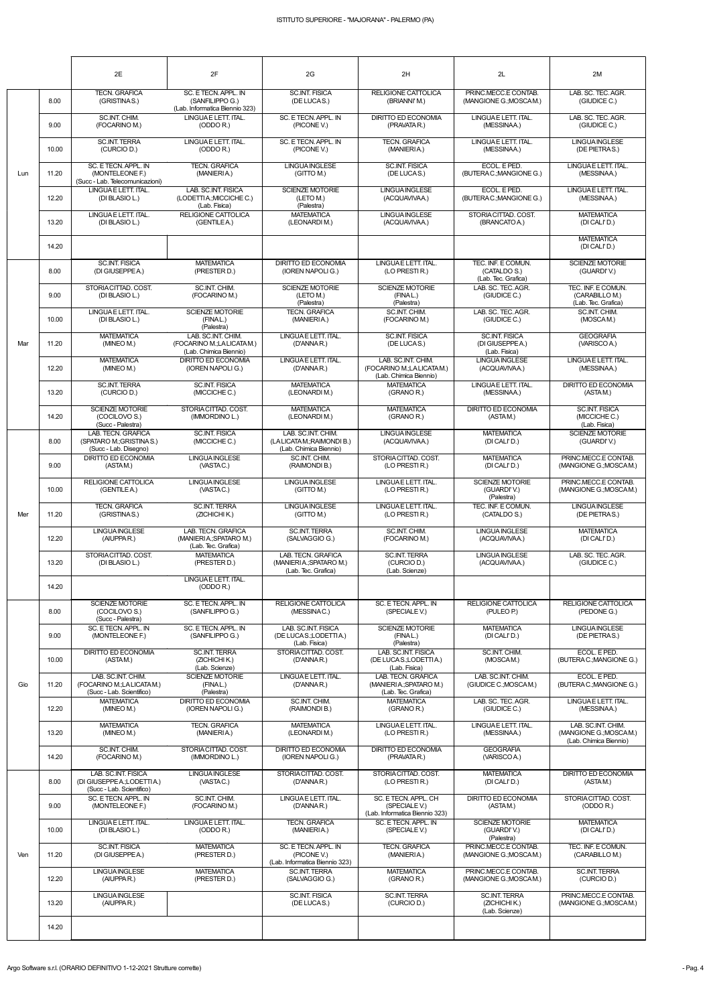|     |       | 2E                                                                                                       | 2F                                                                        | 2G                                                                          | 2H                                                                       | 2L                                                              | 2M                                                            |
|-----|-------|----------------------------------------------------------------------------------------------------------|---------------------------------------------------------------------------|-----------------------------------------------------------------------------|--------------------------------------------------------------------------|-----------------------------------------------------------------|---------------------------------------------------------------|
|     | 8.00  | <b>TECN. GRAFICA</b><br>(GRISTINAS.)                                                                     | SC. E TECN. APPL. IN<br>(SANFILIPPO G.)<br>(Lab. Informatica Biennio 323) | <b>SC.INT. FISICA</b><br>(DE LUCAS.)                                        | <b>RELIGIONE CATTOLICA</b><br>(BRIANNI'M.)                               | PRINC.MECC.E CONTAB.<br>(MANGIONE G.; MOSCAM.)                  | LAB. SC. TEC. AGR.<br>(GIUDICE C.)                            |
|     | 9.00  | SC.INT. CHIM.<br>(FOCARINO M.)                                                                           | LINGUA E LETT. ITAL.<br>(ODDO R.)                                         | SC. E TECN. APPL. IN<br>(PICONE V.)                                         | <b>DIRITTO ED ECONOMIA</b><br>(PRAVATA R.)                               | LINGUAE LETT. ITAL.<br>(MESSINAA.)                              | LAB. SC. TEC. AGR.<br>(GIUDICE C.)                            |
|     | 10.00 | <b>SC.INT. TERRA</b><br>(CURCIO D.)                                                                      | LINGUAE LETT. ITAL.<br>(ODDO R.)                                          | SC. E TECN. APPL. IN<br>(PICONE V.)                                         | <b>TECN. GRAFICA</b><br>(MANIERIA.)                                      | LINGUAE LETT. ITAL.<br>(MESSINAA.)                              | <b>LINGUA INGLESE</b><br>(DE PIETRAS.)                        |
| Lun | 11.20 | SC. E TECN. APPL. IN<br>(MONTELEONE F.)<br>(Succ - Lab. Telecomunicazioni)                               | <b>TECN. GRAFICA</b><br>(MANIERIA.)                                       | <b>LINGUA INGLESE</b><br>(GITTO M.)                                         | <b>SC.INT. FISICA</b><br>(DE LUCAS.)                                     | ECOL. E PED.<br>(BUTERAC.; MANGIONE G.)                         | LINGUAE LETT. ITAL.<br>(MESSINAA.)                            |
|     | 12.20 | LINGUAE LETT. ITAL.<br>(DI BLASIO L.)                                                                    | LAB. SC.INT. FISICA<br>(LODETTIA.; MICCICHE C.)<br>(Lab. Fisica)          | <b>SCIENZE MOTORIE</b><br>(LETO M.)<br>(Palestra)                           | <b>LINGUA INGLESE</b><br>(ACQUAVIVAA.)                                   | ECOL. E PED.<br>(BUTERAC.; MANGIONE G.)                         | LINGUAE LETT. ITAL.<br>(MESSINAA.)                            |
|     | 13.20 | LINGUAE LETT. ITAL.<br>(DI BLASIO L.)                                                                    | <b>RELIGIONE CATTOLICA</b><br>(GENTILEA.)                                 | <b>MATEMATICA</b><br>(LEONARDIM.)                                           | <b>LINGUA INGLESE</b><br>(ACQUAVIVAA.)                                   | STORIA CITTAD. COST.<br>(BRANCATO A.)                           | <b>MATEMATICA</b><br>(DI CALI'D.)                             |
|     | 14.20 |                                                                                                          |                                                                           |                                                                             |                                                                          |                                                                 | <b>MATEMATICA</b><br>(DI CALI'D.)                             |
|     | 8.00  | <b>SC.INT. FISICA</b><br>(DI GIUSEPPE A.)                                                                | <b>MATEMATICA</b><br>(PRESTER D.)                                         | DIRITTO ED ECONOMIA<br>(IOREN NAPOLI G.)                                    | LINGUAE LETT. ITAL.<br>(LO PRESTIR.)                                     | TEC. INF. E COMUN.<br>(CATALDO S.)<br>(Lab. Tec. Grafica)       | SCIENZE MOTORIE<br>(GUARDI'V.)                                |
|     | 9.00  | STORIACITTAD, COST.<br>(DI BLASIO L.)                                                                    | SC.INT. CHIM.<br>(FOCARINO M.)                                            | <b>SCIENZE MOTORIE</b><br>(LETO M.)<br>(Palestra)                           | <b>SCIENZE MOTORIE</b><br>(FINAL.)<br>(Palestra)                         | LAB. SC. TEC. AGR.<br>(GIUDICE C.)                              | TEC. INF. E COMUN.<br>(CARABILLO M.)<br>(Lab. Tec. Grafica)   |
|     | 10.00 | LINGUAE LETT. ITAL.<br>(DI BLASIO L.)                                                                    | SCIENZE MOTORIE<br>(FINAL.)<br>(Palestra)                                 | <b>TECN. GRAFICA</b><br>(MANIERIA.)                                         | SC.INT. CHIM.<br>(FOCARINO M.)                                           | LAB. SC. TEC. AGR.<br>(GIUDICE C.)                              | SC.INT. CHIM.<br>(MOSCAM.)                                    |
| Mar | 11.20 | <b>MATEMATICA</b><br>(MINEO M.)                                                                          | LAB. SC.INT. CHIM.<br>(FOCARINO M.;LALICATAM.)<br>(Lab. Chimica Biennio)  | LINGUA E LETT. ITAL.<br>(D'ANNA R.)                                         | <b>SC.INT. FISICA</b><br>(DE LUCAS.)                                     | <b>SC.INT. FISICA</b><br>(DI GIUSEPPE A.)<br>(Lab. Fisica)      | <b>GEOGRAFIA</b><br>(VARISCOA.)                               |
|     | 12.20 | <b>MATEMATICA</b><br>(MINEO M.)                                                                          | <b>DIRITTO ED ECONOMIA</b><br>(IOREN NAPOLI G.)                           | LINGUA E LETT. ITAL.<br>(D'ANNA R.)                                         | LAB. SC.INT. CHIM.<br>(FOCARINO M.;LALICATAM.)<br>(Lab. Chimica Biennio) | <b>LINGUA INGLESE</b><br>(ACQUAVIVAA.)                          | LINGUAE LETT. ITAL.<br>(MESSINAA.)                            |
|     | 13.20 | <b>SC.INT. TERRA</b><br>(CURCIO D.)                                                                      | <b>SC.INT. FISICA</b><br>(MICCICHE C.)                                    | <b>MATEMATICA</b><br>(LEONARDIM.)                                           | <b>MATEMATICA</b><br>(GRANO R.)                                          | LINGUAE LETT. ITAL.<br>(MESSINAA.)                              | <b>DIRITTO ED ECONOMIA</b><br>(ASTAM.)                        |
|     | 14.20 | <b>SCIENZE MOTORIE</b><br>(COCILOVO S.)<br>(Succ - Palestra)                                             | STORIACITTAD, COST.<br>(IMMORDINO L.)                                     | <b>MATEMATICA</b><br>(LEONARDIM.)                                           | <b>MATEMATICA</b><br>(GRANO R.)                                          | DIRITTO ED ECONOMIA<br>(ASTAM.)                                 | <b>SC.INT. FISICA</b><br>(MICCICHE C.)<br>(Lab. Fisica)       |
|     | 8.00  | LAB. TECN. GRAFICA<br>(SPATARO M.; GRISTINA S.)<br>(Succ - Lab. Disegno)                                 | <b>SC.INT. FISICA</b><br>(MICCICHE C.)                                    | LAB. SC.INT. CHIM.<br>(LA LICATA M.; RAIMONDI B.)<br>(Lab. Chimica Biennio) | <b>LINGUA INGLESE</b><br>(ACQUAVIVAA.)                                   | <b>MATEMATICA</b><br>(DI CALI'D.)                               | <b>SCIENZE MOTORIE</b><br>(GUARDI'V.)                         |
|     | 9.00  | <b>DIRITTO ED ECONOMIA</b><br>(ASTAM.)                                                                   | <b>LINGUA INGLESE</b><br>(VASTAC.)                                        | SC.INT. CHIM.<br>(RAIMONDI B.)                                              | STORIACITTAD, COST.<br>(LO PRESTIR.)                                     | <b>MATEMATICA</b><br>(DI CALI'D.)                               | PRINC.MECC.E CONTAB.<br>(MANGIONE G.; MOSCAM.)                |
|     | 10.00 | <b>RELIGIONE CATTOLICA</b><br>(GENTILE A.)                                                               | <b>LINGUA INGLESE</b><br>(VASTAC.)                                        | <b>LINGUA INGLESE</b><br>(GITTO M.)                                         | LINGUAE LETT. ITAL.<br>(LO PRESTIR.)                                     | <b>SCIENZE MOTORIE</b><br>(GUARDI'V.)<br>(Palestra)             | PRINC.MECC.E CONTAB.<br>(MANGIONE G.; MOSCAM.)                |
| Mer | 11.20 | <b>TECN. GRAFICA</b><br>(GRISTINAS.)                                                                     | <b>SC.INT. TERRA</b><br>(ZICHICHI K.)                                     | <b>LINGUA INGLESE</b><br>(GITTO M.)                                         | LINGUAE LETT. ITAL.<br>(LO PRESTIR.)                                     | TEC. INF. E COMUN.<br>(CATALDO S.)                              | <b>LINGUAINGLESE</b><br>(DE PIETRAS.)                         |
|     | 12.20 | <b>LINGUA INGLESE</b><br>(AIUPPAR.)                                                                      | LAB. TECN. GRAFICA<br>(MANIERIA: SPATARO M.)<br>(Lab. Tec. Grafica)       | <b>SC.INT. TERRA</b><br>(SALVAGGIO G.)                                      | SC.INT. CHIM.<br>(FOCARINO M.)                                           | <b>LINGUAINGLESE</b><br>(ACQUAVIVAA.)                           | <b>MATEMATICA</b><br>(DI CALI'D.)                             |
|     | 13.20 | STORIACITTAD, COST.<br>(DI BLASIO L.)                                                                    | <b>MATEMATICA</b><br>(PRESTER D.)                                         | LAB. TECN. GRAFICA<br>(MANIERIA.; SPATARO M.)<br>(Lab. Tec. Grafica)        | <b>SC.INT. TERRA</b><br>(CURCIO D.)<br>(Lab. Scienze)                    | <b>LINGUAINGLESE</b><br>(ACQUAVIVAA.)                           | LAB. SC. TEC. AGR.<br>(GIUDICE C.)                            |
|     | 14.20 |                                                                                                          | LINGUAE LETT. ITAL.<br>(ODDO R.)                                          |                                                                             |                                                                          |                                                                 |                                                               |
|     | 8.00  | <b>SCIENZE MOTORIE</b><br>(COCILOVO S.)<br>(Succ - Palestra)                                             | SC. E TECN. APPL. IN<br>(SANFILIPPO G.)                                   | <b>RELIGIONE CATTOLICA</b><br>(MESSINAC.)                                   | SC. E TECN. APPL. IN<br>(SPECIALE V.)                                    | <b>RELIGIONE CATTOLICA</b><br>(PULEO P.)                        | RELIGIONE CATTOLICA<br>(PEDONE G.)                            |
|     | 9.00  | SC. E TECN. APPL. IN<br>(MONTELEONE F.)                                                                  | SC. E TECN. APPL. IN<br>(SANFILIPPO G.)                                   | LAB. SC.INT. FISICA<br>(DE LUCAS.;LODETTIA.)<br>(Lab. Fisica)               | <b>SCIENZE MOTORIE</b><br>(FINAL.)<br>(Palestra)                         | <b>MATEMATICA</b><br>(DI CALI'D.)                               | LINGUA INGLESE<br>(DE PIETRAS.)                               |
|     | 10.00 | <b>DIRITTO ED ECONOMIA</b><br>(ASTAM.)                                                                   | <b>SC.INT. TERRA</b><br>(ZICHICHIK.)<br>(Lab. Scienze)                    | STORIA CITTAD, COST.<br>(D'ANNA R.)                                         | LAB. SC.INT. FISICA<br>(DE LUCAS.;LODETTIA.)<br>(Lab. Fisica)            | SC.INT. CHIM.<br>(MOSCAM.)                                      | ECOL. E PED.<br>(BUTERAC.; MANGIONE G.)<br>ECOL. E PED.       |
| Gio | 11.20 | LAB. SC.INT. CHIM.<br>(FOCARINO M.;LALICATAM.)<br>(Succ - Lab. Scientifico)                              | <b>SCIENZE MOTORIE</b><br>(FINAL.)<br>(Palestra)                          | LINGUA E LETT. ITAL.<br>(D'ANNA R.)                                         | LAB. TECN. GRAFICA<br>(MANIERIA: SPATARO M.)<br>(Lab. Tec. Grafica)      | LAB. SC.INT. CHIM.<br>(GIUDICE C.; MOSCAM.)                     | (BUTERAC.; MANGIONE G.)                                       |
|     | 12.20 | <b>MATEMATICA</b><br>(MINEO M.)<br><b>MATEMATICA</b>                                                     | DIRITTO ED ECONOMIA<br>(IOREN NAPOLI G.)<br><b>TECN. GRAFICA</b>          | SC.INT. CHIM.<br>(RAIMONDI B.)<br><b>MATEMATICA</b>                         | <b>MATEMATICA</b><br>(GRANO R.)<br>LINGUAE LETT. ITAL.                   | LAB. SC. TEC. AGR.<br>(GIUDICE C.)<br>LINGUAE LETT. ITAL.       | LINGUAE LETT. ITAL.<br>(MESSINAA.)<br>LAB. SC.INT. CHIM.      |
|     | 13.20 | (MINEO M.)                                                                                               | (MANIERIA.)<br>STORIACITTAD, COST.                                        | (LEONARDIM.)<br>DIRITTO ED ECONOMIA                                         | (LO PRESTIR.)<br>DIRITTO ED ECONOMIA                                     | (MESSINAA.)                                                     | (MANGIONE G.; MOSCAM.)<br>(Lab. Chimica Biennio)              |
|     | 14.20 | SC.INT. CHIM.<br>(FOCARINO M.)                                                                           | (IMMORDINO L.)                                                            | (IOREN NAPOLI G.)<br>STORIA CITTAD, COST.                                   | (PRAVATA R.)<br>STORIACITTAD, COST.                                      | <b>GEOGRAFIA</b><br>(VARISCOA.)                                 |                                                               |
|     | 8.00  | LAB. SC.INT. FISICA<br>(DI GIUSEPPE A.; LODETTI A.)<br>(Succ - Lab. Scientifico)<br>SC. E TECN. APPL. IN | <b>LINGUAINGLESE</b><br>(VASTAC.)<br>SC.INT. CHIM.                        | (D'ANNA R.)<br>LINGUA E LETT. ITAL.                                         | (LO PRESTIR.)<br>SC. E TECN. APPL. CH                                    | <b>MATEMATICA</b><br>(DI CALI'D.)<br><b>DIRITTO ED ECONOMIA</b> | <b>DIRITTO ED ECONOMIA</b><br>(ASTAM.)<br>STORIACITTAD. COST. |
|     | 9.00  | (MONTELEONE F.)<br>LINGUAE LETT. ITAL.                                                                   | (FOCARINO M.)                                                             | (D'ANNA R.)<br><b>TECN. GRAFICA</b>                                         | (SPECIALE V.)<br>(Lab. Informatica Biennio 323)                          | (ASTAM.)<br><b>SCIENZE MOTORIE</b>                              | (ODDO R.)                                                     |
|     | 10.00 | (DI BLASIO L.)<br><b>SC.INT. FISICA</b>                                                                  | LINGUAE LETT. ITAL.<br>(ODDO R.)                                          | (MANIERIA.)<br>SC. E TECN. APPL. IN                                         | SC. E TECN. APPL. IN<br>(SPECIALE V.)<br><b>TECN. GRAFICA</b>            | (GUARDI'V.)<br>(Palestra)<br>PRINC.MECC.E CONTAB.               | <b>MATEMATICA</b><br>(DI CALI'D.)<br>TEC. INF. E COMUN.       |
| Ven | 11.20 | (DI GIUSEPPE A.)<br><b>LINGUAINGLESE</b>                                                                 | <b>MATEMATICA</b><br>(PRESTER D.)                                         | (PICONE V.)<br>(Lab. Informatica Biennio 323)                               | (MANIERIA.)                                                              | (MANGIONE G.; MOSCAM.)<br>PRINC.MECC.E CONTAB.                  | (CARABILLO M.)                                                |
|     | 12.20 | (AIUPPAR.)                                                                                               | <b>MATEMATICA</b><br>(PRESTER D.)                                         | <b>SC.INT. TERRA</b><br>(SALVAGGIO G.)<br><b>SC.INT. FISICA</b>             | <b>MATEMATICA</b><br>(GRANO R.)                                          | (MANGIONE G.; MOSCAM.)                                          | <b>SC.INT. TERRA</b><br>(CURCIO D.)                           |
|     | 13.20 | <b>LINGUAINGLESE</b><br>(AIUPPAR.)                                                                       |                                                                           | (DE LUCAS.)                                                                 | <b>SC.INT. TERRA</b><br>(CURCIO D.)                                      | <b>SC.INT. TERRA</b><br>(ZICHICHI K.)<br>(Lab. Scienze)         | PRINC.MECC.E CONTAB.<br>(MANGIONE G.; MOSCAM.)                |
|     | 14.20 |                                                                                                          |                                                                           |                                                                             |                                                                          |                                                                 |                                                               |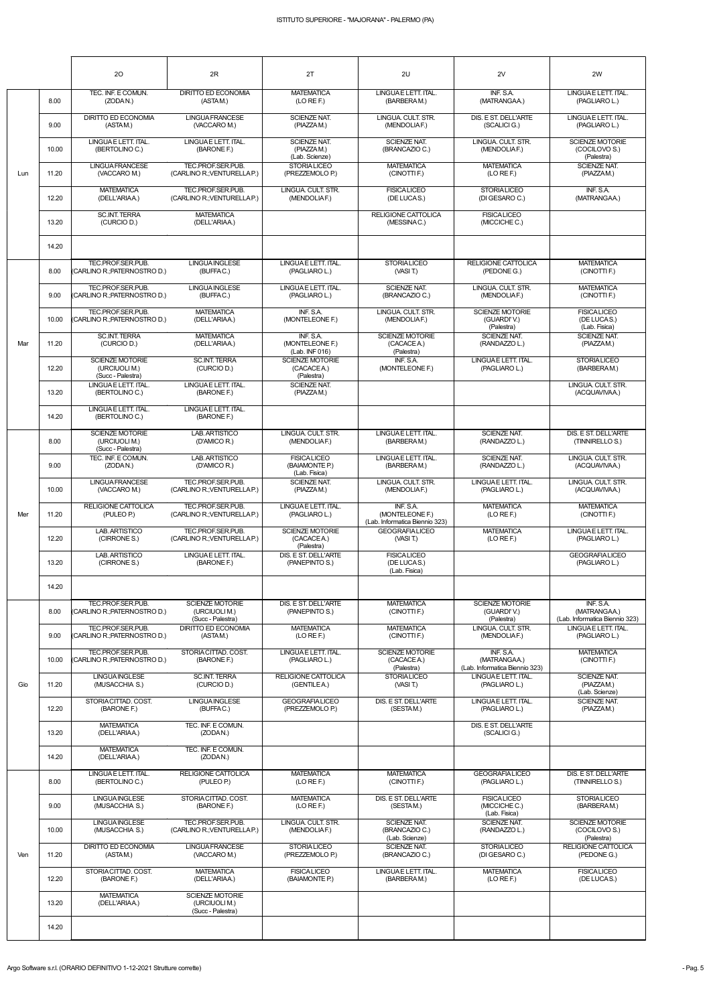|     |       | 20                                                           | 2R                                                           | 2T                                                     | 2U                                                             | 2V                                                          | 2W                                                         |
|-----|-------|--------------------------------------------------------------|--------------------------------------------------------------|--------------------------------------------------------|----------------------------------------------------------------|-------------------------------------------------------------|------------------------------------------------------------|
|     | 8.00  | TEC. INF. E COMUN.<br>(ZODAN.)                               | <b>DIRITTO ED ECONOMIA</b><br>(ASTAM.)                       | <b>MATEMATICA</b><br>(LO RE F.)                        | LINGUA E LETT. ITAL.<br>(BARBERAM.)                            | INF. S.A.<br>(MATRANGAA.)                                   | LINGUAE LETT. ITAL.<br>(PAGLIARO L.)                       |
|     | 9.00  | <b>DIRITTO ED ECONOMIA</b><br>(ASTAM.)                       | <b>LINGUA FRANCESE</b><br>(VACCARO M.)                       | <b>SCIENZE NAT.</b><br>(PIAZZAM.)                      | LINGUA, CULT, STR.<br>(MENDOLIAF.)                             | DIS. E ST. DELL'ARTE<br>(SCALICI G.)                        | LINGUAE LETT. ITAL.<br>(PAGLIARO L.)                       |
|     | 10.00 | LINGUAE LETT. ITAL.<br>(BERTOLINO C.)                        | LINGUAE LETT. ITAL.<br>(BARONE F.)                           | <b>SCIENZE NAT.</b><br>(PIAZZAM.)<br>(Lab. Scienze)    | <b>SCIENZE NAT.</b><br>(BRANCAZIO C.)                          | LINGUA, CULT, STR.<br>(MENDOLIAF.)                          | <b>SCIENZE MOTORIE</b><br>(COCILOVO S.)<br>(Palestra)      |
| Lun | 11.20 | <b>LINGUA FRANCESE</b><br>(VACCARO M.)                       | TEC.PROF.SER.PUB.<br>(CARLINO R.; VENTURELLA P.)             | <b>STORIALICEO</b><br>(PREZZEMOLO P.)                  | <b>MATEMATICA</b><br>(CINOTTI F.)                              | <b>MATEMATICA</b><br>(LO RE F.)                             | SCIENZE NAT.<br>(PIAZZAM.)                                 |
|     | 12.20 | <b>MATEMATICA</b><br>(DELL'ARIAA.)                           | TEC.PROF.SER.PUB.<br>(CARLINO R.; VENTURELLA P.)             | LINGUA. CULT. STR.<br>(MENDOLIAF.)                     | <b>FISICALICEO</b><br>(DE LUCAS.)                              | <b>STORIALICEO</b><br>(DI GESARO C.)                        | INF. S.A.<br>(MATRANGAA.)                                  |
|     | 13.20 | <b>SC.INT. TERRA</b><br>(CURCIO D.)                          | <b>MATEMATICA</b><br>(DELL'ARIAA.)                           |                                                        | RELIGIONE CATTOLICA<br>(MESSINAC.)                             | <b>FISICALICEO</b><br>(MICCICHE C.)                         |                                                            |
|     | 14.20 |                                                              |                                                              |                                                        |                                                                |                                                             |                                                            |
|     | 8.00  | TEC.PROF.SER.PUB.<br>(CARLINO R.: PATERNOSTRO D.)            | <b>LINGUAINGLESE</b><br>(BUFFAC.)                            | LINGUA E LETT. ITAL.<br>(PAGLIARO L.)                  | <b>STORIALICEO</b><br>(VASIT.)                                 | <b>RELIGIONE CATTOLICA</b><br>(PEDONE G.)                   | <b>MATEMATICA</b><br>(CINOTTI F.)                          |
|     | 9.00  | TEC.PROF.SER.PUB.<br>(CARLINO R.; PATERNOSTRO D.)            | LINGUA INGLESE<br>(BUFFAC.)                                  | LINGUA E LETT. ITAL.<br>(PAGLIARO L.)                  | <b>SCIENZE NAT.</b><br>(BRANCAZIO C.)                          | LINGUA. CULT. STR.<br>(MENDOLIAF.)                          | <b>MATEMATICA</b><br>(CINOTTI F.)                          |
|     | 10.00 | TEC.PROF.SER.PUB.<br>(CARLINO R.: PATERNOSTRO D.)            | <b>MATEMATICA</b><br>(DELL'ARIAA.)                           | INF. S.A.<br>(MONTELEONE F.)                           | LINGUA. CULT. STR.<br>(MENDOLIAF.)                             | <b>SCIENZE MOTORIE</b><br>(GUARDI'V.)<br>(Palestra)         | <b>FISICALICEO</b><br>(DE LUCAS.)<br>(Lab. Fisica)         |
| Mar | 11.20 | <b>SC.INT. TERRA</b><br>(CURCIO D.)                          | <b>MATEMATICA</b><br>(DELL'ARIAA.)                           | INF. S.A.<br>(MONTELEONE F.)<br>(Lab. INF 016)         | <b>SCIENZE MOTORIE</b><br>(CACACEA.)<br>(Palestra)             | <b>SCIENZE NAT.</b><br>(RANDAZZO L.)                        | <b>SCIENZE NAT.</b><br>(PIAZZAM.)                          |
|     | 12.20 | <b>SCIENZE MOTORIE</b><br>(URCIUOLI M.)<br>(Succ - Palestra) | <b>SC.INT. TERRA</b><br>(CURCIO D.)                          | <b>SCIENZE MOTORIE</b><br>(CACACEA.)<br>(Palestra)     | INF. S.A.<br>(MONTELEONE F.)                                   | LINGUAE LETT. ITAL.<br>(PAGLIARO L.)                        | <b>STORIALICEO</b><br>(BARBERAM.)                          |
|     | 13.20 | LINGUAE LETT. ITAL.<br>(BERTOLINO C.)                        | LINGUAE LETT. ITAL.<br>(BARONE F.)                           | <b>SCIENZE NAT.</b><br>(PIAZZAM.)                      |                                                                |                                                             | LINGUA. CULT. STR.<br>(ACQUAVIVAA.)                        |
|     | 14.20 | LINGUA E LETT. ITAL.<br>(BERTOLINO C.)                       | LINGUAE LETT. ITAL.<br>(BARONE F.)                           |                                                        |                                                                |                                                             |                                                            |
|     | 8.00  | <b>SCIENZE MOTORIE</b><br>(URCIUOLI M.)<br>(Succ - Palestra) | LAB. ARTISTICO<br>(D'AMICO R.)                               | LINGUA. CULT. STR.<br>(MENDOLIAF.)                     | LINGUA E LETT. ITAL.<br>(BARBERAM.)                            | <b>SCIENZE NAT.</b><br>(RANDAZZO L.)                        | DIS. E ST. DELL'ARTE<br>(TINNIRELLO S.)                    |
|     | 9.00  | TEC. INF. E COMUN.<br>(ZODAN.)                               | LAB. ARTISTICO<br>(D'AMICO R.)                               | <b>FISICA LICEO</b><br>(BAIAMONTE P.)<br>(Lab. Fisica) | LINGUAE LETT. ITAL.<br>(BARBERAM.)                             | SCIENZE NAT.<br>(RANDAZZO L.)                               | LINGUA. CULT. STR.<br>(ACQUAVIVAA.)                        |
|     | 10.00 | <b>LINGUA FRANCESE</b><br>(VACCARO M.)                       | TEC.PROF.SER.PUB.<br>(CARLINO R.; VENTURELLA P.)             | <b>SCIENZE NAT.</b><br>(PIAZZAM.)                      | LINGUA, CULT, STR.<br>(MENDOLIAF.)                             | LINGUAE LETT. ITAL.<br>(PAGLIARO L.)                        | LINGUA, CULT, STR.<br>(ACQUAVIVAA.)                        |
| Mer | 11.20 | RELIGIONE CATTOLICA<br>(PULEO P.)                            | TEC.PROF.SER.PUB.<br>(CARLINO R.; VENTURELLA P.)             | LINGUA E LETT. ITAL.<br>(PAGLIARO L.)                  | INF. S.A.<br>(MONTELEONE F.)<br>(Lab. Informatica Biennio 323) | <b>MATEMATICA</b><br>(LO RE F.)                             | <b>MATEMATICA</b><br>(CINOTTI F.)                          |
|     | 12.20 | LAB. ARTISTICO<br>(CIRRONE S.)                               | TEC.PROF.SER.PUB.<br>(CARLINO R.; VENTURELLA P.)             | <b>SCIENZE MOTORIE</b><br>(CACACEA.)<br>(Palestra)     | <b>GEOGRAFIALICEO</b><br>(VASIT)                               | <b>MATEMATICA</b><br>(LO REF.)                              | LINGUAE LETT. ITAL.<br>(PAGLIARO L.)                       |
|     | 13.20 | LAB. ARTISTICO<br>(CIRRONE S.)                               | LINGUAE LETT. ITAL.<br>(BARONE F.)                           | DIS. E ST. DELL'ARTE<br>(PANEPINTO S.)                 | <b>FISICALICEO</b><br>(DE LUCAS.)<br>(Lab. Fisica)             |                                                             | <b>GEOGRAFIA LICEO</b><br>(PAGLIARO L.)                    |
|     | 14.20 |                                                              |                                                              |                                                        |                                                                |                                                             |                                                            |
|     | 8.00  | TEC.PROF.SER.PUB.<br>(CARLINO R.; PATERNOSTRO D.)            | <b>SCIENZE MOTORIE</b><br>(URCIUOLI M.)<br>(Succ - Palestra) | DIS. E ST. DELL'ARTE<br>(PANEPINTO S.)                 | <b>MATEMATICA</b><br>(CINOTTI F.)                              | <b>SCIENZE MOTORIE</b><br>(GUARDI'V.)<br>(Palestra)         | INF. S.A.<br>(MATRANGAA)<br>(Lab. Informatica Biennio 323) |
|     | 9.00  | TEC.PROF.SER.PUB.<br>(CARLINO R.; PATERNOSTRO D.)            | <b>DIRITTO ED ECONOMIA</b><br>(ASTAM.)                       | <b>MATEMATICA</b><br>(LO RE F.)                        | <b>MATEMATICA</b><br>(CINOTTI F.)                              | LINGUA. CULT. STR.<br>(MENDOLIAF.)                          | LINGUAE LETT. ITAL.<br>(PAGLIARO L.)                       |
|     | 10.00 | TEC.PROF.SER.PUB.<br>(CARLINO R.:PATERNOSTRO D.)             | STORIACITTAD. COST.<br>(BARONE F.)                           | LINGUA E LETT. ITAL.<br>(PAGLIARO L.)                  | <b>SCIENZE MOTORIE</b><br>(CACACEA.)<br>(Palestra)             | INF. S.A.<br>(MATRANGAA.)<br>(Lab. Informatica Biennio 323) | <b>MATEMATICA</b><br>(CINOTTI F.)                          |
| Gio | 11.20 | LINGUA INGLESE<br>(MUSACCHIA S.)                             | <b>SC.INT. TERRA</b><br>(CURCIO D.)                          | RELIGIONE CATTOLICA<br>(GENTILEA.)                     | <b>STORIALICEO</b><br>(VASIT)                                  | LINGUAE LETT. ITAL.<br>(PAGLIARO L.)                        | <b>SCIENZE NAT.</b><br>(PIAZZAM.)<br>(Lab. Scienze)        |
|     | 12.20 | STORIACITTAD. COST.<br>(BARONE F.)                           | LINGUA INGLESE<br>(BUFFAC.)                                  | <b>GEOGRAFIALICEO</b><br>(PREZZEMOLO P.)               | DIS. E ST. DELL'ARTE<br>(SESTAM.)                              | LINGUAE LETT. ITAL.<br>(PAGLIARO L.)                        | <b>SCIENZE NAT.</b><br>(PIAZZAM.)                          |
|     | 13.20 | <b>MATEMATICA</b><br>(DELL'ARIAA.)                           | TEC. INF. E COMUN.<br>(ZODAN.)                               |                                                        |                                                                | DIS. E ST. DELL'ARTE<br>(SCALICI G.)                        |                                                            |
|     | 14.20 | <b>MATEMATICA</b><br>(DELL'ARIAA.)                           | TEC. INF. E COMUN.<br>(ZODAN.)                               |                                                        |                                                                |                                                             |                                                            |
|     | 8.00  | LINGUAE LETT. ITAL.<br>(BERTOLINO C.)                        | RELIGIONE CATTOLICA<br>(PULEO P.)                            | <b>MATEMATICA</b><br>(LO RE F.)                        | <b>MATEMATICA</b><br>(CINOTTI F.)                              | <b>GEOGRAFIA LICEO</b><br>(PAGLIARO L.)                     | DIS. E ST. DELL'ARTE<br>(TINNIRELLO S.)                    |
|     | 9.00  | <b>LINGUAINGLESE</b><br>(MUSACCHIA S.)                       | STORIACITTAD, COST.<br>(BARONE F.)                           | <b>MATEMATICA</b><br>(LO RE F.)                        | DIS. E ST. DELL'ARTE<br>(SESTAM.)                              | <b>FISICALICEO</b><br>(MICCICHE C.)<br>(Lab. Fisica)        | <b>STORIALICEO</b><br>(BARBERAM.)                          |
|     | 10.00 | <b>LINGUAINGLESE</b><br>(MUSACCHIA S.)                       | TEC.PROF.SER.PUB.<br>(CARLINO R.; VENTURELLA P.)             | LINGUA. CULT. STR.<br>(MENDOLIAF.)                     | <b>SCIENZE NAT.</b><br>(BRANCAZIO C.)<br>(Lab. Scienze)        | <b>SCIENZE NAT.</b><br>(RANDAZZO L.)                        | <b>SCIENZE MOTORIE</b><br>(COCILOVO S.)<br>(Palestra)      |
| Ven | 11.20 | <b>DIRITTO ED ECONOMIA</b><br>(ASTAM.)                       | <b>LINGUA FRANCESE</b><br>(VACCARO M.)                       | <b>STORIALICEO</b><br>(PREZZEMOLO P.)                  | <b>SCIENZE NAT.</b><br>(BRANCAZIO C.)                          | <b>STORIALICEO</b><br>(DI GESARO C.)                        | <b>RELIGIONE CATTOLICA</b><br>(PEDONE G.)                  |
|     | 12.20 | STORIACITTAD. COST.<br>(BARONE F.)                           | <b>MATEMATICA</b><br>(DELL'ARIAA.)                           | <b>FISICALICEO</b><br>(BAIAMONTE P.)                   | LINGUAE LETT. ITAL.<br>(BARBERAM.)                             | <b>MATEMATICA</b><br>(LO REF.)                              | <b>FISICALICEO</b><br>(DE LUCAS.)                          |
|     | 13.20 | <b>MATEMATICA</b><br>(DELL'ARIAA.)                           | <b>SCIENZE MOTORIE</b><br>(URCIUOLI M.)<br>(Succ - Palestra) |                                                        |                                                                |                                                             |                                                            |
|     | 14.20 |                                                              |                                                              |                                                        |                                                                |                                                             |                                                            |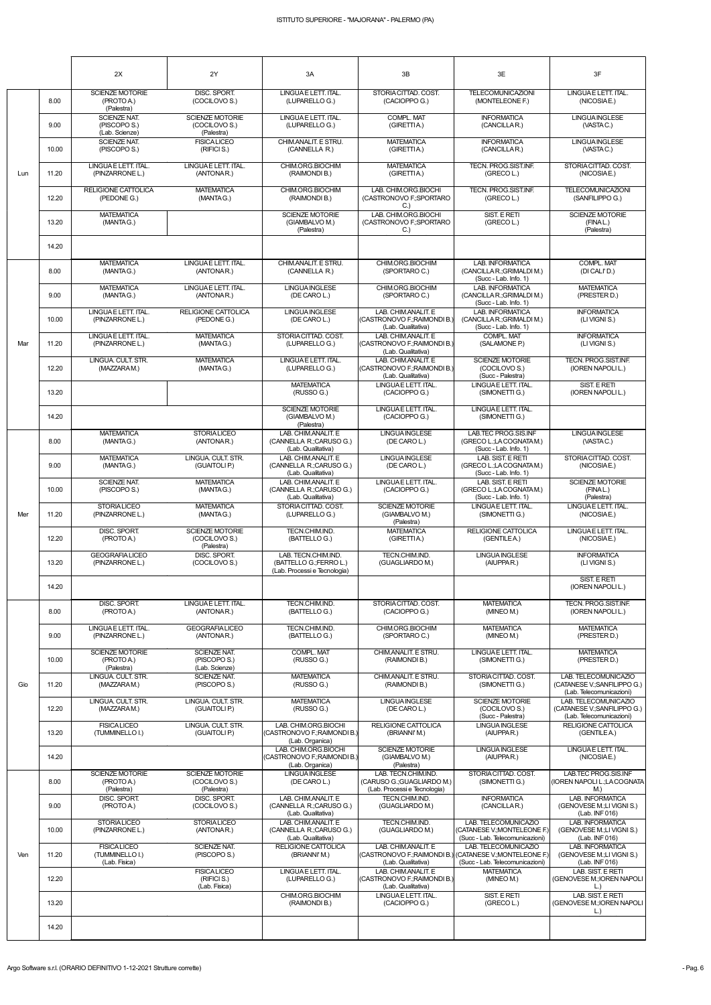|     |       | 2X                                                     | 2Y                                                    | 3A                                                                            | 3B                                                                               | 3E                                                                                                                 | 3F                                                                               |
|-----|-------|--------------------------------------------------------|-------------------------------------------------------|-------------------------------------------------------------------------------|----------------------------------------------------------------------------------|--------------------------------------------------------------------------------------------------------------------|----------------------------------------------------------------------------------|
|     | 8.00  | <b>SCIENZE MOTORIE</b><br>(PROTO A.)<br>(Palestra)     | DISC. SPORT.<br>(COCILOVO S.)                         | LINGUA E LETT. ITAL.<br>(LUPARELLO G.)                                        | STORIACITTAD, COST.<br>(CACIOPPO G.)                                             | <b>TELECOMUNICAZIONI</b><br>(MONTELEONE F.)                                                                        | LINGUAE LETT. ITAL.<br>(NICOSIAE.)                                               |
|     | 9.00  | <b>SCIENZE NAT.</b><br>(PISCOPO S.)<br>(Lab. Scienze)  | <b>SCIENZE MOTORIE</b><br>(COCILOVO S.)<br>(Palestra) | LINGUA E LETT. ITAL.<br>(LUPARELLO G.)                                        | COMPL. MAT<br>(GIRETTIA.)                                                        | <b>INFORMATICA</b><br>(CANCILLAR.)                                                                                 | <b>LINGUA INGLESE</b><br>(VASTAC.)                                               |
|     | 10.00 | SCIENZE NAT.<br>(PISCOPO S.)                           | <b>FISICALICEO</b><br>(RIFICI S.)                     | CHIM.ANALIT. E STRU.<br>(CANNELLA R.)                                         | <b>MATEMATICA</b><br>(GIRETTIA.)                                                 | <b>INFORMATICA</b><br>(CANCILLAR.)                                                                                 | <b>LINGUA INGLESE</b><br>(VASTAC.)                                               |
| Lun | 11.20 | LINGUAE LETT. ITAL.<br>(PINZARRONE L.)                 | LINGUAE LETT. ITAL.<br>(ANTONAR.)                     | CHIM.ORG.BIOCHIM<br>(RAIMONDI B.)                                             | <b>MATEMATICA</b><br>(GIRETTIA.)                                                 | TECN. PROG.SIST.INF.<br>(GRECOL.)                                                                                  | STORIACITTAD. COST.<br>(NICOSIAE.)                                               |
|     | 12.20 | <b>RELIGIONE CATTOLICA</b><br>(PEDONE G.)              | <b>MATEMATICA</b><br>(MANTAG.)                        | CHIM.ORG.BIOCHIM<br>(RAIMONDI B.)                                             | LAB. CHIM.ORG.BIOCHI<br>(CASTRONOVO F.; SPORTARO<br>C.                           | TECN. PROG.SIST.INF.<br>(GRECOL.)                                                                                  | <b>TELECOMUNICAZIONI</b><br>(SANFILIPPO G.)                                      |
|     | 13.20 | <b>MATEMATICA</b><br>(MANTAG.)                         |                                                       | <b>SCIENZE MOTORIE</b><br>(GIAMBALVO M.)<br>(Palestra)                        | LAB. CHIM.ORG.BIOCHI<br>(CASTRONOVO F.; SPORTARO<br>C.                           | SIST. E RETI<br>(GRECOL.)                                                                                          | <b>SCIENZE MOTORIE</b><br>(FINAL.)<br>(Palestra)                                 |
|     | 14.20 |                                                        |                                                       |                                                                               |                                                                                  |                                                                                                                    |                                                                                  |
|     | 8.00  | <b>MATEMATICA</b><br>(MANTAG.)                         | LINGUAE LETT. ITAL.<br>(ANTONAR.)                     | CHIM ANALIT. E STRU.<br>(CANNELLA R.)                                         | CHIM.ORG.BIOCHIM<br>(SPORTARO C.)                                                | LAB. INFORMATICA<br>(CANCILLAR.; GRIMALDI M.)<br>(Succ - Lab. Info. 1)                                             | <b>COMPL. MAT</b><br>(DI CALI'D.)                                                |
|     | 9.00  | <b>MATEMATICA</b><br>(MANTAG.)                         | LINGUAE LETT. ITAL.<br>(ANTONAR.)                     | <b>LINGUA INGLESE</b><br>(DE CARO L.)                                         | CHIM.ORG.BIOCHIM<br>(SPORTARO C.)                                                | <b>LAB. INFORMATICA</b><br>(CANCILLAR.; GRIMALDI M.)<br>(Succ - Lab. Info. 1)                                      | <b>MATEMATICA</b><br>(PRESTER D.)                                                |
|     | 10.00 | LINGUAE LETT. ITAL.<br>(PINZARRONE L.)                 | RELIGIONE CATTOLICA<br>(PEDONE G.)                    | <b>LINGUA INGLESE</b><br>(DE CARO L.)                                         | LAB. CHIM.ANALIT. E<br>(CASTRONOVO F.; RAIMONDI B.<br>(Lab. Qualitativa)         | <b>LAB. INFORMATICA</b><br>(CANCILLA R.; GRIMALDI M.)<br>(Succ - Lab. Info. 1)                                     | <b>INFORMATICA</b><br>(LIVIGNIS.)                                                |
| Mar | 11.20 | LINGUAE LETT. ITAL.<br>(PINZARRONE L.)                 | <b>MATEMATICA</b><br>(MANTAG.)                        | STORIA CITTAD, COST.<br>(LUPARELLO G.)                                        | LAB. CHIM.ANALIT. E<br>(CASTRONOVO F.; RAIMONDI B.<br>(Lab. Qualitativa)         | COMPL. MAT<br>(SALAMONE P.)                                                                                        | <b>INFORMATICA</b><br>(LIVIGNIS.)                                                |
|     | 12.20 | LINGUA, CULT. STR.<br>(MAZZARAM.)                      | <b>MATEMATICA</b><br>(MANTAG.)                        | LINGUA E LETT. ITAL.<br>(LUPARELLO G.)                                        | LAB. CHIM.ANALIT. E<br>(CASTRONOVO F.; RAIMONDI B.)<br>(Lab. Qualitativa)        | <b>SCIENZE MOTORIE</b><br>(COCILOVO S.)<br>(Succ - Palestra)                                                       | <b>TECN. PROG.SIST.INF.</b><br>(IOREN NAPOLI L.)                                 |
|     | 13.20 |                                                        |                                                       | <b>MATEMATICA</b><br>(RUSSO G.)                                               | LINGUAE LETT. ITAL.<br>(CACIOPPO G.)                                             | LINGUAE LETT. ITAL.<br>(SIMONETTI G.)                                                                              | SIST. E RETI<br>(IOREN NAPOLI L.)                                                |
|     | 14.20 |                                                        |                                                       | <b>SCIENZE MOTORIE</b><br>(GIAMBALVO M.)<br>(Palestra)                        | LINGUAE LETT. ITAL.<br>(CACIOPPO G.)                                             | LINGUA E LETT. ITAL.<br>(SIMONETTI G.)                                                                             |                                                                                  |
|     | 8.00  | <b>MATEMATICA</b><br>(MANTAG.)                         | <b>STORIALICEO</b><br>(ANTONAR.)                      | LAB. CHIM.ANALIT. E<br>(CANNELLA R.:CARUSO G.)<br>(Lab. Qualitativa)          | <b>LINGUA INGLESE</b><br>(DE CARO L.)                                            | LAB.TEC PROG.SIS.INF<br>(GRECO L.;LACOGNATAM.)<br>(Succ - Lab. Info. 1)                                            | <b>LINGUA INGLESE</b><br>(VASTAC.)                                               |
|     | 9.00  | <b>MATEMATICA</b><br>(MANTAG.)                         | LINGUA. CULT. STR.<br>(GUAITOLI P.)                   | LAB. CHIM.ANALIT. E<br>(CANNELLA R.; CARUSO G.)<br>(Lab. Qualitativa)         | <b>LINGUA INGLESE</b><br>(DE CARO L.)                                            | LAB. SIST. E RETI<br>(GRECO L.;LA COGNATA M.)<br>(Succ - Lab. Info. 1)                                             | STORIACITTAD, COST.<br>(NICOSIAE.)                                               |
|     | 10.00 | <b>SCIENZE NAT.</b><br>(PISCOPO S.)                    | <b>MATEMATICA</b><br>(MANTAG.)                        | LAB. CHIM.ANALIT. E<br>(CANNELLA R.; CARUSO G.)<br>(Lab. Qualitativa)         | LINGUAE LETT. ITAL.<br>(CACIOPPO G.)                                             | LAB. SIST. E RETI<br>(GRECO L.;LA COGNATA M.)<br>(Succ - Lab. Info. 1)                                             | <b>SCIENZE MOTORIE</b><br>(FINAL.)<br>(Palestra)                                 |
| Mer | 11.20 | <b>STORIALICEO</b><br>(PINZARRONE L.)                  | <b>MATEMATICA</b><br>(MANTAG.)                        | STORIA CITTAD. COST.<br>(LUPARELLO G.)                                        | <b>SCIENZE MOTORIE</b><br>(GIAMBALVO M.)<br>(Palestra)                           | LINGUAE LETT. ITAL.<br>(SIMONETTI G.)                                                                              | LINGUAE LETT. ITAL.<br>(NICOSIAE.)                                               |
|     | 12.20 | DISC. SPORT.<br>(PROTO A.)                             | <b>SCIENZE MOTORIE</b><br>(COCILOVO S.)<br>(Palestra) | TECN.CHIM.IND.<br>(BATTELLOG.)                                                | <b>MATEMATICA</b><br>(GIRETTIA.)                                                 | <b>RELIGIONE CATTOLICA</b><br>(GENTILE A.)                                                                         | LINGUAE LETT. ITAL.<br>(NICOSIAE.)                                               |
|     | 13.20 | <b>GEOGRAFIALICEO</b><br>(PINZARRONE L.)               | DISC. SPORT.<br>(COCILOVO S.)                         | LAB. TECN.CHIM.IND.<br>(BATTELLO G.;FERRO L.)<br>(Lab. Processi e Tecnologia) | TECN.CHIM.IND.<br>(GUAGLIARDO M.)                                                | <b>LINGUA INGLESE</b><br>(AIUPPAR.)                                                                                | <b>INFORMATICA</b><br>(LIVIGNIS.)<br>SIST. E RETI                                |
|     | 14.20 |                                                        |                                                       |                                                                               |                                                                                  |                                                                                                                    | (IOREN NAPOLI L.)                                                                |
|     | 8.00  | DISC. SPORT.<br>(PROTO A.)                             | LINGUAE LETT. ITAL.<br>(ANTONAR.)                     | TECN.CHIM.IND.<br>(BATTELLOG.)                                                | STORIACITTAD, COST.<br>(CACIOPPO G.)                                             | <b>MATEMATICA</b><br>(MINEO M.)                                                                                    | TECN. PROG.SIST.INF.<br>(IOREN NAPOLI L.)                                        |
|     | 9.00  | LINGUAE LETT. ITAL.<br>(PINZARRONE L.)                 | <b>GEOGRAFIALICEO</b><br>(ANTONAR.)                   | TECN.CHIM.IND.<br>(BATTELLOG.)                                                | CHIM.ORG.BIOCHIM<br>(SPORTARO C.)                                                | <b>MATEMATICA</b><br>(MINEO M.)                                                                                    | <b>MATEMATICA</b><br>(PRESTER D.)                                                |
|     | 10.00 | <b>SCIENZE MOTORIE</b><br>(PROTO A.)<br>(Palestra)     | <b>SCIENZE NAT.</b><br>(PISCOPO S.)<br>(Lab. Scienze) | COMPL. MAT<br>(RUSSO G.)                                                      | CHIM.ANALIT. E STRU.<br>(RAIMONDI B.)                                            | LINGUAE LETT. ITAL.<br>(SIMONETTI G.)                                                                              | <b>MATEMATICA</b><br>(PRESTER D.)                                                |
| Gio | 11.20 | LINGUA. CULT. STR.<br>(MAZZARAM.)                      | <b>SCIENZE NAT.</b><br>(PISCOPO S.)                   | <b>MATEMATICA</b><br>(RUSSO G.)                                               | CHIM.ANALIT. E STRU.<br>(RAIMONDI B.)                                            | STORIA CITTAD. COST.<br>(SIMONETTI G.)                                                                             | LAB. TELECOMUNICAZIO<br>(CATANESE V.; SANFILIPPO G.)<br>(Lab. Telecomunicazioni) |
|     | 12.20 | LINGUA. CULT. STR.<br>(MAZZARAM.)                      | LINGUA. CULT. STR.<br>(GUAITOLI P.)                   | <b>MATEMATICA</b><br>(RUSSO G.)                                               | <b>LINGUA INGLESE</b><br>(DE CARO L.)                                            | <b>SCIENZE MOTORIE</b><br>(COCILOVO S.)<br>(Succ - Palestra)                                                       | LAB. TELECOMUNICAZIO<br>(CATANESE V.; SANFILIPPO G.)<br>(Lab. Telecomunicazioni) |
|     | 13.20 | <b>FISICALICEO</b><br>(TUMMINELLO I.)                  | LINGUA, CULT, STR.<br>(GUAITOLI P.)                   | LAB. CHIM.ORG.BIOCHI<br>(CASTRONOVO F.; RAIMONDI B.)<br>(Lab. Organica)       | RELIGIONE CATTOLICA<br>(BRIANNI'M.)                                              | <b>LINGUA INGLESE</b><br>(AIUPPAR.)                                                                                | <b>RELIGIONE CATTOLICA</b><br>(GENTILE A.)                                       |
|     | 14.20 |                                                        |                                                       | LAB. CHIM.ORG.BIOCHI<br>(CASTRONOVO F.; RAIMONDI B.)<br>(Lab. Organica)       | <b>SCIENZE MOTORIE</b><br>(GIAMBALVO M.)<br>(Palestra)                           | <b>LINGUA INGLESE</b><br>(AIUPPAR.)                                                                                | LINGUAE LETT. ITAL.<br>(NICOSIAE.)                                               |
|     | 8.00  | <b>SCIENZE MOTORIE</b><br>(PROTO A.)<br>(Palestra)     | <b>SCIENZE MOTORIE</b><br>(COCILOVO S.)<br>(Palestra) | LINGUA INGLESE<br>(DE CARO L.)                                                | LAB. TECN.CHIM.IND.<br>(CARUSO G.:GUAGLIARDO M.)<br>(Lab. Processi e Tecnologia) | STORIA CITTAD. COST.<br>(SIMONETTI G.)                                                                             | LAB.TEC PROG.SIS.INF<br>(IOREN NAPOLI L.; LA COGNATA<br>M.)                      |
|     | 9.00  | <b>DISC. SPORT.</b><br>(PROTO A.)                      | DISC. SPORT.<br>(COCILOVO S.)                         | LAB. CHIM.ANALIT. E<br>(CANNELLA R.; CARUSO G.)<br>(Lab. Qualitativa)         | TECN.CHIM.IND.<br>(GUAGLIARDO M.)                                                | <b>INFORMATICA</b><br>(CANCILLAR.)                                                                                 | LAB. INFORMATICA<br>(GENOVESE M.:LI VIGNI S.)<br>(Lab. INF 016)                  |
|     | 10.00 | <b>STORIALICEO</b><br>(PINZARRONE L.)                  | <b>STORIALICEO</b><br>(ANTONAR.)                      | LAB. CHIM.ANALIT. E<br>(CANNELLA R.; CARUSO G.)<br>(Lab. Qualitativa)         | TECN.CHIM.IND.<br>(GUAGLIARDO M.)                                                | LAB. TELECOMUNICAZIO<br>(CATANESE V.; MONTELEONE F.)<br>(Succ - Lab. Telecomunicazioni)                            | LAB. INFORMATICA<br>(GENOVESE M.;LI VIGNI S.)<br>(Lab. INF 016)                  |
| Ven | 11.20 | <b>FISICALICEO</b><br>(TUMMINELLO I.)<br>(Lab. Fisica) | <b>SCIENZE NAT.</b><br>(PISCOPO S.)                   | RELIGIONE CATTOLICA<br>(BRIANNI'M.)                                           | LAB. CHIM.ANALIT. E<br>(Lab. Qualitativa)                                        | LAB. TELECOMUNICAZIO<br>(CASTRONOVO F.;RAIMONDI B.) (CATANESE V.;MONTELEONE F.)<br>(Succ - Lab. Telecomunicazioni) | <b>LAB. INFORMATICA</b><br>(GENOVESE M.;LI VIGNI S.)<br>(Lab. INF 016)           |
|     | 12.20 |                                                        | <b>FISICALICEO</b><br>(RIFICI S.)<br>(Lab. Fisica)    | LINGUA E LETT. ITAL.<br>(LUPARELLO G.)                                        | LAB. CHIM.ANALIT. E<br>(CASTRONOVO F.;RAIMONDI B.)<br>(Lab. Qualitativa)         | <b>MATEMATICA</b><br>(MINEO M.)                                                                                    | LAB. SIST. E RETI<br>(GENOVESE M.; IOREN NAPOLI<br>$\lfloor . \rfloor$           |
|     | 13.20 |                                                        |                                                       | CHIM.ORG.BIOCHIM<br>(RAIMONDI B.)                                             | LINGUAE LETT. ITAL.<br>(CACIOPPO G.)                                             | SIST. E RETI<br>(GRECOL.)                                                                                          | LAB. SIST. E RETI<br>(GENOVESE M.; IOREN NAPOLI<br>$\lfloor$ .)                  |
|     | 14.20 |                                                        |                                                       |                                                                               |                                                                                  |                                                                                                                    |                                                                                  |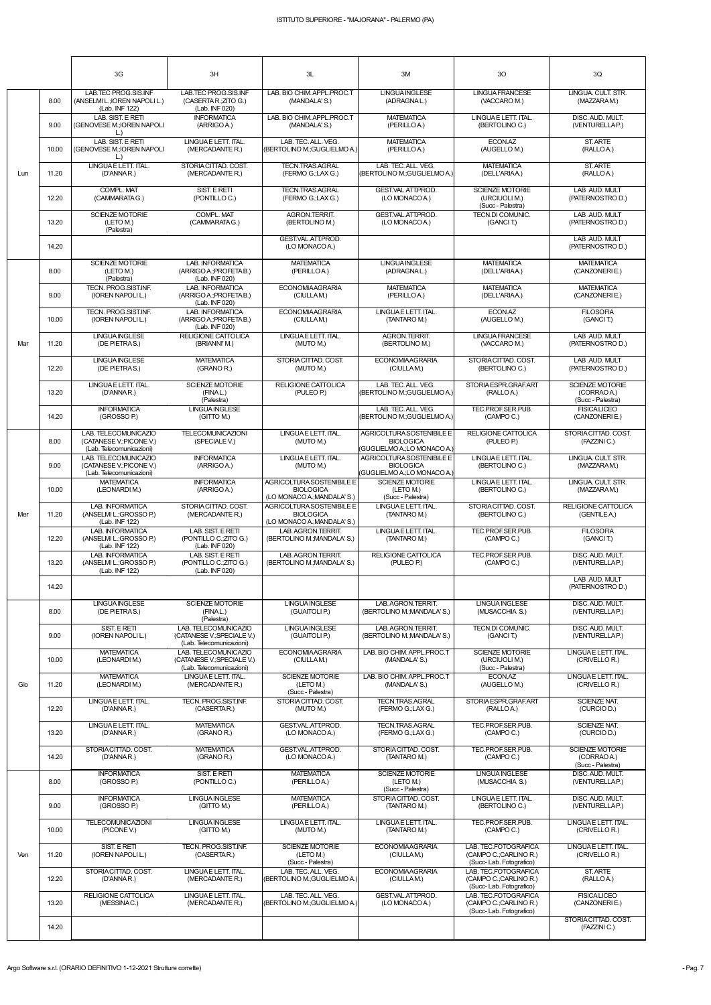|     |       | 3G                                                                           | 3H                                                                             | 3L                                                                           | 3M                                                                           | 3O                                                                       | 3Q                                                         |
|-----|-------|------------------------------------------------------------------------------|--------------------------------------------------------------------------------|------------------------------------------------------------------------------|------------------------------------------------------------------------------|--------------------------------------------------------------------------|------------------------------------------------------------|
|     | 8.00  | LAB.TEC PROG.SIS.INF<br>(ANSELMI L.; IOREN NAPOLI L.)<br>(Lab. INF 122)      | LAB.TEC PROG.SIS.INF<br>(CASERTAR: ZITO G.)<br>(Lab. INF 020)                  | LAB. BIO CHIM. APPL.PROC.T<br>(MANDALA'S.)                                   | <b>LINGUA INGLESE</b><br>(ADRAGNAL.)                                         | <b>LINGUA FRANCESE</b><br>(VACCARO M.)                                   | LINGUA. CULT. STR.<br>(MAZZARAM.)                          |
|     | 9.00  | LAB. SIST. E RETI<br>(GENOVESE M.; IOREN NAPOLI<br>$\lfloor . \rfloor$       | <b>INFORMATICA</b><br>(ARRIGO A.)                                              | LAB. BIO CHIM. APPL.PROC.T<br>(MANDALA'S.)                                   | <b>MATEMATICA</b><br>(PERILLOA.)                                             | LINGUAE LETT. ITAL.<br>(BERTOLINO C.)                                    | DISC. AUD. MULT.<br>(VENTURELLAP.)                         |
|     | 10.00 | LAB. SIST. E RETI<br>(GENOVESE M.; IOREN NAPOLI<br>$\lfloor . \rfloor$       | LINGUAE LETT. ITAL.<br>(MERCADANTE R.)                                         | LAB. TEC. ALL. VEG.<br>(BERTOLINO M.;GUGLIELMO A.)                           | <b>MATEMATICA</b><br>(PERILLOA.)                                             | ECON.AZ<br>(AUGELLO M.)                                                  | ST. ARTE<br>(RALLOA.)                                      |
| Lun | 11.20 | LINGUAE LETT. ITAL.<br>(D'ANNAR.)                                            | STORIACITTAD, COST.<br>(MERCADANTE R.)                                         | <b>TECN.TRAS.AGRAL</b><br>(FERMO G.;LAX G.)                                  | LAB. TEC. ALL. VEG.<br>(BERTOLINO M.;GUGLIELMO A.)                           | <b>MATEMATICA</b><br>(DELL'ARIAA.)                                       | ST. ARTE<br>(RALLOA.)                                      |
|     | 12.20 | COMPL. MAT<br>(CAMMARATAG.)                                                  | SIST. E RETI<br>(PONTILLO C.)                                                  | <b>TECN.TRAS.AGRAL</b><br>(FERMO G.;LAX G.)                                  | GEST.VAL.ATT.PROD.<br>(LO MONACO A.)                                         | <b>SCIENZE MOTORIE</b><br>(URCIUOLI M.)<br>(Succ - Palestra)             | LAB AUD. MULT<br>(PATERNOSTRO D.)                          |
|     | 13.20 | SCIENZE MOTORIE<br>(LETO M.)<br>(Palestra)                                   | <b>COMPL, MAT</b><br>(CAMMARATA G.)                                            | AGRON.TERRIT.<br>(BERTOLINO M.)                                              | GEST.VAL.ATT.PROD.<br>(LO MONACO A.)                                         | TECN.DI COMUNIC.<br>(GANCIT.)                                            | LAB AUD. MULT<br>(PATERNOSTRO D.)                          |
|     | 14.20 |                                                                              |                                                                                | GEST.VAL.ATT.PROD.<br>(LO MONACO A.)                                         |                                                                              |                                                                          | LAB .AUD. MULT<br>(PATERNOSTRO D.)                         |
|     | 8.00  | <b>SCIENZE MOTORIE</b><br>(LETO M.)<br>(Palestra)                            | <b>LAB. INFORMATICA</b><br>(ARRIGO A.; PROFETA B.)<br>(Lab. INF 020)           | <b>MATEMATICA</b><br>(PERILLOA.)                                             | <b>LINGUAINGLESE</b><br>(ADRAGNAL.)                                          | <b>MATEMATICA</b><br>(DELL'ARIAA.)                                       | <b>MATEMATICA</b><br>(CANZONERIE.)                         |
|     | 9.00  | <b>TECN. PROG.SIST.INF.</b><br>(IOREN NAPOLI L.)                             | LAB. INFORMATICA<br>(ARRIGO A.; PROFETA B.)<br>(Lab. INF 020)                  | <b>ECONOMIAAGRARIA</b><br>(CIULLAM.)                                         | <b>MATEMATICA</b><br>(PERILLOA.)                                             | <b>MATEMATICA</b><br>(DELL'ARIAA.)                                       | <b>MATEMATICA</b><br>(CANZONERIE.)                         |
|     | 10.00 | TECN. PROG.SIST.INF.<br>(IOREN NAPOLI L.)                                    | <b>LAB. INFORMATICA</b><br>(ARRIGO A.; PROFETA B.)<br>(Lab. INF 020)           | <b>ECONOMIAAGRARIA</b><br>(CIULLAM.)                                         | LINGUAE LETT. ITAL.<br>(TANTARO M.)                                          | ECON.AZ<br>(AUGELLO M.)                                                  | <b>FILOSOFIA</b><br>(GANCIT.)                              |
| Mar | 11.20 | <b>LINGUAINGLESE</b><br>(DE PIETRAS.)                                        | RELIGIONE CATTOLICA<br>(BRIANNI'M.)                                            | LINGUA E LETT. ITAL.<br>(MUTO M.)                                            | AGRON.TERRIT.<br>(BERTOLINO M.)                                              | <b>LINGUA FRANCESE</b><br>(VACCARO M.)                                   | LAB AUD. MULT<br>(PATERNOSTRO D.)                          |
|     | 12.20 | <b>LINGUAINGLESE</b><br>(DE PIETRAS.)                                        | <b>MATEMATICA</b><br>(GRANO R.)                                                | STORIA CITTAD. COST.<br>(MUTO M.)                                            | <b>ECONOMIAAGRARIA</b><br>(CIULLAM.)                                         | STORIA CITTAD. COST.<br>(BERTOLINO C.)                                   | LAB AUD. MULT<br>(PATERNOSTRO D.)                          |
|     | 13.20 | LINGUAE LETT. ITAL.<br>(D'ANNAR.)                                            | <b>SCIENZE MOTORIE</b><br>(FINAL.)<br>(Palestra)                               | RELIGIONE CATTOLICA<br>(PULEO P.)                                            | LAB. TEC. ALL. VEG.<br>(BERTOLINO M.;GUGLIELMO A.)                           | STORIA ESPR.GRAF.ART<br>(RALLOA.)                                        | <b>SCIENZE MOTORIE</b><br>(CORRAO A.)<br>(Succ - Palestra) |
|     | 14.20 | <b>INFORMATICA</b><br>(GROSSO P.)                                            | <b>LINGUAINGLESE</b><br>(GITTO M.)                                             |                                                                              | LAB. TEC. ALL. VEG.<br>(BERTOLINO M.: GUGLIELMO A.)                          | TEC.PROF.SER.PUB.<br>(CAMPO C.)                                          | <b>FISICALICEO</b><br>(CANZONERIE.)                        |
|     | 8.00  | LAB. TELECOMUNICAZIO<br>(CATANESE V.; PICONE V.)<br>(Lab. Telecomunicazioni) | <b>TELECOMUNICAZIONI</b><br>(SPECIALE V.)                                      | LINGUA E LETT. ITAL.<br>(MUTO M.)                                            | AGRICOLTURA SOSTENIBILE E<br><b>BIOLOGICA</b><br>(GUGLIELMO A.;LO MONACO A.) | <b>RELIGIONE CATTOLICA</b><br>(PULEO P.)                                 | STORIACITTAD. COST.<br>(FAZZINI C.)                        |
|     | 9.00  | LAB. TELECOMUNICAZIO<br>(CATANESE V.; PICONE V.)<br>(Lab. Telecomunicazioni) | <b>INFORMATICA</b><br>(ARRIGO A.)                                              | LINGUA E LETT. ITAL.<br>(MUTO M.)                                            | AGRICOLTURA SOSTENIBILE E<br><b>BIOLOGICA</b><br>(GUGLIELMO A.;LO MONACO A.) | LINGUAE LETT. ITAL.<br>(BERTOLINO C.)                                    | LINGUA. CULT. STR.<br>(MAZZARAM.)                          |
|     | 10.00 | <b>MATEMATICA</b><br>(LEONARDIM.)                                            | <b>INFORMATICA</b><br>(ARRIGO A.)                                              | AGRICOLTURA SOSTENIBILE E<br><b>BIOLOGICA</b><br>(LO MONACO A.; MANDALA' S.) | <b>SCIENZE MOTORIE</b><br>(LETO M.)<br>(Succ - Palestra)                     | LINGUAE LETT. ITAL.<br>(BERTOLINO C.)                                    | LINGUA. CULT. STR.<br>(MAZZARAM.)                          |
| Mer | 11.20 | <b>LAB. INFORMATICA</b><br>(ANSELMI L.; GROSSO P.)<br>(Lab. INF 122)         | STORIA CITTAD, COST.<br>(MERCADANTE R.)                                        | AGRICOLTURA SOSTENIBILE E<br><b>BIOLOGICA</b><br>(LO MONACO A.; MANDALA' S.) | LINGUAE LETT. ITAL.<br>(TANTARO M.)                                          | STORIA CITTAD, COST.<br>(BERTOLINO C.)                                   | <b>RELIGIONE CATTOLICA</b><br>(GENTILE A.)                 |
|     | 12.20 | <b>LAB. INFORMATICA</b><br>(ANSELMI L.; GROSSO P.)<br>(Lab. INF 122)         | LAB. SIST. E RETI<br>(PONTILLO C.; ZITO G.)<br>(Lab. INF 020)                  | LAB. AGRON. TERRIT.<br>(BERTOLINO M.; MANDALA' S.)                           | LINGUAE LETT. ITAL.<br>(TANTARO M.)                                          | TEC.PROF.SER.PUB.<br>(CAMPO C.)                                          | <b>FILOSOFIA</b><br>(GANCIT.)                              |
|     | 13.20 | LAB. INFORMATICA<br>(ANSELMI L.; GROSSO P.)<br>(Lab. INF 122)                | LAB. SIST. E RETI<br>(PONTILLO C.; ZITO G.)<br>(Lab. INF 020)                  | LAB. AGRON.TERRIT.<br>(BERTOLINO M.; MANDALA' S.)                            | RELIGIONE CATTOLICA<br>(PULEO P.)                                            | TEC.PROF.SER.PUB.<br>(CAMPO C.)                                          | DISC. AUD. MULT.<br>(VENTURELLAP.)                         |
|     | 14.20 |                                                                              |                                                                                |                                                                              |                                                                              |                                                                          | LAB .AUD. MULT<br>(PATERNOSTRO D.)                         |
|     | 8.00  | <b>LINGUA INGLESE</b><br>(DE PIETRAS.)                                       | <b>SCIENZE MOTORIE</b><br>(FINAL.)<br>(Palestra)                               | <b>LINGUA INGLESE</b><br>(GUAITOLI P.)                                       | LAB. AGRON.TERRIT.<br>(BERTOLINO M.; MANDALA' S.)                            | <b>LINGUA INGLESE</b><br>(MUSACCHIA S.)                                  | DISC. AUD. MULT.<br>(VENTURELLAP.)                         |
|     | 9.00  | SIST. E RETI<br>(IOREN NAPOLI L.)                                            | LAB. TELECOMUNICAZIO<br>(CATANESE V.; SPECIALE V.)<br>(Lab. Telecomunicazioni) | <b>LINGUA INGLESE</b><br>(GUAITOLI P.)                                       | LAB. AGRON.TERRIT.<br>(BERTOLINO M.; MANDALA' S.)                            | <b>TECN.DI COMUNIC.</b><br>(GANCIT.)                                     | DISC. AUD. MULT.<br>(VENTURELLAP.)                         |
|     | 10.00 | <b>MATEMATICA</b><br>(LEONARDIM.)                                            | LAB. TELECOMUNICAZIO<br>(CATANESE V.; SPECIALE V.)<br>(Lab. Telecomunicazioni) | <b>ECONOMIAAGRARIA</b><br>(CIULLAM.)                                         | LAB. BIO CHIM. APPL.PROC.T<br>(MANDALA'S.)                                   | <b>SCIENZE MOTORIE</b><br>(URCIUOLI M.)<br>(Succ - Palestra)             | LINGUAE LETT. ITAL.<br>(CRIVELLO R.)                       |
| Gio | 11.20 | <b>MATEMATICA</b><br>(LEONARDIM.)                                            | LINGUAE LETT. ITAL.<br>(MERCADANTE R.)                                         | <b>SCIENZE MOTORIE</b><br>(LETO M.)<br>(Succ - Palestra)                     | LAB. BIO CHIM. APPL.PROC.T<br>(MANDALA'S.)                                   | ECON.AZ<br>(AUGELLO M.)                                                  | LINGUAE LETT. ITAL.<br>(CRIVELLO R.)                       |
|     | 12.20 | LINGUA E LETT. ITAL.<br>(D'ANNAR.)                                           | TECN. PROG.SIST.INF.<br>(CASERTAR.)                                            | STORIA CITTAD. COST.<br>(MUTO M.)                                            | <b>TECN.TRAS.AGRAL</b><br>(FERMO G.;LAX G.)                                  | STORIA ESPR.GRAF.ART<br>(RALLOA.)                                        | <b>SCIENZE NAT.</b><br>(CURCIO D.)                         |
|     | 13.20 | LINGUAE LETT. ITAL.<br>(D'ANNAR.)                                            | <b>MATEMATICA</b><br>(GRANO R.)                                                | GEST.VAL.ATT.PROD.<br>(LO MONACO A.)                                         | TECN.TRAS.AGRAL<br>(FERMO G.;LAX G.)                                         | TEC.PROF.SER.PUB.<br>(CAMPO C.)                                          | <b>SCIENZE NAT.</b><br>(CURCIO D.)                         |
|     | 14.20 | STORIA CITTAD, COST.<br>(D'ANNAR.)                                           | <b>MATEMATICA</b><br>(GRANO R.)                                                | GEST.VAL.ATT.PROD.<br>(LO MONACO A.)                                         | STORIACITTAD, COST.<br>(TANTARO M.)                                          | TEC.PROF.SER.PUB.<br>(CAMPO C.)                                          | <b>SCIENZE MOTORIE</b><br>(CORRAO A.)<br>(Succ - Palestra) |
|     | 8.00  | <b>INFORMATICA</b><br>(GROSSO P.)                                            | SIST. E RETI<br>(PONTILLOC.)                                                   | <b>MATEMATICA</b><br>(PERILLOA.)                                             | <b>SCIENZE MOTORIE</b><br>(LETO M.)<br>(Succ - Palestra)                     | <b>LINGUA INGLESE</b><br>(MUSACCHIA S.)                                  | DISC. AUD. MULT.<br>(VENTURELLAP.)                         |
|     | 9.00  | <b>INFORMATICA</b><br>(GROSSO P.)                                            | <b>LINGUA INGLESE</b><br>(GITTO M.)                                            | <b>MATEMATICA</b><br>(PERILLOA.)                                             | STORIA CITTAD, COST.<br>(TANTARO M.)                                         | LINGUAE LETT. ITAL.<br>(BERTOLINO C.)                                    | DISC. AUD. MULT.<br>(VENTURELLAP.)                         |
|     | 10.00 | <b>TELECOMUNICAZIONI</b><br>(PICONE V.)                                      | <b>LINGUAINGLESE</b><br>(GITTO M.)                                             | LINGUA E LETT. ITAL.<br>(MUTO M.)                                            | LINGUAE LETT. ITAL.<br>(TANTARO M.)                                          | TEC.PROF.SER.PUB.<br>(CAMPO C.)                                          | LINGUA E LETT. ITAL.<br>(CRIVELLO R.)                      |
| Ven | 11.20 | SIST. E RETI<br>(IOREN NAPOLI L.)                                            | TECN. PROG.SIST.INF.<br>(CASERTAR.)                                            | <b>SCIENZE MOTORIE</b><br>(LETO M.)<br>(Succ - Palestra)                     | <b>ECONOMIAAGRARIA</b><br>(CIULLAM.)                                         | LAB. TEC.FOTOGRAFICA<br>(CAMPO C.;CARLINO R.)<br>(Succ-Lab. Fotografico) | LINGUAE LETT. ITAL.<br>(CRIVELLO R.)                       |
|     | 12.20 | STORIACITTAD, COST.<br>(D'ANNAR.)                                            | LINGUAE LETT. ITAL.<br>(MERCADANTE R.)                                         | LAB. TEC. ALL. VEG.<br>(BERTOLINO M.;GUGLIELMO A.)                           | <b>ECONOMIAAGRARIA</b><br>(CIULLAM.)                                         | LAB. TEC.FOTOGRAFICA<br>(CAMPO C.;CARLINO R.)<br>(Succ-Lab. Fotografico) | <b>ST. ARTE</b><br>(RALLOA.)                               |
|     | 13.20 | RELIGIONE CATTOLICA<br>(MESSINAC.)                                           | LINGUAE LETT. ITAL.<br>(MERCADANTE R.)                                         | LAB. TEC. ALL. VEG.<br>(BERTOLINO M.;GUGLIELMO A.)                           | GEST.VAL.ATT.PROD.<br>(LO MONACO A.)                                         | LAB. TEC.FOTOGRAFICA<br>(CAMPO C.;CARLINO R.)<br>(Succ-Lab. Fotografico) | <b>FISICALICEO</b><br>(CANZONERIE.)                        |
|     | 14.20 |                                                                              |                                                                                |                                                                              |                                                                              |                                                                          | STORIACITTAD, COST.<br>(FAZZINI C.)                        |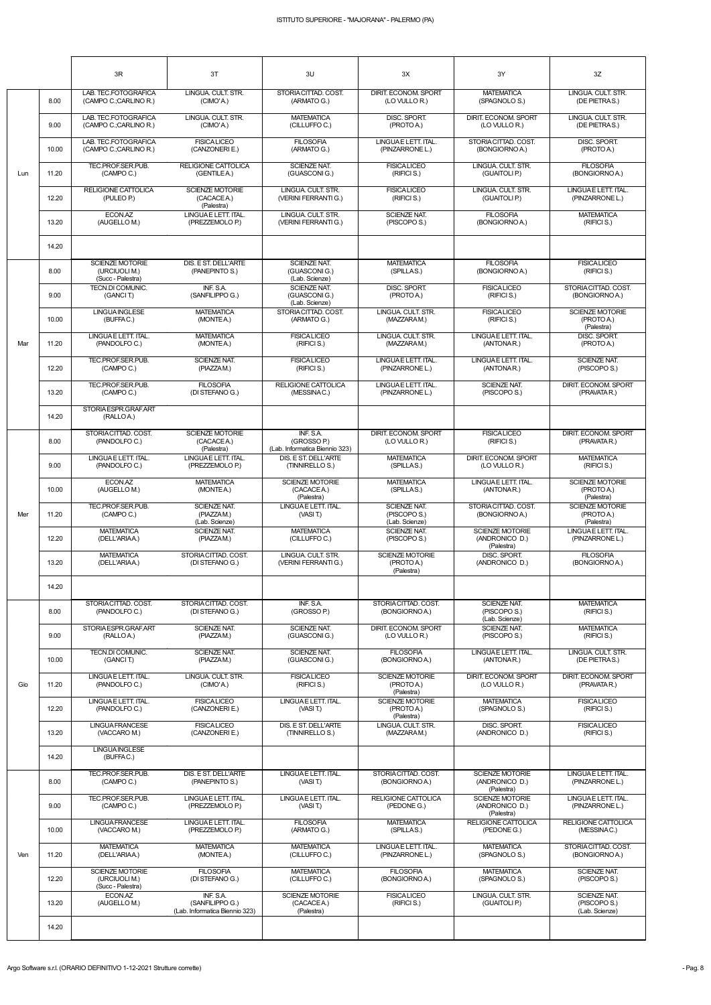|     |       | 3R                                                           | 3T                                                  | 3U                                                         | 3X                                                    | 3Y                                                     | 3Z                                                 |
|-----|-------|--------------------------------------------------------------|-----------------------------------------------------|------------------------------------------------------------|-------------------------------------------------------|--------------------------------------------------------|----------------------------------------------------|
|     | 8.00  | LAB. TEC.FOTOGRAFICA<br>(CAMPO C.;CARLINO R.)                | LINGUA. CULT. STR.<br>(CIMO'A.)                     | STORIA CITTAD. COST.<br>(ARMATO G.)                        | DIRIT. ECONOM. SPORT<br>(LO VULLO R.)                 | <b>MATEMATICA</b><br>(SPAGNOLO S.)                     | LINGUA. CULT. STR.<br>(DE PIETRAS.)                |
|     | 9.00  | LAB. TEC.FOTOGRAFICA<br>(CAMPO C.;CARLINO R.)                | LINGUA, CULT, STR.<br>(CIMO'A.)                     | <b>MATEMATICA</b><br>(CILLUFFO C.)                         | DISC. SPORT.<br>(PROTO A.)                            | DIRIT. ECONOM. SPORT<br>(LO VULLO R.)                  | LINGUA, CULT, STR.<br>(DE PIETRAS.)                |
|     | 10.00 | LAB. TEC.FOTOGRAFICA<br>(CAMPO C.;CARLINO R.)                | <b>FISICA LICEO</b><br>(CANZONERIE.)                | <b>FILOSOFIA</b><br>(ARMATO G.)                            | LINGUAE LETT. ITAL.<br>(PINZARRONE L.)                | STORIA CITTAD. COST.<br>(BONGIORNOA.)                  | DISC. SPORT.<br>(PROTOA.)                          |
| Lun | 11.20 | TEC.PROF.SER.PUB.<br>(CAMPO C.)                              | <b>RELIGIONE CATTOLICA</b><br>(GENTILE A.)          | <b>SCIENZE NAT.</b><br>(GUASCONIG.)                        | <b>FISICALICEO</b><br>(RIFICI S.)                     | LINGUA. CULT. STR.<br>(GUAITOLI P.)                    | <b>FILOSOFIA</b><br>(BONGIORNO A.)                 |
|     | 12.20 | RELIGIONE CATTOLICA<br>(PULEO P.)                            | <b>SCIENZE MOTORIE</b><br>(CACACEA.)<br>(Palestra)  | LINGUA. CULT. STR.<br>(VERINI FERRANTI G.)                 | <b>FISICALICEO</b><br>(RIFICI S.)                     | LINGUA, CULT, STR.<br>(GUAITOLI P.)                    | LINGUAE LETT. ITAL.<br>(PINZARRONE L.)             |
|     | 13.20 | ECON.AZ<br>(AUGELLO M.)                                      | LINGUAE LETT. ITAL.<br>(PREZZEMOLO P.)              | LINGUA. CULT. STR.<br>(VERINI FERRANTI G.)                 | <b>SCIENZE NAT.</b><br>(PISCOPO S.)                   | <b>FILOSOFIA</b><br>(BONGIORNOA.)                      | <b>MATEMATICA</b><br>(RIFICI S.)                   |
|     | 14.20 |                                                              |                                                     |                                                            |                                                       |                                                        |                                                    |
|     | 8.00  | <b>SCIENZE MOTORIE</b><br>(URCIUOLI M.)<br>(Succ - Palestra) | <b>DIS. E ST. DELL'ARTE</b><br>(PANEPINTO S.)       | <b>SCIENZE NAT.</b><br>(GUASCONIG.)<br>(Lab. Scienze)      | <b>MATEMATICA</b><br>(SPILLAS.)                       | <b>FILOSOFIA</b><br>(BONGIORNOA.)                      | <b>FISICALICEO</b><br>(RIFICI S.)                  |
|     | 9.00  | <b>TECN.DI COMUNIC.</b><br>(GANCIT.)                         | INF. S.A.<br>(SANFILIPPO G.)                        | <b>SCIENZE NAT.</b><br>(GUASCONIG.)<br>(Lab. Scienze)      | DISC. SPORT.<br>(PROTO A.)                            | <b>FISICALICEO</b><br>(RIFICI S.)                      | STORIACITTAD, COST.<br>(BONGIORNO A.)              |
|     | 10.00 | <b>LINGUAINGLESE</b><br>(BUFFAC.)                            | <b>MATEMATICA</b><br>(MONTEA.)                      | STORIA CITTAD. COST.<br>(ARMATO G.)                        | LINGUA. CULT. STR.<br>(MAZZARAM.)                     | <b>FISICALICEO</b><br>(RIFICI S.)                      | SCIENZE MOTORIE<br>(PROTO A.)<br>(Palestra)        |
| Mar | 11.20 | LINGUAE LETT. ITAL.<br>(PANDOLFO C.)                         | <b>MATEMATICA</b><br>(MONTEA.)                      | <b>FISICALICEO</b><br>(RIFICI S.)                          | LINGUA. CULT. STR.<br>(MAZZARAM.)                     | LINGUA E LETT. ITAL.<br>(ANTONAR.)                     | DISC. SPORT.<br>(PROTO A.)                         |
|     | 12.20 | TEC.PROF.SER.PUB.<br>(CAMPO C.)                              | <b>SCIENZE NAT.</b><br>(PIAZZAM.)                   | <b>FISICALICEO</b><br>(RIFICI S.)                          | LINGUA E LETT. ITAL.<br>(PINZARRONE L.)               | LINGUAE LETT. ITAL.<br>(ANTONAR.)                      | <b>SCIENZE NAT.</b><br>(PISCOPO S.)                |
|     | 13.20 | TEC.PROF.SER.PUB.<br>(CAMPO C.)                              | <b>FILOSOFIA</b><br>(DI STEFANO G.)                 | RELIGIONE CATTOLICA<br>(MESSINAC.)                         | LINGUAE LETT. ITAL.<br>(PINZARRONE L.)                | SCIENZE NAT.<br>(PISCOPO S.)                           | DIRIT. ECONOM. SPORT<br>(PRAVATAR.)                |
|     | 14.20 | STORIAESPR.GRAF.ART<br>(RALLOA.)                             |                                                     |                                                            |                                                       |                                                        |                                                    |
|     | 8.00  | STORIACITTAD. COST.<br>(PANDOLFOC.)                          | <b>SCIENZE MOTORIE</b><br>(CACACEA.)<br>(Palestra)  | INF. S.A.<br>(GROSSO P.)<br>(Lab. Informatica Biennio 323) | DIRIT. ECONOM. SPORT<br>(LO VULLO R.)                 | <b>FISICALICEO</b><br>(RIFICI S.)                      | DIRIT. ECONOM. SPORT<br>(PRAVATAR.)                |
|     | 9.00  | LINGUAE LETT. ITAL.<br>(PANDOLFO C.)                         | LINGUAE LETT. ITAL.<br>(PREZZEMOLO P.)              | DIS. E ST. DELL'ARTE<br>(TINNIRELLO S.)                    | <b>MATEMATICA</b><br>(SPILLAS.)                       | DIRIT. ECONOM. SPORT<br>(LO VULLO R.)                  | <b>MATEMATICA</b><br>(RIFICI S.)                   |
|     | 10.00 | ECON.AZ<br>(AUGELLO M.)                                      | <b>MATEMATICA</b><br>(MONTEA.)                      | <b>SCIENZE MOTORIE</b><br>(CACACEA.)<br>(Palestra)         | <b>MATEMATICA</b><br>(SPILLAS.)                       | LINGUAE LETT. ITAL.<br>(ANTONAR.)                      | <b>SCIENZE MOTORIE</b><br>(PROTO A.)<br>(Palestra) |
| Mer | 11.20 | TEC.PROF.SER.PUB.<br>(CAMPO C.)                              | <b>SCIENZE NAT.</b><br>(PIAZZAM.)<br>(Lab. Scienze) | LINGUA E LETT. ITAL.<br>(VASI T.)                          | <b>SCIENZE NAT.</b><br>(PISCOPO S.)<br>(Lab. Scienze) | STORIA CITTAD. COST.<br>(BONGIORNOA.)                  | <b>SCIENZE MOTORIE</b><br>(PROTO A.)<br>(Palestra) |
|     | 12.20 | <b>MATEMATICA</b><br>(DELL'ARIAA.)                           | SCIENZE NAT.<br>(PIAZZAM.)                          | <b>MATEMATICA</b><br>(CILLUFFO C.)                         | SCIENZE NAT.<br>(PISCOPO S.)                          | <b>SCIENZE MOTORIE</b><br>(ANDRONICO D.)<br>(Palestra) | LINGUA E LETT. ITAL.<br>(PINZARRONE L.)            |
|     | 13.20 | <b>MATEMATICA</b><br>(DELL'ARIAA.)                           | STORIACITTAD. COST.<br>(DI STEFANO G.)              | LINGUA. CULT. STR.<br>(VERINI FERRANTI G.)                 | <b>SCIENZE MOTORIE</b><br>(PROTO A.)<br>(Palestra)    | DISC. SPORT.<br>(ANDRONICO D.)                         | <b>FILOSOFIA</b><br>(BONGIORNO A.)                 |
|     | 14.20 |                                                              |                                                     |                                                            |                                                       |                                                        |                                                    |
|     | 8.00  | STORIACITTAD. COST.<br>(PANDOLFO C.)                         | STORIACITTAD. COST.<br>(DI STEFANO G.)              | INF. S.A.<br>(GROSSO P.)                                   | STORIACITTAD. COST.<br>(BONGIORNO A.)                 | <b>SCIENZE NAT.</b><br>(PISCOPO S.)<br>(Lab. Scienze)  | <b>MATEMATICA</b><br>(RIFICI S.)                   |
|     | 9.00  | STORIAESPR.GRAF.ART<br>(RALLOA.)                             | SCIENZE NAT.<br>(PIAZZAM.)                          | SCIENZE NAT.<br>(GUASCONIG.)                               | DIRIT. ECONOM. SPORT<br>(LO VULLO R.)                 | SCIENZE NAT.<br>(PISCOPO S.)                           | <b>MATEMATICA</b><br>(RIFICI S.)                   |
|     | 10.00 | TECN.DI COMUNIC.<br>(GANCIT.)                                | <b>SCIENZE NAT.</b><br>(PIAZZAM.)                   | SCIENZE NAT.<br>(GUASCONIG.)                               | <b>FILOSOFIA</b><br>(BONGIORNO A.)                    | LINGUAE LETT. ITAL.<br>(ANTONAR.)                      | LINGUA. CULT. STR.<br>(DE PIETRAS.)                |
| Gio | 11.20 | LINGUAE LETT. ITAL.<br>(PANDOLFO C.)                         | LINGUA. CULT. STR.<br>(CIMO'A.)                     | <b>FISICALICEO</b><br>(RIFICIS.)                           | <b>SCIENZE MOTORIE</b><br>(PROTO A.)<br>(Palestra)    | DIRIT. ECONOM. SPORT<br>(LO VULLO R.)                  | DIRIT. ECONOM. SPORT<br>(PRAVATA R.)               |
|     | 12.20 | LINGUAE LETT. ITAL.<br>(PANDOLFO C.)                         | <b>FISICA LICEO</b><br>(CANZONERIE.)                | LINGUA E LETT. ITAL.<br>(VASI T.)                          | <b>SCIENZE MOTORIE</b><br>(PROTO A.)<br>(Palestra)    | <b>MATEMATICA</b><br>(SPAGNOLO S.)                     | <b>FISICALICEO</b><br>(RIFICI S.)                  |
|     | 13.20 | <b>LINGUA FRANCESE</b><br>(VACCARO M.)                       | <b>FISICALICEO</b><br>(CANZONERIE.)                 | DIS. E ST. DELL'ARTE<br>(TINNIRELLO S.)                    | LINGUA, CULT, STR.<br>(MAZZARAM.)                     | DISC. SPORT.<br>(ANDRONICO D.)                         | <b>FISICALICEO</b><br>(RIFICI S.)                  |
|     | 14.20 | <b>LINGUAINGLESE</b><br>(BUFFAC.)                            |                                                     |                                                            |                                                       |                                                        |                                                    |

|     | 14.20 | (BUFFAC.)                                                    |                                                                |                                                    |                                        |                                                        |                                                       |
|-----|-------|--------------------------------------------------------------|----------------------------------------------------------------|----------------------------------------------------|----------------------------------------|--------------------------------------------------------|-------------------------------------------------------|
| Ven | 8.00  | TEC.PROF.SER.PUB.<br>(CAMPO C.)                              | DIS. E ST. DELL'ARTE<br>(PANEPINTO S.)                         | LINGUA E LETT. ITAL.<br>(VASIT)                    | STORIACITTAD, COST.<br>(BONGIORNO A.)  | <b>SCIENZE MOTORIE</b><br>(ANDRONICO D.)<br>(Palestra) | LINGUA E LETT. ITAL.<br>(PINZARRONE L.)               |
|     | 9.00  | TEC.PROF.SER.PUB.<br>(CAMPO C.)                              | LINGUA E LETT. ITAL.<br>(PREZZEMOLO P.)                        | LINGUA E LETT. ITAL.<br>(VASIT)                    | RELIGIONE CATTOLICA<br>(PEDONE G.)     | <b>SCIENZE MOTORIE</b><br>(ANDRONICO D.)<br>(Palestra) | LINGUAE LETT. ITAL.<br>(PINZARRONE L.)                |
|     | 10.00 | LINGUA FRANCESE<br>(VACCARO M.)                              | LINGUAE LETT. ITAL.<br>(PREZZEMOLO P.)                         | <b>FILOSOFIA</b><br>(ARMATO G.)                    | <b>MATEMATICA</b><br>(SPILLAS.)        | <b>RELIGIONE CATTOLICA</b><br>(PEDONE G.)              | RELIGIONE CATTOLICA<br>(MESSINAC.)                    |
|     | 11.20 | <b>MATEMATICA</b><br>(DELL'ARIAA.)                           | <b>MATEMATICA</b><br>(MONTEA.)                                 | <b>MATEMATICA</b><br>(CILLUFFOC.)                  | LINGUAE LETT. ITAL.<br>(PINZARRONE L.) | <b>MATEMATICA</b><br>(SPAGNOLO S.)                     | STORIACITTAD, COST.<br>(BONGIORNO A.)                 |
|     | 12.20 | <b>SCIENZE MOTORIE</b><br>(URCIUOLI M.)<br>(Succ - Palestra) | <b>FILOSOFIA</b><br>(DI STEFANO G.)                            | <b>MATEMATICA</b><br>(CILLUFFO C.)                 | <b>FILOSOFIA</b><br>(BONGIORNO A.)     | <b>MATEMATICA</b><br>(SPAGNOLO S.)                     | <b>SCIENZE NAT.</b><br>(PISCOPO S.)                   |
|     | 13.20 | ECON.AZ<br>(AUGELLO M.)                                      | INF. S.A.<br>(SANFILIPPO G.)<br>(Lab. Informatica Biennio 323) | <b>SCIENZE MOTORIE</b><br>(CACACEA.)<br>(Palestra) | <b>FISICALICEO</b><br>(RIFICI S.)      | LINGUA, CULT. STR.<br>(GUAITOLI P.)                    | <b>SCIENZE NAT.</b><br>(PISCOPO S.)<br>(Lab. Scienze) |
|     | 14.20 |                                                              |                                                                |                                                    |                                        |                                                        |                                                       |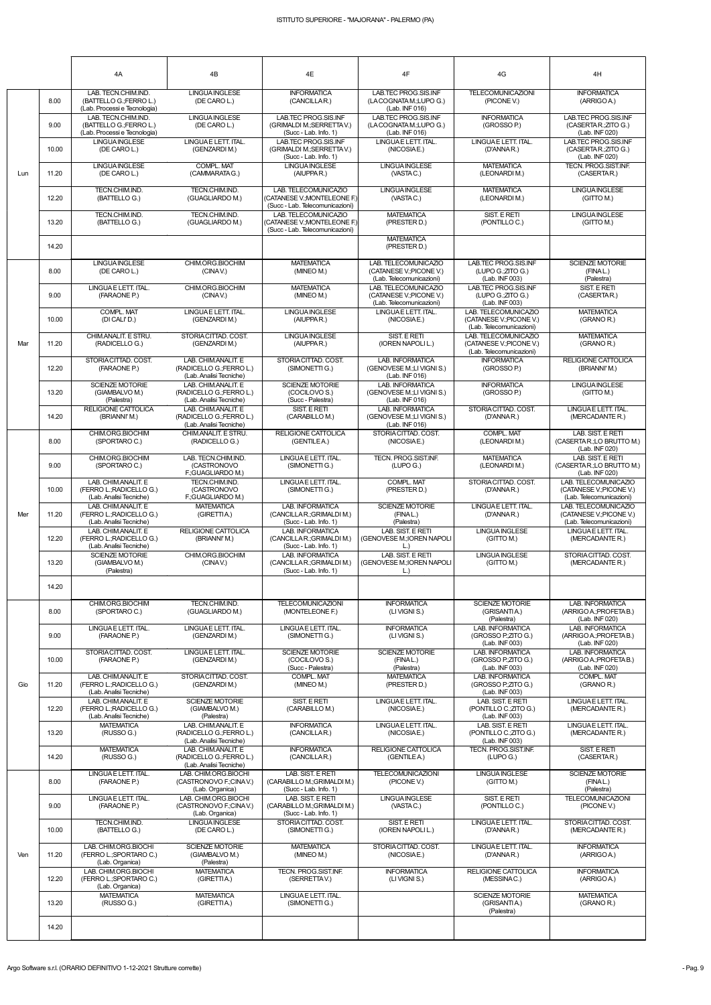|     |       | 4A                                                                             | 4B                                                                         | 4E                                                                                      | 4F                                                                           | 4G                                                                           | 4H                                                                           |
|-----|-------|--------------------------------------------------------------------------------|----------------------------------------------------------------------------|-----------------------------------------------------------------------------------------|------------------------------------------------------------------------------|------------------------------------------------------------------------------|------------------------------------------------------------------------------|
|     | 8.00  | LAB. TECN.CHIM.IND.<br>(BATTELLO G.;FERRO L.)<br>(Lab. Processi e Tecnologia)  | LINGUA INGLESE<br>(DE CARO L.)                                             | <b>INFORMATICA</b><br>(CANCILLAR.)                                                      | LAB.TEC PROG.SIS.INF<br>(LACOGNATAM.;LUPO G.)<br>(Lab. INF 016)              | <b>TELECOMUNICAZIONI</b><br>(PICONE V.)                                      | <b>INFORMATICA</b><br>(ARRIGO A.)                                            |
|     | 9.00  | LAB. TECN.CHIM.IND.<br>(BATTELLO G.; FERRO L.)<br>(Lab. Processi e Tecnologia) | <b>LINGUAINGLESE</b><br>(DE CARO L.)                                       | LAB.TEC PROG.SIS.INF<br>(GRIMALDI M.; SERRETTAV.)<br>(Succ - Lab. Info. 1)              | LAB TEC PROG SIS INF<br>(LACOGNATAM.;LUPO G.)<br>(Lab. INF 016)              | <b>INFORMATICA</b><br>(GROSSO P.)                                            | LAB.TEC PROG.SIS.INF<br>(CASERTAR: ZITO G.)<br>(Lab. INF 020)                |
|     | 10.00 | <b>LINGUA INGLESE</b><br>(DE CARO L.)                                          | LINGUAE LETT. ITAL.<br>(GENZARDIM.)                                        | LAB.TEC PROG.SIS.INF<br>(GRIMALDI M.; SERRETTA V.)<br>(Succ - Lab. Info. 1)             | LINGUAE LETT. ITAL.<br>(NICOSIAE.)                                           | LINGUAE LETT. ITAL.<br>(D'ANNAR.)                                            | LAB.TEC PROG.SIS.INF<br>(CASERTAR: ZITO G.)<br>(Lab. INF 020)                |
| Lun | 11.20 | <b>LINGUA INGLESE</b><br>(DE CARO L.)                                          | <b>COMPL. MAT</b><br>(CAMMARATAG.)                                         | <b>LINGUA INGLESE</b><br>(AIUPPAR.)                                                     | LINGUA INGLESE<br>(VASTAC.)                                                  | <b>MATEMATICA</b><br>(LEONARDIM.)                                            | TECN. PROG.SIST.INF.<br>(CASERTAR.)                                          |
|     | 12.20 | TECN.CHIM.IND.<br>(BATTELLO G.)                                                | TECN.CHIM.IND.<br>(GUAGLIARDO M.)                                          | LAB. TELECOMUNICAZIO<br>(CATANESE V.; MONTELEONE F.)<br>(Succ - Lab. Telecomunicazioni) | <b>LINGUAINGLESE</b><br>(VASTAC.)                                            | <b>MATEMATICA</b><br>(LEONARDIM.)                                            | <b>LINGUAINGLESE</b><br>(GITTO M.)                                           |
|     | 13.20 | TECN.CHIM.IND.<br>(BATTELLO G.)                                                | TECN.CHIM.IND.<br>(GUAGLIARDO M.)                                          | LAB. TELECOMUNICAZIO<br>(CATANESE V.; MONTELEONE F.)<br>(Succ - Lab. Telecomunicazioni) | <b>MATEMATICA</b><br>(PRESTER D.)                                            | SIST. E RETI<br>(PONTILLO C.)                                                | <b>LINGUAINGLESE</b><br>(GITTO M.)                                           |
|     | 14.20 |                                                                                |                                                                            |                                                                                         | <b>MATEMATICA</b><br>(PRESTER D.)                                            |                                                                              |                                                                              |
|     | 8.00  | <b>LINGUA INGLESE</b><br>(DE CARO L.)                                          | CHIM.ORG.BIOCHIM<br>(CINAV)                                                | <b>MATEMATICA</b><br>(MINEO M.)                                                         | LAB. TELECOMUNICAZIO<br>(CATANESE V.; PICONE V.)<br>(Lab. Telecomunicazioni) | LAB.TEC PROG.SIS.INF<br>(LUPO G.; ZITO G.)<br>(Lab. INF 003)                 | <b>SCIENZE MOTORIE</b><br>(FINAL.)<br>(Palestra)                             |
|     | 9.00  | LINGUAE LETT. ITAL.<br>(FARAONE P.)                                            | CHIM.ORG.BIOCHIM<br>(CINAV)                                                | <b>MATEMATICA</b><br>(MINEO M.)                                                         | LAB. TELECOMUNICAZIO<br>(CATANESE V.; PICONE V.)<br>(Lab. Telecomunicazioni) | LAB.TEC PROG.SIS.INF<br>(LUPO G.;ZITO G.)<br>(Lab. INF 003)                  | SIST. E RETI<br>(CASERTAR.)                                                  |
|     | 10.00 | <b>COMPL. MAT</b><br>(DI CALI'D.)                                              | LINGUAE LETT. ITAL.<br>(GENZARDI M.)                                       | <b>LINGUA INGLESE</b><br>(AIUPPAR.)                                                     | LINGUAE LETT. ITAL.<br>(NICOSIAE.)                                           | LAB. TELECOMUNICAZIO<br>(CATANESE V.; PICONE V.)<br>(Lab. Telecomunicazioni) | <b>MATEMATICA</b><br>(GRANO R.)                                              |
| Mar | 11.20 | CHIM.ANALIT. E STRU.<br>(RADICELLO G.)                                         | STORIACITTAD, COST.<br>(GENZARDIM.)                                        | <b>LINGUA INGLESE</b><br>(AIUPPAR.)                                                     | SIST. E RETI<br>(IOREN NAPOLI L.)                                            | LAB. TELECOMUNICAZIO<br>(CATANESE V.; PICONE V.)<br>(Lab. Telecomunicazioni) | <b>MATEMATICA</b><br>(GRANO R.)                                              |
|     | 12.20 | STORIACITTAD, COST.<br>(FARAONE P.)                                            | LAB. CHIM.ANALIT. E<br>(RADICELLO G.; FERRO L.)<br>(Lab. Analisi Tecniche) | STORIA CITTAD, COST.<br>(SIMONETTI G.)                                                  | <b>LAB. INFORMATICA</b><br>(GENOVESE M.;LI VIGNI S.)<br>(Lab. INF 016)       | <b>INFORMATICA</b><br>(GROSSO P.)                                            | <b>RELIGIONE CATTOLICA</b><br>(BRIANNI'M.)                                   |
|     | 13.20 | <b>SCIENZE MOTORIE</b><br>(GIAMBALVO M.)<br>(Palestra)                         | LAB. CHIM.ANALIT. E<br>(RADICELLO G.;FERRO L.)<br>(Lab. Analisi Tecniche)  | <b>SCIENZE MOTORIE</b><br>(COCILOVO S.)<br>(Succ - Palestra)                            | <b>LAB. INFORMATICA</b><br>(GENOVESE M.;LI VIGNI S.)<br>(Lab. INF 016)       | <b>INFORMATICA</b><br>(GROSSO P.)                                            | LINGUA INGLESE<br>(GITTO M.)                                                 |
|     | 14.20 | <b>RELIGIONE CATTOLICA</b><br>(BRIANNI'M.)                                     | LAB. CHIM.ANALIT. E<br>(RADICELLO G.; FERRO L.)<br>(Lab. Analisi Tecniche) | SIST. E RETI<br>(CARABILLO M.)                                                          | <b>LAB. INFORMATICA</b><br>(GENOVESE M.;LI VIGNI S.)<br>(Lab. INF 016)       | STORIA CITTAD, COST.<br>(D'ANNAR.)                                           | LINGUAE LETT. ITAL.<br>(MERCADANTE R.)                                       |
| Mer | 8.00  | CHIM.ORG.BIOCHIM<br>(SPORTARO C.)                                              | CHIM.ANALIT. E STRU.<br>(RADICELLO G.)                                     | RELIGIONE CATTOLICA<br>(GENTILEA.)                                                      | STORIACITTAD, COST.<br>(NICOSIAE.)                                           | COMPL. MAT<br>(LEONARDI M.)                                                  | LAB. SIST. E RETI<br>(CASERTA R.;LO BRUTTO M.)<br>(Lab. INF 020)             |
|     | 9.00  | CHIM.ORG.BIOCHIM<br>(SPORTARO C.)                                              | LAB. TECN.CHIM.IND.<br>(CASTRONOVO<br>F.; GUAGLIARDO M.)                   | LINGUA E LETT. ITAL.<br>(SIMONETTI G.)                                                  | TECN. PROG.SIST.INF.<br>(LUPO G.)                                            | <b>MATEMATICA</b><br>(LEONARDIM.)                                            | LAB. SIST. E RETI<br>(CASERTAR.: LO BRUTTO M.)<br>(Lab. INF 020)             |
|     | 10.00 | LAB. CHIM.ANALIT. E<br>(FERRO L.; RADICELLO G.)<br>(Lab. Analisi Tecniche)     | TECN.CHIM.IND.<br>(CASTRONOVO<br>F.; GUAGLIARDO M.)                        | LINGUA E LETT. ITAL.<br>(SIMONETTI G.)                                                  | <b>COMPL. MAT</b><br>(PRESTER D.)                                            | STORIA CITTAD, COST.<br>(D'ANNAR.)                                           | LAB. TELECOMUNICAZIO<br>(CATANESE V.; PICONE V.)<br>(Lab. Telecomunicazioni) |
|     | 11.20 | LAB. CHIM.ANALIT. E<br>(FERRO L.: RADICELLO G.)<br>(Lab. Analisi Tecniche)     | <b>MATEMATICA</b><br>(GIRETTIA.)                                           | <b>LAB. INFORMATICA</b><br>(CANCILLAR: GRIMALDI M.)<br>(Succ - Lab. Info. 1)            | <b>SCIENZE MOTORIE</b><br>(FINAL.)<br>(Palestra)                             | LINGUAE LETT. ITAL.<br>(D'ANNAR.)                                            | LAB. TELECOMUNICAZIO<br>(CATANESE V.; PICONE V.)<br>(Lab. Telecomunicazioni) |
|     | 12.20 | LAB. CHIM.ANALIT. E<br>(FERRO L.; RADICELLO G.)<br>(Lab. Analisi Tecniche)     | RELIGIONE CATTOLICA<br>(BRIANNI'M.)                                        | <b>LAB. INFORMATICA</b><br>(CANCILLAR.; GRIMALDI M.)<br>$(Succ - Lab. Info. 1)$         | LAB. SIST. E RETI<br>(GENOVESE M.; IOREN NAPOLI<br>$\lfloor . \rfloor$       | <b>LINGUA INGLESE</b><br>(GITTO M.)                                          | LINGUAE LETT. ITAL.<br>(MERCADANTE R.)                                       |
|     | 13.20 | SCIENZE MOTORIE<br>(GIAMBALVO M.)<br>(Palestra)                                | CHIM.ORG.BIOCHIM<br>(CINAV)                                                | <b>LAB. INFORMATICA</b><br>(CANCILLAR.; GRIMALDI M.)<br>(Succ - Lab. Info. 1)           | LAB. SIST. E RETI<br>(GENOVESE M.; IOREN NAPOLI<br>$\lfloor$ .)              | <b>LINGUA INGLESE</b><br>(GITTO M.)                                          | STORIA CITTAD. COST.<br>(MERCADANTE R.)                                      |
|     | 14.20 |                                                                                |                                                                            |                                                                                         |                                                                              |                                                                              |                                                                              |
|     | 8.00  | CHIM.ORG.BIOCHIM<br>(SPORTARO C.)                                              | TECN.CHIM.IND.<br>(GUAGLIARDO M.)                                          | <b>TELECOMUNICAZIONI</b><br>(MONTELEONE F.)                                             | <b>INFORMATICA</b><br>(LI VIGNI S.)                                          | <b>SCIENZE MOTORIE</b><br>(GRISANTIA.)<br>(Palestra)                         | <b>LAB. INFORMATICA</b><br>(ARRIGO A.; PROFETA B.)<br>(Lab. INF 020)         |
|     | 9.00  | LINGUAE LETT. ITAL.<br>(FARAONE P.)                                            | LINGUAE LETT. ITAL.<br>(GENZARDIM.)                                        | LINGUA E LETT. ITAL.<br>(SIMONETTI G.)                                                  | <b>INFORMATICA</b><br>(LIVIGNIS.)                                            | <b>LAB. INFORMATICA</b><br>(GROSSO P: ZITO G.)<br>(Lab. INF 003)             | <b>LAB. INFORMATICA</b><br>(ARRIGO A.; PROFETA B.)<br>(Lab. INF 020)         |
|     | 10.00 | STORIACITTAD. COST.<br>(FARAONE P.)                                            | LINGUAE LETT. ITAL.<br>(GENZARDIM.)                                        | <b>SCIENZE MOTORIE</b><br>(COCILOVO S.)<br>(Succ - Palestra)                            | <b>SCIENZE MOTORIE</b><br>(FINAL.)<br>(Palestra)                             | LAB. INFORMATICA<br>(GROSSO P: ZITO G.)<br>(Lab. INF 003)                    | <b>LAB. INFORMATICA</b><br>(ARRIGO A.; PROFETA B.)<br>(Lab. INF 020)         |
| Gio | 11.20 | LAB. CHIM.ANALIT. E<br>(FERRO L.; RADICELLO G.)<br>(Lab. Analisi Tecniche)     | STORIACITTAD. COST.<br>(GENZARDIM.)                                        | COMPL. MAT<br>(MINEO M.)                                                                | <b>MATEMATICA</b><br>(PRESTER D.)                                            | LAB. INFORMATICA<br>(GROSSO P: ZITO G.)<br>(Lab. INF 003)                    | <b>COMPL. MAT</b><br>(GRANO R.)                                              |
|     | 12.20 | LAB. CHIM.ANALIT. E<br>(FERRO L.; RADICELLO G.)<br>(Lab. Analisi Tecniche)     | <b>SCIENZE MOTORIE</b><br>(GIAMBALVO M.)<br>(Palestra)                     | SIST. E RETI<br>(CARABILLO M.)                                                          | LINGUAE LETT. ITAL.<br>(NICOSIAE.)                                           | LAB. SIST. E RETI<br>(PONTILLO C.; ZITO G.)<br>(Lab. INF 003)                | LINGUAE LETT. ITAL.<br>(MERCADANTE R.)                                       |
|     | 13.20 | <b>MATEMATICA</b><br>(RUSSO G.)                                                | LAB. CHIM.ANALIT. E<br>(RADICELLO G.; FERRO L.)<br>(Lab. Analisi Tecniche) | <b>INFORMATICA</b><br>(CANCILLAR.)                                                      | LINGUAE LETT. ITAL.<br>(NICOSIAE.)                                           | LAB. SIST. E RETI<br>(PONTILLO C.; ZITO G.)<br>(Lab. INF 003)                | LINGUAE LETT. ITAL.<br>(MERCADANTE R.)                                       |
|     | 14.20 | <b>MATEMATICA</b><br>(RUSSO G.)                                                | LAB. CHIM.ANALIT. E<br>(RADICELLO G.; FERRO L.)<br>(Lab. Analisi Tecniche) | <b>INFORMATICA</b><br>(CANCILLAR.)                                                      | RELIGIONE CATTOLICA<br>(GENTILE A.)                                          | TECN. PROG.SIST.INF.<br>(LUPO G.)                                            | SIST. E RETI<br>(CASERTAR.)                                                  |
|     | 8.00  | LINGUAE LETT. ITAL.<br>(FARAONE P.)                                            | LAB. CHIM.ORG.BIOCHI<br>(CASTRONOVO F.;CINAV.)<br>(Lab. Organica)          | LAB. SIST. E RETI<br>(CARABILLO M.;GRIMALDI M.)<br>(Succ - Lab. Info. 1)                | <b>TELECOMUNICAZIONI</b><br>(PICONE V.)                                      | <b>LINGUA INGLESE</b><br>(GITTO M.)                                          | <b>SCIENZE MOTORIE</b><br>(FINAL.)<br>(Palestra)                             |
|     | 9.00  | LINGUAE LETT. ITAL.<br>(FARAONE P.)                                            | LAB. CHIM.ORG.BIOCHI<br>(CASTRONOVO F.;CINAV.)<br>(Lab. Organica)          | LAB. SIST. E RETI<br>(CARABILLO M.: GRIMALDI M.)<br>(Succ - Lab. Info. 1)               | LINGUA INGLESE<br>(VASTAC.)                                                  | SIST. E RETI<br>(PONTILLO C.)                                                | <b>TELECOMUNICAZIONI</b><br>(PICONE V.)                                      |
|     | 10.00 | TECN.CHIM.IND.<br>(BATTELLO G.)                                                | LINGUA INGLESE<br>(DE CARO L.)                                             | STORIA CITTAD. COST.<br>(SIMONETTI G.)                                                  | SIST. E RETI<br>(IOREN NAPOLI L.)                                            | LINGUAE LETT. ITAL.<br>(D'ANNAR.)                                            | STORIA CITTAD. COST.<br>(MERCADANTE R.)                                      |
| Ven | 11.20 | LAB. CHIM.ORG.BIOCHI<br>(FERRO L.; SPORTARO C.)<br>(Lab. Organica)             | <b>SCIENZE MOTORIE</b><br>(GIAMBALVO M.)<br>(Palestra)                     | <b>MATEMATICA</b><br>(MINEO M.)                                                         | STORIACITTAD. COST.<br>(NICOSIAE.)                                           | LINGUAE LETT. ITAL.<br>(D'ANNAR.)                                            | <b>INFORMATICA</b><br>(ARRIGO A.)                                            |
|     | 12.20 | LAB. CHIM.ORG.BIOCHI<br>(FERRO L.; SPORTARO C.)<br>(Lab. Organica)             | <b>MATEMATICA</b><br>(GIRETTIA.)                                           | TECN. PROG.SIST.INF.<br>(SERRETTAV.)                                                    | <b>INFORMATICA</b><br>(LI VIGNI S.)                                          | RELIGIONE CATTOLICA<br>(MESSINAC.)                                           | <b>INFORMATICA</b><br>(ARRIGO A.)                                            |
|     | 13.20 | <b>MATEMATICA</b><br>(RUSSO G.)                                                | <b>MATEMATICA</b><br>(GIRETTIA.)                                           | LINGUA E LETT. ITAL.<br>(SIMONETTI G.)                                                  |                                                                              | <b>SCIENZE MOTORIE</b><br>(GRISANTIA.)<br>(Palestra)                         | <b>MATEMATICA</b><br>(GRANO R.)                                              |
|     | 14.20 |                                                                                |                                                                            |                                                                                         |                                                                              |                                                                              |                                                                              |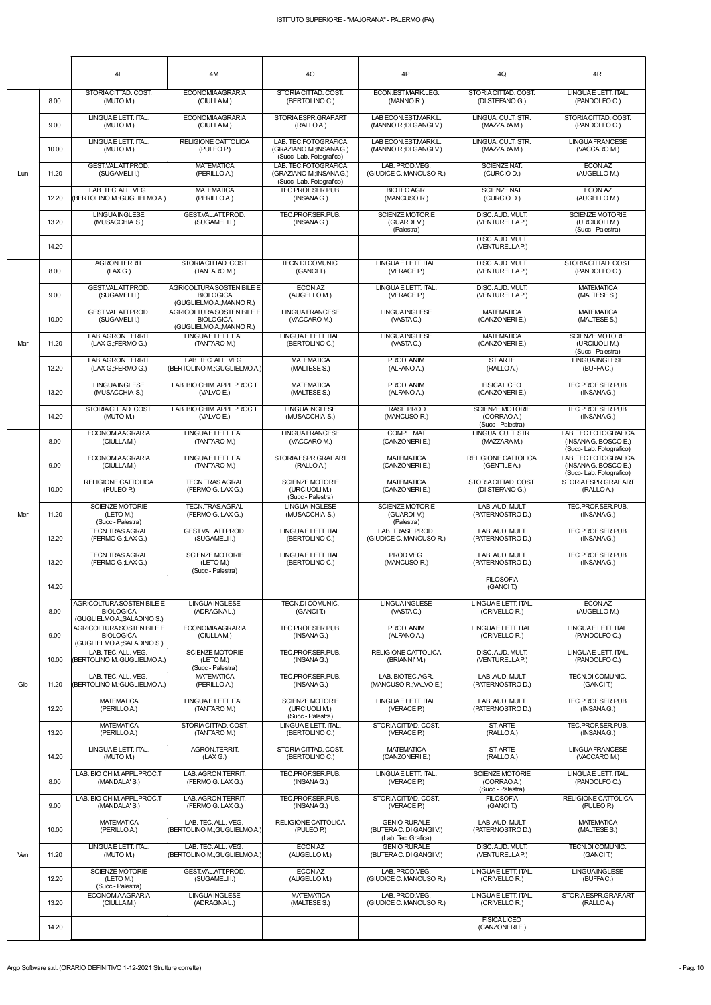|     |       | 4L                                                                           | 4M                                                                        | 40                                                                          | 4P                                                  | 4Q                                                         | 4R                                                                       |
|-----|-------|------------------------------------------------------------------------------|---------------------------------------------------------------------------|-----------------------------------------------------------------------------|-----------------------------------------------------|------------------------------------------------------------|--------------------------------------------------------------------------|
|     | 8.00  | STORIA CITTAD. COST.<br>(MUTO M.)                                            | <b>ECONOMIAAGRARIA</b><br>(CIULLAM.)                                      | STORIA CITTAD, COST.<br>(BERTOLINO C.)                                      | ECON.EST.MARK.LEG.<br>(MANNO R.)                    | STORIA CITTAD, COST.<br>(DI STEFANO G.)                    | LINGUAE LETT. ITAL.<br>(PANDOLFO C.)                                     |
|     | 9.00  | LINGUAE LETT. ITAL.<br>(MUTO M.)                                             | <b>ECONOMIAAGRARIA</b><br>(CIULLAM.)                                      | STORIA ESPR.GRAF.ART<br>(RALLO A.)                                          | LAB ECON.EST.MARK.L.<br>(MANNO R.; DI GANGI V.)     | LINGUA, CULT, STR.<br>(MAZZARAM.)                          | STORIA CITTAD, COST.<br>(PANDOLFO C.)                                    |
|     | 10.00 | LINGUAE LETT. ITAL.<br>(MUTO M.)                                             | <b>RELIGIONE CATTOLICA</b><br>(PULEO P.)                                  | LAB. TEC.FOTOGRAFICA<br>(GRAZIANO M.; INSANA G.)<br>(Succ-Lab. Fotografico) | LAB ECON.EST.MARK.L.<br>(MANNO R.; DI GANGI V.)     | LINGUA, CULT, STR.<br>(MAZZARAM.)                          | <b>LINGUA FRANCESE</b><br>(VACCARO M.)                                   |
| Lun | 11.20 | GEST.VAL.ATT.PROD.<br>(SUGAMELI I.)                                          | <b>MATEMATICA</b><br>(PERILLOA.)                                          | LAB. TEC.FOTOGRAFICA<br>(GRAZIANO M.; INSANA G.)<br>(Succ-Lab. Fotografico) | LAB. PROD.VEG.<br>(GIUDICE C.; MANCUSO R.)          | <b>SCIENZE NAT.</b><br>(CURCIO D.)                         | ECON.AZ<br>(AUGELLOM.)                                                   |
|     | 12.20 | LAB. TEC. ALL. VEG.<br>(BERTOLINO M.; GUGLIELMO A.)                          | <b>MATEMATICA</b><br>(PERILLOA.)                                          | TEC.PROF.SER.PUB.<br>(INSANA G.)                                            | <b>BIOTEC.AGR.</b><br>(MANCUSO R.)                  | <b>SCIENZE NAT.</b><br>(CURCIO D.)                         | ECON.AZ<br>(AUGELLO M.)                                                  |
|     | 13.20 | <b>LINGUA INGLESE</b><br>(MUSACCHIA S.)                                      | GEST.VAL.ATT.PROD.<br>(SUGAMELII.)                                        | TEC.PROF.SER.PUB.<br>(INSANA G.)                                            | <b>SCIENZE MOTORIE</b><br>(GUARDI'V.)<br>(Palestra) | DISC. AUD. MULT.<br>(VENTURELLAP.)                         | <b>SCIENZE MOTORIE</b><br>(URCIUOLI M.)<br>(Succ - Palestra)             |
|     | 14.20 |                                                                              |                                                                           |                                                                             |                                                     | DISC. AUD. MULT.<br>(VENTURELLAP.)                         |                                                                          |
|     | 8.00  | <b>AGRON.TERRIT.</b><br>(LAX G.)                                             | STORIACITTAD, COST.<br>(TANTARO M.)                                       | TECN.DI COMUNIC.<br>(GANCIT.)                                               | LINGUAE LETT. ITAL.<br>(VERACE P.)                  | DISC. AUD. MULT.<br>(VENTURELLAP.)                         | STORIACITTAD, COST.<br>(PANDOLFO C.)                                     |
|     | 9.00  | GEST.VAL.ATT.PROD.<br>(SUGAMELI I.)                                          | AGRICOLTURA SOSTENIBILE E<br><b>BIOLOGICA</b><br>(GUGLIELMO A.; MANNO R.) | ECON.AZ<br>(AUGELLO M.)                                                     | LINGUAE LETT. ITAL.<br>(VERACE P.)                  | DISC. AUD. MULT.<br>(VENTURELLAP.)                         | <b>MATEMATICA</b><br>(MALTESE S.)                                        |
|     | 10.00 | GEST.VAL.ATT.PROD.<br>(SUGAMELI I.)                                          | AGRICOLTURA SOSTENIBILE E<br><b>BIOLOGICA</b><br>(GUGLIELMO A.; MANNO R.) | <b>LINGUA FRANCESE</b><br>(VACCARO M.)                                      | <b>LINGUAINGLESE</b><br>(VASTAC.)                   | <b>MATEMATICA</b><br>(CANZONERIE.)                         | <b>MATEMATICA</b><br>(MALTESE S.)                                        |
| Mar | 11.20 | LAB. AGRON. TERRIT.<br>(LAX G.; FERMO G.)                                    | LINGUAE LETT. ITAL.<br>(TANTARO M.)                                       | LINGUA E LETT. ITAL.<br>(BERTOLINO C.)                                      | <b>LINGUA INGLESE</b><br>(VASTAC.)                  | <b>MATEMATICA</b><br>(CANZONERIE.)                         | SCIENZE MOTORIE<br>(URCIUOLI M.)<br>(Succ - Palestra)                    |
|     | 12.20 | LAB. AGRON. TERRIT.<br>(LAX G.; FERMO G.)                                    | LAB. TEC. ALL. VEG.<br>(BERTOLINO M.; GUGLIELMO A.)                       | <b>MATEMATICA</b><br>(MALTESE S.)                                           | PROD. ANIM<br>(ALFANO A.)                           | ST. ARTE<br>(RALLOA.)                                      | <b>LINGUAINGLESE</b><br>(BUFFAC.)                                        |
|     | 13.20 | <b>LINGUAINGLESE</b><br>(MUSACCHIA S.)                                       | LAB. BIO CHIM. APPL.PROC.T<br>(VALVO E.)                                  | <b>MATEMATICA</b><br>(MALTESE S.)                                           | PROD. ANIM<br>(ALFANO A.)                           | <b>FISICALICEO</b><br>(CANZONERIE.)                        | TEC.PROF.SER.PUB.<br>(INSANAG.)                                          |
|     | 14.20 | STORIACITTAD, COST.<br>(MUTO M.)                                             | LAB. BIO CHIM. APPL.PROC.T<br>(VALVO E.)                                  | <b>LINGUA INGLESE</b><br>(MUSACCHIA S.)                                     | TRASF, PROD.<br>(MANCUSO R.)                        | <b>SCIENZE MOTORIE</b><br>(CORRAO A.)<br>(Succ - Palestra) | TEC.PROF.SER.PUB.<br>(INSANAG.)                                          |
|     | 8.00  | <b>ECONOMIAAGRARIA</b><br>(CIULLAM.)                                         | LINGUAE LETT. ITAL.<br>(TANTARO M.)                                       | <b>LINGUA FRANCESE</b><br>(VACCARO M.)                                      | <b>COMPL. MAT</b><br>(CANZONERIE.)                  | LINGUA. CULT. STR.<br>(MAZZARAM.)                          | LAB. TEC.FOTOGRAFICA<br>(INSANA G.; BOSCO E.)<br>(Succ-Lab. Fotografico) |
|     | 9.00  | <b>ECONOMIAAGRARIA</b><br>(CIULLAM.)                                         | LINGUAE LETT. ITAL.<br>(TANTARO M.)                                       | STORIA ESPR.GRAF.ART<br>(RALLO A.)                                          | <b>MATEMATICA</b><br>(CANZONERIE.)                  | RELIGIONE CATTOLICA<br>(GENTILE A.)                        | LAB. TEC.FOTOGRAFICA<br>(INSANA G.; BOSCO E.)<br>(Succ-Lab. Fotografico) |
|     | 10.00 | RELIGIONE CATTOLICA<br>(PULEO P.)                                            | TECN.TRAS.AGRAL<br>(FERMO G.;LAX G.)                                      | <b>SCIENZE MOTORIE</b><br>(URCIUOLI M.)<br>(Succ - Palestra)                | <b>MATEMATICA</b><br>(CANZONERIE.)                  | STORIA CITTAD, COST.<br>(DI STEFANO G.)                    | STORIA ESPR.GRAF.ART<br>(RALLOA.)                                        |
| Mer | 11.20 | <b>SCIENZE MOTORIE</b><br>(LETO M.)<br>(Succ - Palestra)                     | <b>TECN.TRAS.AGRAL</b><br>(FERMO G.;LAX G.)                               | <b>LINGUA INGLESE</b><br>(MUSACCHIA S.)                                     | SCIENZE MOTORIE<br>(GUARDI'V.)<br>(Palestra)        | LAB .AUD. MULT<br>(PATERNOSTRO D.)                         | TEC.PROF.SER.PUB.<br>(INSANAG.)                                          |
|     | 12.20 | TECN.TRAS.AGRAL<br>(FERMO G.;LAX G.)                                         | GEST.VAL.ATT.PROD.<br>(SUGAMELII.)                                        | LINGUA E LETT. ITAL.<br>(BERTOLINO C.)                                      | LAB. TRASF. PROD.<br>(GIUDICE C.; MANCUSO R.)       | LAB .AUD. MULT<br>(PATERNOSTRO D.)                         | TEC.PROF.SER.PUB.<br>(INSANAG.)                                          |
|     | 13.20 | <b>TECN.TRAS.AGRAL</b><br>(FERMO G.;LAX G.)                                  | <b>SCIENZE MOTORIE</b><br>(LETO M.)<br>(Succ - Palestra)                  | LINGUA E LETT. ITAL.<br>(BERTOLINO C.)                                      | PROD.VEG.<br>(MANCUSO R.)                           | LAB .AUD. MULT<br>(PATERNOSTRO D.)                         | TEC.PROF.SER.PUB.<br>(INSANAG.)                                          |
|     | 14.20 |                                                                              |                                                                           |                                                                             | <b>FILOSOFIA</b><br>(GANCIT.)                       |                                                            |                                                                          |
|     | 8.00  | AGRICOLTURA SOSTENIBILE E<br><b>BIOLOGICA</b><br>(GUGLIELMO A.; SALADINO S.) | <b>LINGUA INGLESE</b><br>(ADRAGNAL.)                                      | TECN.DI COMUNIC.<br>(GANCIT.)                                               | <b>LINGUA INGLESE</b><br>(VASTAC.)                  | LINGUAE LETT. ITAL.<br>(CRIVELLO R.)                       | ECON.AZ<br>(AUGELLOM.)                                                   |
|     | 9.00  | AGRICOLTURA SOSTENIBILE E<br><b>BIOLOGICA</b><br>(GUGLIELMO A.; SALADINO S.) | <b>ECONOMIAAGRARIA</b><br>(CIULLAM.)                                      | TEC.PROF.SER.PUB.<br>(INSANA G.)                                            | PROD. ANIM<br>(ALFANO A.)                           | LINGUAE LETT. ITAL.<br>(CRIVELLO R.)                       | LINGUA E LETT. ITAL.<br>(PANDOLFO C.)                                    |
|     | 10.00 | LAB. TEC. ALL. VEG.<br>(BERTOLINO M.; GUGLIELMO A.)                          | <b>SCIENZE MOTORIE</b><br>(LETO M.)<br>(Succ - Palestra)                  | TEC.PROF.SER.PUB.<br>(INSANAG.)                                             | <b>RELIGIONE CATTOLICA</b><br>(BRIANNI'M.)          | DISC. AUD. MULT.<br>(VENTURELLAP.)                         | LINGUAE LETT. ITAL.<br>(PANDOLFO C.)                                     |
| Gio | 11.20 | LAB. TEC. ALL. VEG.<br>(BERTOLINO M.; GUGLIELMO A.)                          | <b>MATEMATICA</b><br>(PERILLOA.)                                          | TEC.PROF.SER.PUB.<br>(INSANA G.)                                            | LAB. BIOTEC.AGR.<br>(MANCUSO R.; VALVO E.)          | LAB .AUD. MULT<br>(PATERNOSTRO D.)                         | TECN.DI COMUNIC.<br>(GANCIT.)                                            |
|     | 12.20 | <b>MATEMATICA</b><br>(PERILLOA.)                                             | LINGUAE LETT. ITAL.<br>(TANTARO M.)                                       | <b>SCIENZE MOTORIE</b><br>(URCIUOLI M.)<br>(Succ - Palestra)                | LINGUAE LETT. ITAL.<br>(VERACE P.)                  | LAB .AUD. MULT<br>(PATERNOSTRO D.)                         | TEC.PROF.SER.PUB.<br>(INSANAG.)                                          |
|     | 13.20 | <b>MATEMATICA</b><br>(PERILLOA.)                                             | STORIACITTAD, COST.<br>(TANTARO M.)                                       | LINGUA E LETT. ITAL.<br>(BERTOLINO C.)                                      | STORIACITTAD. COST.<br>(VERACE P.)                  | ST. ARTE<br>(RALLOA.)                                      | TEC.PROF.SER.PUB.<br>(INSANAG.)                                          |
|     | 14.20 | LINGUAE LETT. ITAL.<br>(MUTO M.)                                             | AGRON.TERRIT.<br>(LAX G.)                                                 | STORIA CITTAD. COST.<br>(BERTOLINO C.)                                      | <b>MATEMATICA</b><br>(CANZONERIE.)                  | ST. ARTE<br>(RALLOA.)                                      | <b>LINGUA FRANCESE</b><br>(VACCARO M.)                                   |

|     | 14.20 | (MUTO M.)                                                | (LAX G.)                                           | (BERTOLINO C.)                    | (CANZONERIE.)                                                        | (RALLOA.)                                                  | (VACCARO M.)                             |
|-----|-------|----------------------------------------------------------|----------------------------------------------------|-----------------------------------|----------------------------------------------------------------------|------------------------------------------------------------|------------------------------------------|
| Ven | 8.00  | LAB. BIO CHIM. APPL.PROC.T<br>(MANDALA'S.)               | LAB. AGRON.TERRIT.<br>(FERMO G.;LAX G.)            | TEC.PROF.SER.PUB.<br>(INSANA G.)  | LINGUAE LETT. ITAL.<br>(VERACE P.)                                   | <b>SCIENZE MOTORIE</b><br>(CORRAO A.)<br>(Succ - Palestra) | LINGUA E LETT. ITAL.<br>(PANDOLFO C.)    |
|     | 9.00  | LAB. BIO CHIM. APPL.PROC.T<br>(MANDALA'S.)               | LAB. AGRON.TERRIT.<br>(FERMO G.:LAX G.)            | TEC.PROF.SER.PUB.<br>(INSANA G.)  | STORIACITTAD, COST.<br>(VERACE P.)                                   | <b>FILOSOFIA</b><br>(GANCIT.)                              | <b>RELIGIONE CATTOLICA</b><br>(PULEO P.) |
|     | 10.00 | <b>MATEMATICA</b><br>(PERILLOA.)                         | LAB. TEC. ALL. VEG.<br>(BERTOLINO M.;GUGLIELMO A.) | RELIGIONE CATTOLICA<br>(PULEO P.) | <b>GENIO RURALE</b><br>(BUTERAC:;DI GANGI V.)<br>(Lab. Tec. Grafica) | LAB AUD MULT<br>(PATERNOSTRO D.)                           | <b>MATEMATICA</b><br>(MALTESE S.)        |
|     | 11.20 | LINGUAE LETT. ITAL.<br>(MUTO M.)                         | LAB. TEC. ALL. VEG.<br>(BERTOLINO M.;GUGLIELMO A.) | ECON.AZ<br>(AUGELLO M.)           | <b>GENIO RURALE</b><br>(BUTERAC: DI GANGI V.)                        | DISC. AUD. MULT.<br>(VENTURELLAP.)                         | TECN.DI COMUNIC.<br>(GANCIT.)            |
|     | 12.20 | <b>SCIENZE MOTORIE</b><br>(LETO M.)<br>(Succ - Palestra) | GEST.VAL.ATT.PROD.<br>(SUGAMELII.)                 | ECON.AZ<br>(AUGELLO M.)           | LAB. PROD.VEG.<br>(GIUDICE C.; MANCUSO R.)                           | LINGUAE LETT. ITAL.<br>(CRIVELLO R.)                       | <b>LINGUA INGLESE</b><br>(BUFFAC.)       |
|     | 13.20 | <b>ECONOMIAAGRARIA</b><br>(CIULLAM.)                     | <b>LINGUA INGLESE</b><br>(ADRAGNAL.)               | <b>MATEMATICA</b><br>(MALTESE S.) | LAB. PROD.VEG.<br>(GIUDICE C.; MANCUSO R.)                           | LINGUAE LETT. ITAL.<br>(CRIVELLO R.)                       | STORIA ESPR.GRAF.ART<br>(RALLOA.)        |
|     | 14.20 |                                                          |                                                    |                                   |                                                                      | <b>FISICALICEO</b><br>(CANZONERIE.)                        |                                          |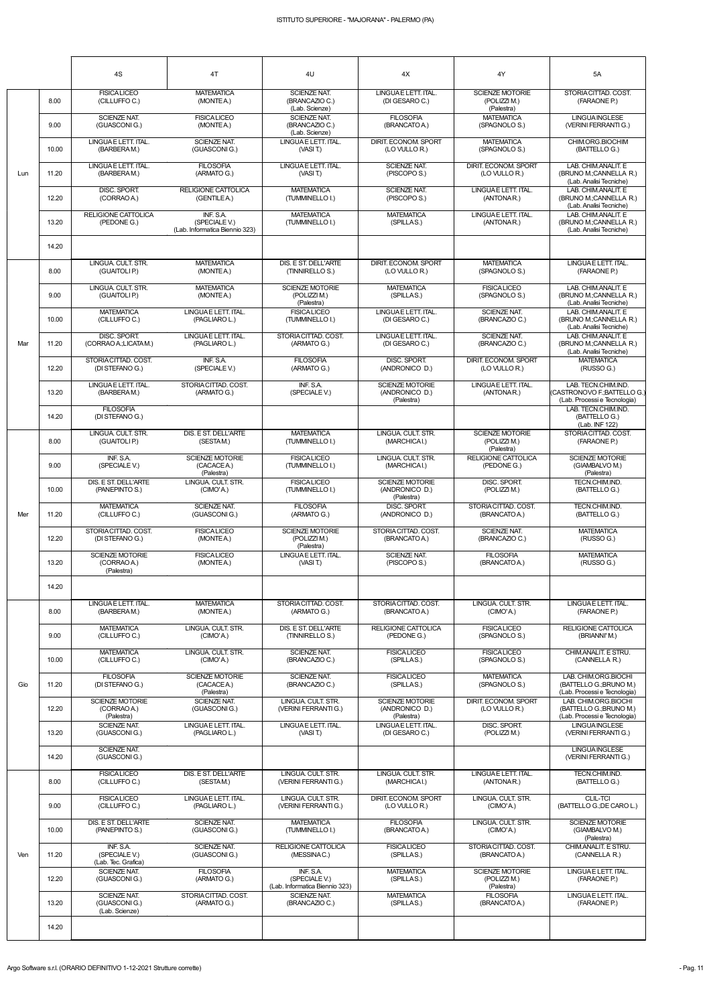|     |       | 4S                                                  | 4T                                                           | 4U                                                           | 4X                                                     | $4\mathsf{Y}$                                        | 5A                                                                                  |
|-----|-------|-----------------------------------------------------|--------------------------------------------------------------|--------------------------------------------------------------|--------------------------------------------------------|------------------------------------------------------|-------------------------------------------------------------------------------------|
|     | 8.00  | <b>FISICALICEO</b><br>(CILLUFFOC.)                  | <b>MATEMATICA</b><br>(MONTEA.)                               | <b>SCIENZE NAT.</b><br>(BRANCAZIO C.)<br>(Lab. Scienze)      | LINGUAE LETT. ITAL.<br>(DI GESARO C.)                  | <b>SCIENZE MOTORIE</b><br>(POLIZZI M.)<br>(Palestra) | STORIACITTAD. COST.<br>(FARAONE P.)                                                 |
|     | 9.00  | <b>SCIENZE NAT.</b><br>(GUASCONIG.)                 | <b>FISICA LICEO</b><br>(MONTEA.)                             | <b>SCIENZE NAT.</b><br>(BRANCAZIO C.)<br>(Lab. Scienze)      | <b>FILOSOFIA</b><br>(BRANCATO A.)                      | <b>MATEMATICA</b><br>(SPAGNOLO S.)                   | <b>LINGUA INGLESE</b><br>(VERINI FERRANTI G.)                                       |
|     | 10.00 | LINGUAE LETT. ITAL.<br>(BARBERAM.)                  | <b>SCIENZE NAT.</b><br>(GUASCONIG.)                          | LINGUA E LETT. ITAL.<br>(VASI T.)                            | DIRIT. ECONOM. SPORT<br>(LO VULLO R.)                  | <b>MATEMATICA</b><br>(SPAGNOLO S.)                   | CHIM.ORG.BIOCHIM<br>(BATTELLO G.)                                                   |
| Lun | 11.20 | LINGUAE LETT. ITAL.<br>(BARBERAM.)                  | <b>FILOSOFIA</b><br>(ARMATO G.)                              | LINGUA E LETT. ITAL.<br>(VASI T.)                            | <b>SCIENZE NAT.</b><br>(PISCOPO S.)                    | DIRIT. ECONOM. SPORT<br>(LO VULLO R.)                | LAB. CHIM.ANALIT. E<br>(BRUNO M.;CANNELLA R.)<br>(Lab. Analisi Tecniche)            |
|     | 12.20 | DISC. SPORT.<br>(CORRAO A.)                         | <b>RELIGIONE CATTOLICA</b><br>(GENTILEA.)                    | <b>MATEMATICA</b><br>(TUMMINELLO I.)                         | <b>SCIENZE NAT.</b><br>(PISCOPO S.)                    | LINGUAE LETT. ITAL.<br>(ANTONAR.)                    | LAB. CHIM.ANALIT. E<br>(BRUNO M.;CANNELLA R.)<br>(Lab. Analisi Tecniche)            |
|     | 13.20 | RELIGIONE CATTOLICA<br>(PEDONE G.)                  | INF. S.A.<br>(SPECIALE V.)<br>(Lab. Informatica Biennio 323) | <b>MATEMATICA</b><br>(TUMMINELLO I.)                         | <b>MATEMATICA</b><br>(SPILLAS.)                        | LINGUAE LETT. ITAL.<br>(ANTONAR.)                    | LAB. CHIM.ANALIT. E<br>(BRUNO M.;CANNELLA R.)<br>(Lab. Analisi Tecniche)            |
|     | 14.20 |                                                     |                                                              |                                                              |                                                        |                                                      |                                                                                     |
|     | 8.00  | LINGUA, CULT, STR.<br>(GUAITOLI P.)                 | <b>MATEMATICA</b><br>(MONTEA.)                               | DIS. E ST. DELL'ARTE<br>(TINNIRELLO S.)                      | DIRIT. ECONOM. SPORT<br>(LO VULLO R.)                  | <b>MATEMATICA</b><br>(SPAGNOLO S.)                   | LINGUA E LETT. ITAL.<br>(FARAONE P.)                                                |
|     | 9.00  | LINGUA, CULT, STR.<br>(GUAITOLI P.)                 | <b>MATEMATICA</b><br>(MONTEA.)                               | <b>SCIENZE MOTORIE</b><br>(POLIZZI M.)<br>(Palestra)         | <b>MATEMATICA</b><br>(SPILLAS.)                        | <b>FISICALICEO</b><br>(SPAGNOLO S.)                  | LAB. CHIM.ANALIT. E<br>(BRUNO M.;CANNELLA R.)<br>(Lab. Analisi Tecniche)            |
|     | 10.00 | <b>MATEMATICA</b><br>(CILLUFFO C.)                  | LINGUAE LETT. ITAL.<br>(PAGLIARO L.)                         | <b>FISICALICEO</b><br>(TUMMINELLO I.)                        | LINGUAE LETT. ITAL.<br>(DI GESARO C.)                  | <b>SCIENZE NAT.</b><br>(BRANCAZIO C.)                | LAB. CHIM.ANALIT. E<br>(BRUNO M.;CANNELLA R.)<br>(Lab. Analisi Tecniche)            |
| Mar | 11.20 | DISC. SPORT.<br>(CORRAO A.;LICATA M.)               | LINGUAE LETT. ITAL.<br>(PAGLIARO L.)                         | STORIA CITTAD. COST.<br>(ARMATO G.)                          | LINGUAE LETT. ITAL.<br>(DI GESARO C.)                  | <b>SCIENZE NAT.</b><br>(BRANCAZIO C.)                | LAB. CHIM.ANALIT. E<br>(BRUNO M.;CANNELLA R.)<br>(Lab. Analisi Tecniche)            |
|     | 12.20 | STORIACITTAD. COST.<br>(DI STEFANO G.)              | INF. S.A.<br>(SPECIALE V.)                                   | <b>FILOSOFIA</b><br>(ARMATO G.)                              | DISC. SPORT.<br>(ANDRONICO D.)                         | DIRIT. ECONOM. SPORT<br>(LO VULLO R.)                | <b>MATEMATICA</b><br>(RUSSO G.)                                                     |
|     | 13.20 | LINGUAE LETT. ITAL.<br>(BARBERAM.)                  | STORIACITTAD, COST.<br>(ARMATO G.)                           | INF. S.A.<br>(SPECIALE V.)                                   | <b>SCIENZE MOTORIE</b><br>(ANDRONICO D.)<br>(Palestra) | LINGUAE LETT. ITAL.<br>(ANTONAR.)                    | LAB. TECN.CHIM.IND.<br>(CASTRONOVO F.; BATTELLO G.)<br>(Lab. Processi e Tecnologia) |
|     | 14.20 | <b>FILOSOFIA</b><br>(DI STEFANO G.)                 |                                                              |                                                              |                                                        |                                                      | LAB. TECN.CHIM.IND.<br>(BATTELLO G.)<br>(Lab. INF 122)                              |
|     | 8.00  | LINGUA. CULT. STR.<br>(GUAITOLI P.)                 | DIS. E ST. DELL'ARTE<br>(SESTAM.)                            | <b>MAI EMAIICA</b><br>(TUMMINELLO I.)                        | LINGUA. CULI. STR.<br>(MARCHICAI.)                     | <b>SCIENZE MOTORIE</b><br>(POLIZZI M.)<br>(Palestra) | STORIACITTAD. COST.<br>(FARAONE P.)                                                 |
|     | 9.00  | INF. S.A.<br>(SPECIALE V.)                          | <b>SCIENZE MOTORIE</b><br>(CACACEA.)<br>(Palestra)           | <b>FISICALICEO</b><br>(TUMMINELLO I.)                        | LINGUA. CULT. STR.<br>(MARCHICAI.)                     | RELIGIONE CATTOLICA<br>(PEDONE G.)                   | <b>SCIENZE MOTORIE</b><br>(GIAMBALVO M.)<br>(Palestra)                              |
|     | 10.00 | DIS. E ST. DELL'ARTE<br>(PANEPINTO S.)              | LINGUA. CULT. STR.<br>(CIMO'A.)                              | <b>FISICALICEO</b><br>(TUMMINELLO I.)                        | <b>SCIENZE MOTORIE</b><br>(ANDRONICO D.)<br>(Palestra) | DISC. SPORT.<br>(POLIZZI M.)                         | TECN.CHIM.IND.<br>(BATTELLO G.)                                                     |
| Mer | 11.20 | <b>MATEMATICA</b><br>(CILLUFFO C.)                  | <b>SCIENZE NAT.</b><br>(GUASCONIG.)                          | <b>FILOSOFIA</b><br>(ARMATO G.)                              | DISC, SPORT.<br>(ANDRONICO D.)                         | STORIA CITTAD, COST.<br>(BRANCATO A.)                | TECN.CHIM.IND.<br>(BATTELLO G.)                                                     |
|     | 12.20 | STORIACITTAD. COST.<br>(DI STEFANO G.)              | <b>FISICALICEO</b><br>(MONTEA.)                              | <b>SCIENZE MOTORIE</b><br>(POLIZZI M.)<br>(Palestra)         | STORIACITTAD. COST.<br>(BRANCATO A.)                   | <b>SCIENZE NAT.</b><br>(BRANCAZIO C.)                | <b>MATEMATICA</b><br>(RUSSO G.)                                                     |
|     | 13.20 | <b>SCIENZE MOTORIE</b><br>(CORRAO A.)<br>(Palestra) | <b>FISICALICEO</b><br>(MONTEA.)                              | LINGUA E LETT. ITAL.<br>(VASI T.)                            | SCIENZE NAT.<br>(PISCOPO S.)                           | <b>FILOSOFIA</b><br>(BRANCATO A.)                    | <b>MATEMATICA</b><br>(RUSSO G.)                                                     |
|     | 14.20 |                                                     |                                                              |                                                              |                                                        |                                                      |                                                                                     |
|     | 8.00  | LINGUAE LETT. ITAL.<br>(BARBERAM.)                  | <b>MATEMATICA</b><br>(MONTEA.)                               | STORIA CITTAD. COST.<br>(ARMATO G.)                          | STORIACITTAD. COST.<br>(BRANCATO A.)                   | LINGUA. CULT. STR.<br>(CIMO'A.)                      | LINGUAE LETT. ITAL.<br>(FARAONE P.)                                                 |
|     | 9.00  | <b>MATEMATICA</b><br>(CILLUFFO C.)                  | LINGUA. CULT. STR.<br>(CIMO'A.)                              | DIS. E ST. DELL'ARTE<br>(TINNIRELLO S.)                      | <b>RELIGIONE CATTOLICA</b><br>(PEDONE G.)              | <b>FISICALICEO</b><br>(SPAGNOLO S.)                  | <b>RELIGIONE CATTOLICA</b><br>(BRIANNI'M.)                                          |
|     | 10.00 | <b>MATEMATICA</b><br>(CILLUFFO C.)                  | LINGUA, CULT, STR.<br>(CIMO'A.)                              | <b>SCIENZE NAT.</b><br>(BRANCAZIO C.)                        | <b>FISICALICEO</b><br>(SPILLAS.)                       | <b>FISICALICEO</b><br>(SPAGNOLO S.)                  | CHIM.ANALIT. E STRU.<br>(CANNELLA R.)                                               |
| Gio | 11.20 | <b>FILOSOFIA</b><br>(DI STEFANO G.)                 | <b>SCIENZE MOTORIE</b><br>(CACACEA.)<br>(Palestra)           | <b>SCIENZE NAT.</b><br>(BRANCAZIO C.)                        | <b>FISICALICEO</b><br>(SPILLAS.)                       | <b>MATEMATICA</b><br>(SPAGNOLO S.)                   | LAB. CHIM.ORG.BIOCHI<br>(BATTELLO G.; BRUNO M.)<br>(Lab. Processi e Tecnologia)     |
|     | 12.20 | <b>SCIENZE MOTORIE</b><br>(CORRAO A.)<br>(Palestra) | <b>SCIENZE NAT.</b><br>(GUASCONIG.)                          | LINGUA. CULT. STR.<br>(VERINI FERRANTI G.)                   | <b>SCIENZE MOTORIE</b><br>(ANDRONICO D.)<br>(Palestra) | DIRIT. ECONOM. SPORT<br>(LO VULLO R.)                | LAB. CHIM.ORG.BIOCHI<br>(BATTELLO G.; BRUNO M.)<br>(Lab. Processi e Tecnologia)     |
|     | 13.20 | SCIENZE NAT.<br>(GUASCONIG.)                        | LINGUAE LETT. ITAL.<br>(PAGLIARO L.)                         | LINGUA E LETT. ITAL.<br>(VASIT)                              | LINGUAE LETT. ITAL.<br>(DI GESARO C.)                  | DISC. SPORT.<br>(POLIZZI M.)                         | <b>LINGUA INGLESE</b><br>(VERINI FERRANTI G.)                                       |
|     | 14.20 | <b>SCIENZE NAT.</b><br>(GUASCONIG.)                 |                                                              |                                                              |                                                        |                                                      | <b>LINGUA INGLESE</b><br>(VERINI FERRANTI G.)                                       |
|     | 8.00  | <b>FISICALICEO</b><br>(CILLUFFO C.)                 | DIS. E ST. DELL'ARTE<br>(SESTAM.)                            | LINGUA. CULT. STR.<br>(VERINI FERRANTI G.)                   | LINGUA, CULT, STR.<br>(MARCHICAI.)                     | LINGUAE LETT. ITAL.<br>(ANTONAR.)                    | TECN.CHIM.IND.<br>(BATTELLO G.)                                                     |
|     | 9.00  | <b>FISICALICEO</b><br>(CILLUFFO C.)                 | LINGUAE LETT. ITAL.<br>(PAGLIARO L.)                         | LINGUA. CULT. STR.<br>(VERINI FERRANTI G.)                   | DIRIT. ECONOM. SPORT<br>(LO VULLO R.)                  | LINGUA. CULT. STR.<br>(CIMO'A.)                      | <b>CLIL-TCI</b><br>(BATTELLO G.; DE CARO L.)                                        |
|     | 10.00 | DIS. E ST. DELL'ARTE<br>(PANEPINTO S.)              | SCIENZE NAT.<br>(GUASCONIG.)                                 | <b>MATEMATICA</b><br>(TUMMINELLO I.)                         | <b>FILOSOFIA</b><br>(BRANCATO A.)                      | LINGUA. CULT. STR.<br>(CIMO'A.)                      | <b>SCIENZE MOTORIE</b><br>(GIAMBALVO M.)<br>(Palestra)                              |
| Ven | 11.20 | INF. S.A.<br>(SPECIALE V.)<br>(Lab. Tec. Grafica)   | SCIENZE NAT.<br>(GUASCONI G.)                                | RELIGIONE CATTOLICA<br>(MESSINAC.)                           | <b>FISICALICEO</b><br>(SPILLAS.)                       | STORIA CITTAD. COST.<br>(BRANCATO A.)                | CHIM.ANALIT. E STRU.<br>(CANNELLA R.)                                               |
|     | 12.20 | <b>SCIENZE NAT.</b><br>(GUASCONIG.)                 | <b>FILOSOFIA</b><br>(ARMATO G.)                              | INF. S.A.<br>(SPECIALE V.)<br>(Lab. Informatica Biennio 323) | <b>MATEMATICA</b><br>(SPILLAS.)                        | <b>SCIENZE MOTORIE</b><br>(POLIZZI M.)<br>(Palestra) | LINGUAE LETT. ITAL.<br>(FARAONE P.)                                                 |
|     | 13.20 | SCIENZE NAT.<br>(GUASCONIG.)<br>(Lab. Scienze)      | STORIACITTAD. COST.<br>(ARMATO G.)                           | SCIENZE NAT.<br>(BRANCAZIO C.)                               | <b>MATEMATICA</b><br>(SPILLAS.)                        | <b>FILOSOFIA</b><br>(BRANCATO A.)                    | LINGUAE LETT. ITAL.<br>(FARAONE P.)                                                 |
|     | 14.20 |                                                     |                                                              |                                                              |                                                        |                                                      |                                                                                     |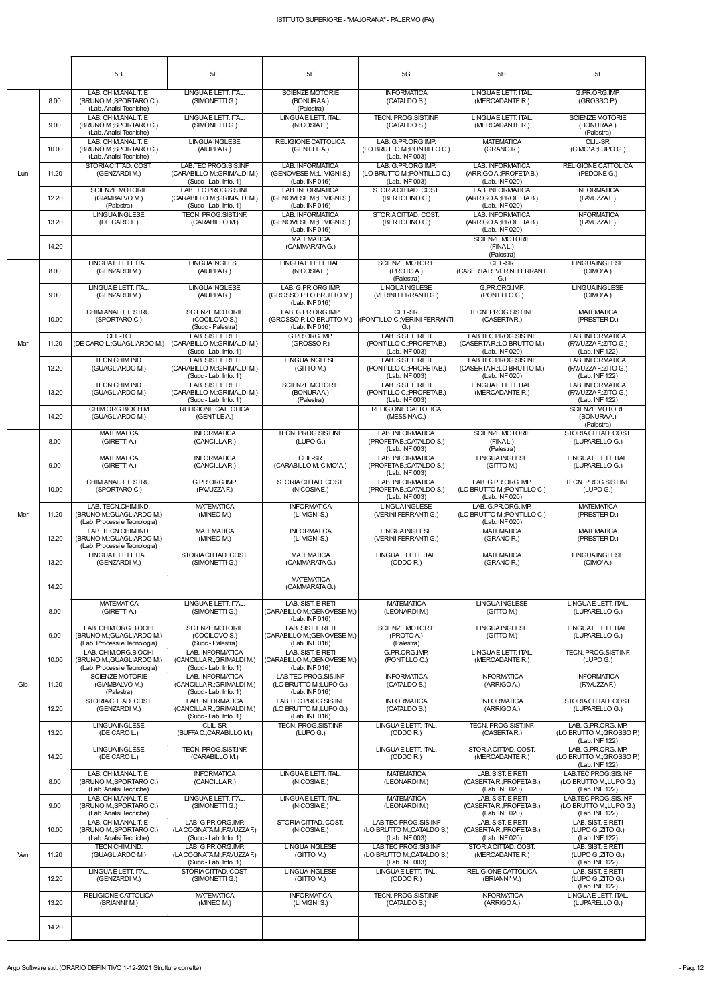|     |       | 5B                                                                                | 5E                                                                             | 5F                                                                                          | 5G                                                                    | 5H                                                                                             | 5 <sub>l</sub>                                                     |
|-----|-------|-----------------------------------------------------------------------------------|--------------------------------------------------------------------------------|---------------------------------------------------------------------------------------------|-----------------------------------------------------------------------|------------------------------------------------------------------------------------------------|--------------------------------------------------------------------|
|     | 8.00  | LAB. CHIM.ANALIT. E<br>(BRUNO M.; SPORTARO C.)<br>(Lab. Analisi Tecniche)         | LINGUAE LETT. ITAL.<br>(SIMONETTI G.)                                          | <b>SCIENZE MOTORIE</b><br>(BONURAA.)<br>(Palestra)                                          | <b>INFORMATICA</b><br>(CATALDO S.)                                    | LINGUA E LETT. ITAL.<br>(MERCADANTE R.)                                                        | G.PR.ORG.IMP.<br>(GROSSO P.)                                       |
| Lun | 9.00  | LAB. CHIM.ANALIT. E<br>(BRUNO M.; SPORTARO C.)<br>(Lab. Analisi Tecniche)         | LINGUAE LETT. ITAL.<br>(SIMONETTI G.)                                          | LINGUA E LETT. ITAL.<br>(NICOSIAE.)                                                         | TECN. PROG.SIST.INF.<br>(CATALDO S.)                                  | LINGUA E LETT. ITAL.<br>(MERCADANTE R.)                                                        | <b>SCIENZE MOTORIE</b><br>(BONURAA.)<br>(Palestra)                 |
|     | 10.00 | LAB. CHIM.ANALIT. E<br>(BRUNO M.; SPORTARO C.)<br>(Lab. Analisi Tecniche)         | <b>LINGUA INGLESE</b><br>(AIUPPAR.)                                            | RELIGIONE CATTOLICA<br>(GENTILEA.)                                                          | LAB. G.PR.ORG.IMP.<br>(LO BRUTTO M.; PONTILLO C.)<br>(Lab. INF 003)   | <b>MATEMATICA</b><br>(GRANO R.)                                                                | CLIL-SR<br>(CIMO'A.;LUPO G.)                                       |
|     | 11.20 | STORIA CITTAD, COST.<br>(GENZARDIM.)                                              | LAB TEC PROG SIS INF<br>(CARABILLO M.; GRIMALDI M.)<br>$(Succ - Lab. Info. 1)$ | <b>LAB. INFORMATICA</b><br>(GENOVESE M.;LI VIGNI S.)<br>(Lab. INF 016)                      | LAB. G.PR.ORG.IMP.<br>(LO BRUTTO M.; PONTILLO C.)<br>(Lab. INF 003)   | LAB. INFORMATICA<br>(ARRIGO A.; PROFETA B.)<br>(Lab. INF 020)                                  | <b>RELIGIONE CATTOLICA</b><br>(PEDONE G.)                          |
|     | 12.20 | <b>SCIENZE MOTORIE</b><br>(GIAMBALVO M.)<br>(Palestra)                            | LAB.TEC PROG.SIS.INF<br>(CARABILLO M.; GRIMALDI M.)<br>$(Succ - Lab. Info. 1)$ | LAB. INFORMATICA<br>(GENOVESE M.;LI VIGNI S.)<br>(Lab. INF 016)                             | STORIACITTAD, COST.<br>(BERTOLINO C.)                                 | LAB. INFORMATICA<br>(ARRIGO A.; PROFETA B.)<br>(Lab. INF 020)                                  | <b>INFORMATICA</b><br>(FAVUZZA F.)                                 |
|     | 13.20 | <b>LINGUA INGLESE</b><br>(DE CARO L.)                                             | TECN. PROG.SIST.INF.<br>(CARABILLO M.)                                         | <b>LAB. INFORMATICA</b><br>(GENOVESE M.;LI VIGNI S.)<br>(Lab. INF 016)<br><b>MATEMATICA</b> | STORIACITTAD, COST.<br>(BERTOLINO C.)                                 | <b>LAB. INFORMATICA</b><br>(ARRIGO A.: PROFETA B.)<br>(Lab. INF 020)<br><b>SCIENZE MOTORIE</b> | <b>INFORMATICA</b><br>(FAVUZZA F.)                                 |
|     | 14.20 | LINGUA E LETT. ITAL.                                                              | LINGUA INGLESE                                                                 | (CAMMARATAG.)<br>LINGUA E LETT. ITAL.                                                       | <b>SCIENZE MOTORIE</b>                                                | (FINAL.)<br>(Palestra)<br><b>CLIL-SR</b>                                                       | <b>LINGUAINGLESE</b>                                               |
|     | 8.00  | (GENZARDIM.)<br>LINGUAE LETT. ITAL.                                               | (AIUPPAR.)<br><b>LINGUA INGLESE</b>                                            | (NICOSIAE.)<br>LAB. G.PR.ORG.IMP.                                                           | (PROTO A.)<br>(Palestra)<br><b>LINGUAINGLESE</b>                      | (CASERTA R.; VERINI FERRANTI<br>G.)<br>G.PR.ORG.IMP.                                           | (CIMO'A.)<br><b>LINGUAINGLESE</b>                                  |
|     | 9.00  | (GENZARDIM.)<br>CHIM.ANALIT. E STRU.                                              | (AIUPPAR.)<br><b>SCIENZE MOTORIE</b>                                           | (GROSSO P.;LO BRUTTO M.)<br>(Lab. INF 016)<br>LAB. G.PR.ORG.IMP.                            | (VERINI FERRANTI G.)<br><b>CLIL-SR</b>                                | (PONTILLO C.)<br>TECN. PROG.SIST.INF.                                                          | (CIMO'A.)<br><b>MATEMATICA</b>                                     |
|     | 10.00 | (SPORTARO C.)                                                                     | (COCILOVO S.)<br>(Succ - Palestra)<br>LAB. SIST. E RETI                        | (GROSSO P.;LO BRUTTO M.)<br>(Lab. INF 016)                                                  | PONTILLO C.; VERINI FERRANTI<br>G.<br>LAB. SIST. E RETI               | (CASERTAR.)                                                                                    | (PRESTER D.)                                                       |
| Mar | 11.20 | <b>CLIL-TCI</b><br>(DE CARO L.; GUAGLIARDO M.)                                    | (CARABILLO M.; GRIMALDI M.)<br>(Succ - Lab. Info. 1)                           | G.PR.ORG.IMP.<br>(GROSSO P.)                                                                | (PONTILLO C.; PROFETAB.)<br>(Lab. INF 003)                            | LAB.TEC PROG.SIS.INF<br>(CASERTAR.;LO BRUTTO M.)<br>(Lab. INF 020)                             | <b>LAB. INFORMATICA</b><br>(FAVUZZA F.; ZITO G.)<br>(Lab. INF 122) |
|     | 12.20 | TECN.CHIM.IND.<br>(GUAGLIARDO M.)                                                 | LAB. SIST. E RETI<br>(CARABILLO M.; GRIMALDI M.)<br>(Succ - Lab. Info. 1)      | <b>LINGUA INGLESE</b><br>(GITTO M.)                                                         | LAB. SIST. E RETI<br>(PONTILLO C.; PROFETAB.)<br>(Lab. INF 003)       | LAB.TEC PROG.SIS.INF<br>(CASERTAR.;LO BRUTTO M.)<br>(Lab. INF 020)                             | LAB. INFORMATICA<br>(FAVUZZA F.; ZITO G.)<br>(Lab. INF 122)        |
|     | 13.20 | TECN.CHIM.IND.<br>(GUAGLIARDO M.)                                                 | LAB. SIST. E RETI<br>(CARABILLO M.: GRIMALDI M.)<br>$(Succ - Lab. Info. 1)$    | <b>SCIENZE MOTORIE</b><br>(BONURAA.)<br>(Palestra)                                          | LAB. SIST. E RETI<br>(PONTILLO C.; PROFETAB.)<br>(Lab. INF 003)       | LINGUAE LETT. ITAL.<br>(MERCADANTE R.)                                                         | LAB. INFORMATICA<br>(FAVUZZA F.; ZITO G.)<br>(Lab. INF 122)        |
|     | 14.20 | CHIM.ORG.BIOCHIM<br>(GUAGLIARDO M.)                                               | RELIGIONE CATTOLICA<br>(GENTILEA.)                                             |                                                                                             | RELIGIONE CATTOLICA<br>(MESSINAC.)                                    |                                                                                                | <b>SCIENZE MOTORIE</b><br>(BONURAA.)<br>(Palestra)                 |
|     | 8.00  | <b>MATEMATICA</b><br>(GIRETTIA.)                                                  | <b>INFORMATICA</b><br>(CANCILLAR.)                                             | <b>TECN. PROG.SIST.INF.</b><br>(LUPO G.)                                                    | LAB. INFORMATICA<br>(PROFETA B.; CATALDO S.)<br>(Lab. INF 003)        | <b>SCIENZE MOTORIE</b><br>(FINAL.)<br>(Palestra)                                               | STORIACITTAD. COST.<br>(LUPARELLO G.)                              |
|     | 9.00  | <b>MATEMATICA</b><br>(GIRETTIA.)                                                  | <b>INFORMATICA</b><br>(CANCILLAR.)                                             | <b>CLIL-SR</b><br>(CARABILLO M.;CIMO'A.)                                                    | <b>LAB. INFORMATICA</b><br>(PROFETA B.; CATALDO S.)<br>(Lab. INF 003) | <b>LINGUAINGLESE</b><br>(GITTO M.)                                                             | LINGUA E LETT. ITAL.<br>(LUPARELLO G.)                             |
|     | 10.00 | CHIM.ANALIT. E STRU.<br>(SPORTARO C.)                                             | G.PR.ORG.IMP.<br>(FAVUZZAF.)                                                   | STORIA CITTAD, COST.<br>(NICOSIAE.)                                                         | <b>LAB. INFORMATICA</b><br>(PROFETAB.;CATALDO S.)<br>(Lab. INF 003)   | LAB. G.PR.ORG.IMP.<br>(LO BRUTTO M.; PONTILLO C.)<br>(Lab. INF 020)                            | <b>TECN. PROG.SIST.INF.</b><br>(LUPO G.)                           |
| Mer | 11.20 | LAB. TECN.CHIM.IND.<br>(BRUNO M.; GUAGLIARDO M.)<br>(Lab. Processi e Tecnologia)  | <b>MATEMATICA</b><br>(MINEO M.)                                                | <b>INFORMATICA</b><br>(LIVIGNIS.)                                                           | <b>LINGUAINGLESE</b><br>(VERINI FERRANTI G.)                          | LAB. G.PR.ORG.IMP.<br>(LO BRUTTO M.; PONTILLO C.)<br>(Lab. INF 020)                            | <b>MATEMATICA</b><br>(PRESTER D.)                                  |
|     | 12.20 | LAB. TECN.CHIM.IND.<br>(BRUNO M.; GUAGLIARDO M.)<br>(Lab. Processi e Tecnologia)  | <b>MATEMATICA</b><br>(MINEO M.)                                                | <b>INFORMATICA</b><br>(LIVIGNIS.)                                                           | <b>LINGUA INGLESE</b><br>(VERINI FERRANTI G.)                         | <b>MATEMATICA</b><br>(GRANO R.)                                                                | <b>MATEMATICA</b><br>(PRESTER D.)                                  |
|     | 13.20 | LINGUAE LETT. ITAL.<br>(GENZARDIM.)                                               | STORIACITTAD. COST.<br>(SIMONETTI G.)                                          | <b>MATEMATICA</b><br>(CAMMARATAG.)                                                          | LINGUAE LETT. ITAL.<br>(ODDO R.)                                      | <b>MATEMATICA</b><br>(GRANO R.)                                                                | <b>LINGUAINGLESE</b><br>(CIMO'A.)                                  |
|     | 14.20 |                                                                                   |                                                                                | <b>MATEMATICA</b><br>(CAMMARATAG.)                                                          |                                                                       |                                                                                                |                                                                    |
|     | 8.00  | <b>MATEMATICA</b><br>(GIRETTIA.)                                                  | LINGUAE LETT. ITAL.<br>(SIMONETTI G.)                                          | LAB. SIST. E RETI<br>(CARABILLO M.; GENOVESE M.)<br>(Lab. INF 016)                          | <b>MATEMATICA</b><br>(LEONARDIM.)                                     | <b>LINGUA INGLESE</b><br>(GITTO M.)                                                            | LINGUAE LETT. ITAL.<br>(LUPARELLO G.)                              |
|     | 9.00  | LAB. CHIM.ORG.BIOCHI<br>(BRUNO M.; GUAGLIARDO M.)<br>(Lab. Processi e Tecnologia) | SCIENZE MOTORIE<br>(COCILOVO S.)<br>(Succ - Palestra)                          | LAB. SIST. E RETI<br>(CARABILLO M.; GENOVESE M.)<br>(Lab. INF 016)                          | <b>SCIENZE MOTORIE</b><br>(PROTO A.)<br>(Palestra)                    | <b>LINGUA INGLESE</b><br>(GITTO M.)                                                            | LINGUAE LETT. ITAL.<br>(LUPARELLO G.)                              |
|     | 10.00 | LAB. CHIM.ORG.BIOCHI<br>(BRUNO M.; GUAGLIARDO M.)<br>(Lab. Processi e Tecnologia) | LAB. INFORMATICA<br>(CANCILLA R.; GRIMALDI M.)<br>(Succ - Lab. Info. 1)        | LAB. SIST. E RETI<br>(CARABILLO M.; GENOVESE M.)<br>(Lab. INF 016)                          | G.PR.ORG.IMP.<br>(PONTILLOC.)                                         | LINGUAE LETT. ITAL.<br>(MERCADANTE R.)                                                         | TECN. PROG.SIST.INF.<br>(LUPO G.)                                  |
| Gio | 11.20 | <b>SCIENZE MOTORIE</b><br>(GIAMBALVO M.)<br>(Palestra)                            | <b>LAB. INFORMATICA</b><br>(CANCILLA R.; GRIMALDI M.)<br>(Succ - Lab. Info. 1) | LAB.TEC PROG.SIS.INF<br>(LO BRUTTO M.;LUPO G.)<br>(Lab. INF 016)                            | <b>INFORMATICA</b><br>(CATALDO S.)                                    | <b>INFORMATICA</b><br>(ARRIGOA.)                                                               | <b>INFORMATICA</b><br>(FAVUZZAF.)                                  |
|     | 12.20 | STORIA CITTAD. COST.<br>(GENZARDIM.)                                              | <b>LAB. INFORMATICA</b><br>(CANCILLA R.; GRIMALDI M.)<br>(Succ - Lab. Info. 1) | <b>LAB TEC PROG SIS INF</b><br>(LO BRUTTO M.;LUPO G.)<br>(Lab. INF 016)                     | <b>INFORMATICA</b><br>(CATALDO S.)                                    | <b>INFORMATICA</b><br>(ARRIGOA.)                                                               | STORIA CITTAD, COST.<br>(LUPARELLO G.)                             |
|     | 13.20 | <b>LINGUAINGLESE</b><br>(DE CARO L.)                                              | <b>CLIL-SR</b><br>(BUFFAC.;CARABILLO M.)                                       | TECN. PROG.SIST.INF.<br>(LUPO G.)                                                           | LINGUAE LETT. ITAL.<br>(ODDO R.)                                      | <b>TECN. PROG.SIST.INF.</b><br>(CASERTAR.)                                                     | LAB. G.PR.ORG.IMP.<br>(LO BRUTTO M.; GROSSO P.)<br>(Lab. INF 122)  |
|     | 14.20 | <b>LINGUAINGLESE</b><br>(DE CARO L.)                                              | TECN. PROG.SIST.INF.<br>(CARABILLO M.)                                         |                                                                                             | LINGUAE LETT. ITAL.<br>(ODDO R.)                                      | STORIA CITTAD. COST.<br>(MERCADANTE R.)                                                        | LAB. G.PR.ORG.IMP.<br>(LO BRUTTO M.; GROSSO P.)<br>(Lab. INF 122)  |
|     | 8.00  | LAB. CHIM.ANALIT. E<br>(BRUNO M.; SPORTARO C.)<br>(Lab. Analisi Tecniche)         | <b>INFORMATICA</b><br>(CANCILLAR.)                                             | LINGUA E LETT. ITAL.<br>(NICOSIAE.)                                                         | <b>MATEMATICA</b><br>(LEONARDIM.)                                     | LAB. SIST. E RETI<br>(CASERTAR.: PROFETAB.)<br>(Lab. INF 020)                                  | LAB.TEC PROG.SIS.INF<br>(LO BRUTTO M.;LUPO G.)<br>(Lab. INF 122)   |
|     | 9.00  | LAB. CHIM.ANALIT. E<br>(BRUNO M.; SPORTARO C.)<br>(Lab. Analisi Tecniche)         | LINGUAE LETT. ITAL.<br>(SIMONETTI G.)                                          | LINGUA E LETT. ITAL.<br>(NICOSIAE.)                                                         | <b>MATEMATICA</b><br>(LEONARDIM.)                                     | LAB. SIST. E RETI<br>(CASERTAR.; PROFETAB.)<br>(Lab. INF 020)                                  | LAB.TEC PROG.SIS.INF<br>(LO BRUTTO M.;LUPO G.)<br>(Lab. INF 122)   |
|     | 10.00 | LAB. CHIM.ANALIT. E<br>(BRUNO M.; SPORTARO C.)<br>(Lab. Analisi Tecniche)         | LAB. G.PR.ORG.IMP.<br>(LA COGNATA M.; FAVUZZA F.)<br>(Succ - Lab. Info. 1)     | STORIA CITTAD. COST.<br>(NICOSIAE.)                                                         | LAB.TEC PROG.SIS.INF<br>(LO BRUTTO M.;CATALDO S.)<br>(Lab. INF 003)   | LAB. SIST. E RETI<br>(CASERTAR.; PROFETAB.)<br>(Lab. INF 020)                                  | LAB. SIST. E RETI<br>(LUPO G.; ZITO G.)<br>(Lab. INF 122)          |
| Ven | 11.20 | TECN.CHIM.IND.<br>(GUAGLIARDO M.)                                                 | LAB. G.PR.ORG.IMP.<br>(LA COGNATA M.; FAVUZZA F.)<br>$(Succ - Lab. Info. 1)$   | <b>LINGUA INGLESE</b><br>(GITTO M.)                                                         | LAB.TEC PROG.SIS.INF<br>(LO BRUTTO M.;CATALDO S.)<br>(Lab. INF 003)   | STORIA CITTAD. COST.<br>(MERCADANTE R.)                                                        | LAB. SIST. E RETI<br>(LUPO G.;ZITO G.)<br>(Lab. INF 122)           |
|     | 12.20 | LINGUA E LETT. ITAL.<br>(GENZARDI M.)                                             | STORIACITTAD. COST.<br>(SIMONETTI G.)                                          | LINGUA INGLESE<br>(GITTO M.)                                                                | LINGUA E LETT. ITAL.<br>(ODDO R.)                                     | RELIGIONE CATTOLICA<br>(BRIANNI'M.)                                                            | LAB. SIST. E RETI<br>(LUPO G.; ZITO G.)<br>(Lab. INF 122)          |
|     | 13.20 | RELIGIONE CATTOLICA<br>(BRIANNI'M.)                                               | <b>MATEMATICA</b><br>(MINEO M.)                                                | <b>INFORMATICA</b><br>(LI VIGNI S.)                                                         | TECN. PROG.SIST.INF.<br>(CATALDO S.)                                  | <b>INFORMATICA</b><br>(ARRIGOA.)                                                               | LINGUAE LETT. ITAL.<br>(LUPARELLO G.)                              |
|     | 14.20 |                                                                                   |                                                                                |                                                                                             |                                                                       |                                                                                                |                                                                    |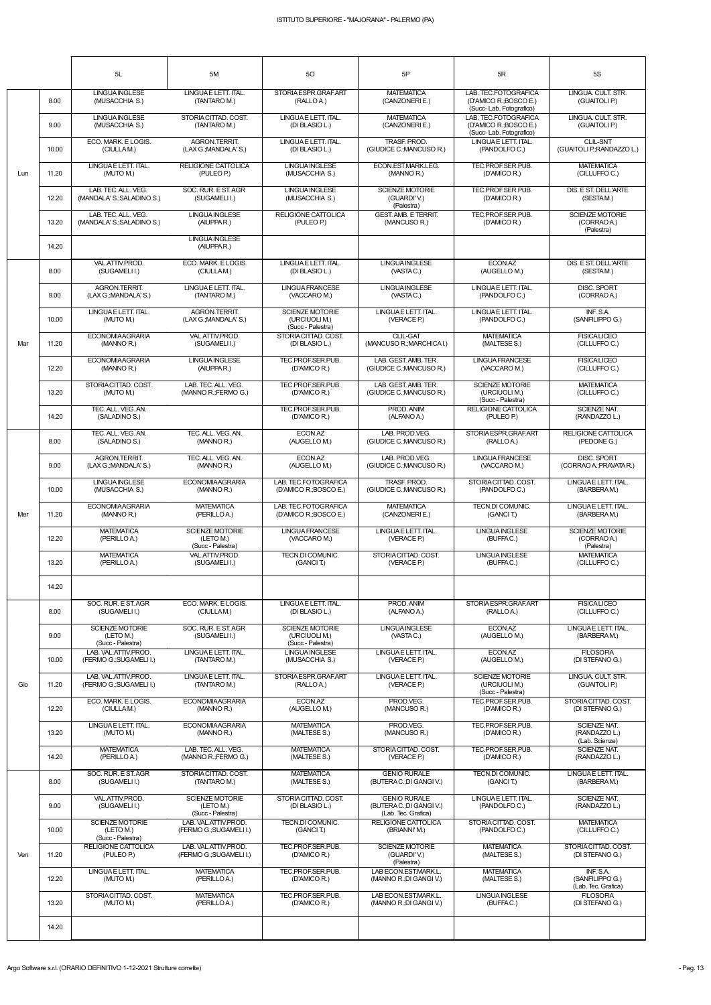|     |       | 5L                                                       | 5M                                                       | 50                                                           | 5P                                                                    | 5R                                                                        | <b>5S</b>                                           |
|-----|-------|----------------------------------------------------------|----------------------------------------------------------|--------------------------------------------------------------|-----------------------------------------------------------------------|---------------------------------------------------------------------------|-----------------------------------------------------|
|     | 8.00  | <b>LINGUAINGLESE</b><br>(MUSACCHIA S.)                   | LINGUAE LETT. ITAL.<br>(TANTARO M.)                      | STORIA ESPR.GRAF.ART<br>(RALLO A.)                           | <b>MATEMATICA</b><br>(CANZONERIE.)                                    | LAB. TEC.FOTOGRAFICA<br>(D'AMICO R.; BOSCO E.)<br>(Succ-Lab. Fotografico) | LINGUA, CULT, STR.<br>(GUAITOLI P.)                 |
|     | 9.00  | <b>LINGUAINGLESE</b><br>(MUSACCHIA S.)                   | STORIACITTAD, COST.<br>(TANTARO M.)                      | LINGUA E LETT. ITAL.<br>(DI BLASIO L.)                       | <b>MATEMATICA</b><br>(CANZONERIE.)                                    | LAB. TEC.FOTOGRAFICA<br>(D'AMICO R.; BOSCO E.)<br>(Succ-Lab. Fotografico) | LINGUA, CULT, STR.<br>(GUAITOLI P.)                 |
|     | 10.00 | ECO. MARK. E LOGIS.<br>(CIULLAM.)                        | AGRON.TERRIT.<br>(LAX G.; MANDALA' S.)                   | LINGUA E LETT. ITAL.<br>(DI BLASIO L.)                       | TRASF, PROD.<br>(GIUDICE C.; MANCUSO R.)                              | LINGUAE LETT. ITAL.<br>(PANDOLFO C.)                                      | <b>CLIL-SNT</b><br>(GUAITOLI P.; RANDAZZO L.)       |
| Lun | 11.20 | LINGUAE LETT. ITAL.<br>(MUTO M.)                         | RELIGIONE CATTOLICA<br>(PULEO P.)                        | <b>LINGUA INGLESE</b><br>(MUSACCHIA S.)                      | ECON.EST.MARK.LEG.<br>(MANNO R.)                                      | TEC.PROF.SER.PUB.<br>(D'AMICO R.)                                         | <b>MATEMATICA</b><br>(CILLUFFO C.)                  |
|     | 12.20 | LAB. TEC. ALL. VEG.<br>(MANDALA' S.; SALADINO S.)        | SOC. RUR. E ST. AGR<br>(SUGAMELII.)                      | <b>LINGUA INGLESE</b><br>(MUSACCHIA S.)                      | <b>SCIENZE MOTORIE</b><br>(GUARDI'V.)<br>(Palestra)                   | TEC.PROF.SER.PUB.<br>(D'AMICO R.)                                         | DIS. E ST. DELL'ARTE<br>(SESTAM.)                   |
|     | 13.20 | LAB. TEC. ALL. VEG.<br>(MANDALA' S.; SALADINO S.)        | <b>LINGUAINGLESE</b><br>(AIUPPAR.)                       | <b>RELIGIONE CATTOLICA</b><br>(PULEO P.)                     | <b>GEST. AMB. E TERRIT.</b><br>(MANCUSO R.)                           | TEC.PROF.SER.PUB.<br>(D'AMICO R.)                                         | <b>SCIENZE MOTORIE</b><br>(CORRAO A.)<br>(Palestra) |
|     | 14.20 |                                                          | <b>LINGUAINGLESE</b><br>(AIUPPAR.)                       |                                                              |                                                                       |                                                                           |                                                     |
|     | 8.00  | VAL.ATTIV.PROD.<br>(SUGAMELI I.)                         | ECO. MARK. E LOGIS.<br>(CIULLAM.)                        | LINGUA E LETT. ITAL.<br>(DI BLASIO L.)                       | LINGUA INGLESE<br>(VASTAC.)                                           | ECON.AZ<br>(AUGELLO M.)                                                   | DIS. E ST. DELL'ARTE<br>(SESTAM.)                   |
|     | 9.00  | AGRON.TERRIT.<br>(LAX G.; MANDALA' S.)                   | LINGUAE LETT. ITAL.<br>(TANTARO M.)                      | <b>LINGUA FRANCESE</b><br>(VACCARO M.)                       | <b>LINGUAINGLESE</b><br>(VASTAC.)                                     | LINGUA E LETT. ITAL.<br>(PANDOLFO C.)                                     | DISC. SPORT.<br>(CORRAO A.)                         |
|     | 10.00 | LINGUAE LETT. ITAL.<br>(MUTO M.)                         | AGRON.TERRIT.<br>(LAX G.; MANDALA' S.)                   | <b>SCIENZE MOTORIE</b><br>(URCIUOLI M.)<br>(Succ - Palestra) | LINGUAE LETT. ITAL.<br>(VERACE P.)                                    | LINGUAE LETT. ITAL.<br>(PANDOLFO C.)                                      | INF. S.A.<br>(SANFILIPPO G.)                        |
| Mar | 11.20 | <b>ECONOMIAAGRARIA</b><br>(MANNO R.)                     | VAL.ATTIV.PROD.<br>(SUGAMELII.)                          | STORIA CITTAD, COST.<br>(DI BLASIO L.)                       | <b>CLIL-GAT</b><br>(MANCUSO R.; MARCHICAI.)                           | <b>MATEMATICA</b><br>(MALTESE S.)                                         | <b>FISICALICEO</b><br>(CILLUFFO C.)                 |
|     | 12.20 | <b>ECONOMIAAGRARIA</b><br>(MANNO R.)                     | <b>LINGUAINGLESE</b><br>(AIUPPAR.)                       | TEC.PROF.SER.PUB.<br>(D'AMICO R.)                            | LAB. GEST. AMB. TER.<br>(GIUDICE C.; MANCUSO R.)                      | <b>LINGUA FRANCESE</b><br>(VACCARO M.)                                    | <b>FISICALICEO</b><br>(CILLUFFOC.)                  |
|     | 13.20 | STORIACITTAD. COST.<br>(MUTO M.)                         | LAB. TEC. ALL. VEG.<br>(MANNO R.; FERMO G.)              | TEC.PROF.SER.PUB.<br>(D'AMICO R.)                            | LAB. GEST. AMB. TER.<br>(GIUDICE C.; MANCUSO R.)                      | <b>SCIENZE MOTORIE</b><br>(URCIUOLI M.)<br>(Succ - Palestra)              | <b>MATEMATICA</b><br>(CILLUFFO C.)                  |
|     | 14.20 | TEC. ALL. VEG. AN.<br>(SALADINO S.)                      |                                                          | TEC.PROF.SER.PUB.<br>(D'AMICO R.)                            | PROD. ANIM<br>(ALFANO A.)                                             | <b>RELIGIONE CATTOLICA</b><br>(PULEO P.)                                  | <b>SCIENZE NAT.</b><br>(RANDAZZO L.)                |
|     | 8.00  | TEC. ALL. VEG. AN.<br>(SALADINO S.)                      | TEC. ALL. VEG. AN.<br>(MANNO R.)                         | ECON.AZ<br>(AUGELLO M.)                                      | LAB. PROD.VEG.<br>(GIUDICE C.; MANCUSO R.)                            | STORIA ESPR.GRAF.ART<br>(RALLOA.)                                         | RELIGIONE CATTOLICA<br>(PEDONE G.)                  |
|     | 9.00  | <b>AGRON.TERRIT.</b><br>(LAX G.; MANDALA' S.)            | TEC. ALL. VEG. AN.<br>(MANNO R.)                         | ECON.AZ<br>(AUGELLO M.)                                      | LAB. PROD.VEG.<br>(GIUDICE C.; MANCUSO R.)                            | <b>LINGUA FRANCESE</b><br>(VACCARO M.)                                    | DISC. SPORT.<br>(CORRAO A.: PRAVATA R.)             |
|     | 10.00 | <b>LINGUA INGLESE</b><br>(MUSACCHIA S.)                  | <b>ECONOMIAAGRARIA</b><br>(MANNO R.)                     | LAB. TEC.FOTOGRAFICA<br>(D'AMICO R.; BOSCO E.)               | TRASF, PROD.<br>(GIUDICE C.; MANCUSO R.)                              | STORIA CITTAD. COST.<br>(PANDOLFO C.)                                     | LINGUAE LETT. ITAL.<br>(BARBERAM.)                  |
| Mer | 11.20 | <b>ECONOMIAAGRARIA</b><br>(MANNO R.)                     | <b>MATEMATICA</b><br>(PERILLOA.)                         | LAB. TEC.FOTOGRAFICA<br>(D'AMICO R.; BOSCO E.)               | <b>MATEMATICA</b><br>(CANZONERIE.)                                    | TECN.DI COMUNIC.<br>(GANCIT.)                                             | LINGUAE LETT. ITAL.<br>(BARBERAM.)                  |
|     | 12.20 | <b>MATEMATICA</b><br>(PERILLOA.)                         | <b>SCIENZE MOTORIE</b><br>(LETO M.)<br>(Succ - Palestra) | <b>LINGUA FRANCESE</b><br>(VACCARO M.)                       | LINGUAE LETT. ITAL.<br>(VERACE P.)                                    | <b>LINGUA INGLESE</b><br>(BUFFAC.)                                        | <b>SCIENZE MOTORIE</b><br>(CORRAO A.)<br>(Palestra) |
|     | 13.20 | <b>MATEMATICA</b><br>(PERILLOA.)                         | VAL.ATTIV.PROD.<br>(SUGAMELI I.)                         | TECN.DI COMUNIC.<br>(GANCIT.)                                | STORIA CITTAD. COST.<br>(VERACE P.)                                   | <b>LINGUA INGLESE</b><br>(BUFFAC.)                                        | <b>MATEMATICA</b><br>(CILLUFFO C.)                  |
|     | 14.20 |                                                          |                                                          |                                                              |                                                                       |                                                                           |                                                     |
|     | 8.00  | SOC. RUR. E ST. AGR<br>(SUGAMELI I.)                     | ECO. MARK, E LOGIS.<br>(CIULLAM.)                        | LINGUA E LETT. ITAL.<br>(DI BLASIO L.)                       | PROD. ANIM<br>(ALFANO A.)                                             | STORIA ESPR. GRAF. ART<br>(RALLOA.)                                       | <b>FISICALICEO</b><br>(CILLUFFO C.)                 |
|     | 9.00  | <b>SCIENZE MOTORIE</b><br>(LETO M.)<br>(Succ - Palestra) | SOC. RUR. E ST. AGR<br>(SUGAMELII.)                      | <b>SCIENZE MOTORIE</b><br>(URCIUOLI M.)<br>(Succ - Palestra) | <b>LINGUAINGLESE</b><br>(VASTAC.)                                     | ECON.AZ<br>(AUGELLO M.)                                                   | LINGUAE LETT. ITAL.<br>(BARBERAM.)                  |
|     | 10.00 | LAB. VAL.ATTIV.PROD.<br>(FERMO G.; SUGAMELI I.)          | LINGUAE LETT. ITAL.<br>(TANTARO M.)                      | <b>LINGUA INGLESE</b><br>(MUSACCHIA S.)                      | LINGUAE LETT. ITAL.<br>(VERACE P.)                                    | ECON.AZ<br>(AUGELLO M.)                                                   | <b>FILOSOFIA</b><br>(DI STEFANO G.)                 |
| Gio | 11.20 | LAB. VAL.ATTIV.PROD.<br>(FERMO G.; SUGAMELI I.)          | LINGUAE LETT. ITAL.<br>(TANTARO M.)                      | STORIA ESPR.GRAF.ART<br>(RALLO A.)                           | LINGUAE LETT. ITAL.<br>(VERACE P.)                                    | <b>SCIENZE MOTORIE</b><br>(URCIUOLI M.)<br>(Succ - Palestra)              | LINGUA. CULT. STR.<br>(GUAITOLI P.)                 |
|     | 12.20 | ECO. MARK. E LOGIS.<br>(CIULLAM.)                        | <b>ECONOMIAAGRARIA</b><br>(MANNO R.)                     | ECON.AZ<br>(AUGELLO M.)                                      | PROD.VEG.<br>(MANCUSO R.)                                             | TEC.PROF.SER.PUB.<br>(D'AMICO R.)                                         | STORIACITTAD. COST.<br>(DI STEFANO G.)              |
|     | 13.20 | LINGUAE LETT. ITAL.<br>(MUTO M.)                         | <b>ECONOMIAAGRARIA</b><br>(MANNO R.)                     | <b>MATEMATICA</b><br>(MALTESE S.)                            | PROD.VEG.<br>(MANCUSO R.)                                             | TEC.PROF.SER.PUB.<br>(D'AMICO R.)                                         | SCIENZE NAT.<br>(RANDAZZO L.)<br>(Lab. Scienze)     |
|     | 14.20 | <b>MATEMATICA</b><br>(PERILLOA.)                         | LAB. TEC. ALL. VEG.<br>(MANNO R.; FERMO G.)              | <b>MATEMATICA</b><br>(MALTESE S.)                            | STORIACITTAD. COST.<br>(VERACE P.)                                    | TEC.PROF.SER.PUB.<br>(D'AMICO R.)                                         | SCIENZE NAT.<br>(RANDAZZO L.)                       |
|     | 8.00  | SOC. RUR. E ST. AGR<br>(SUGAMELI I.)                     | STORIACITTAD. COST.<br>(TANTARO M.)                      | <b>MATEMATICA</b><br>(MALTESE S.)                            | <b>GENIO RURALE</b><br>(BUTERAC.; DI GANGI V.)                        | <b>TECN.DI COMUNIC.</b><br>(GANCIT.)                                      | LINGUAE LETT. ITAL.<br>(BARBERAM.)                  |
|     | 9.00  | VAL.ATTIV.PROD.<br>(SUGAMELI I.)                         | <b>SCIENZE MOTORIE</b><br>(LETO M.)<br>(Succ - Palestra) | STORIA CITTAD, COST.<br>(DI BLASIO L.)                       | <b>GENIO RURALE</b><br>(BUTERAC.; DI GANGI V.)<br>(Lab. Tec. Grafica) | LINGUAE LETT. ITAL.<br>(PANDOLFO C.)                                      | SCIENZE NAT.<br>(RANDAZZO L.)                       |
|     | 10.00 | <b>SCIENZE MOTORIE</b><br>(LETO M.)<br>(Succ - Palestra) | LAB. VAL.ATTIV.PROD.<br>(FERMO G.; SUGAMELI I.)          | TECN.DI COMUNIC.<br>(GANCIT.)                                | RELIGIONE CATTOLICA<br>(BRIANNI'M.)                                   | STORIA CITTAD. COST.<br>(PANDOLFOC.)                                      | <b>MATEMATICA</b><br>(CILLUFFOC.)                   |
| Ven | 11.20 | RELIGIONE CATTOLICA<br>(PULEO P.)                        | LAB. VAL.ATTIV.PROD.<br>(FERMO G.; SUGAMELI I.)          | TEC.PROF.SER.PUB.<br>(D'AMICO R.)                            | <b>SCIENZE MOTORIE</b><br>(GUARDI'V.)<br>(Palestra)                   | <b>MATEMATICA</b><br>(MALTESE S.)                                         | STORIACITTAD. COST.<br>(DI STEFANO G.)              |
|     | 12.20 | LINGUAE LETT. ITAL.<br>(MUTO M.)                         | <b>MATEMATICA</b><br>(PERILLOA.)                         | TEC.PROF.SER.PUB.<br>(D'AMICO R.)                            | LAB ECON.EST.MARK.L.<br>(MANNO R.; DI GANGI V.)                       | <b>MATEMATICA</b><br>(MALTESE S.)                                         | INF. S.A.<br>(SANFILIPPO G.)<br>(Lab. Tec. Grafica) |
|     | 13.20 | STORIACITTAD, COST.<br>(MUTO M.)                         | <b>MATEMATICA</b><br>(PERILLOA.)                         | TEC.PROF.SER.PUB.<br>(D'AMICO R.)                            | LAB ECON.EST.MARK.L.<br>(MANNO R.; DI GANGI V.)                       | <b>LINGUAINGLESE</b><br>(BUFFAC.)                                         | <b>FILOSOFIA</b><br>(DI STEFANO G.)                 |
|     | 14.20 |                                                          |                                                          |                                                              |                                                                       |                                                                           |                                                     |